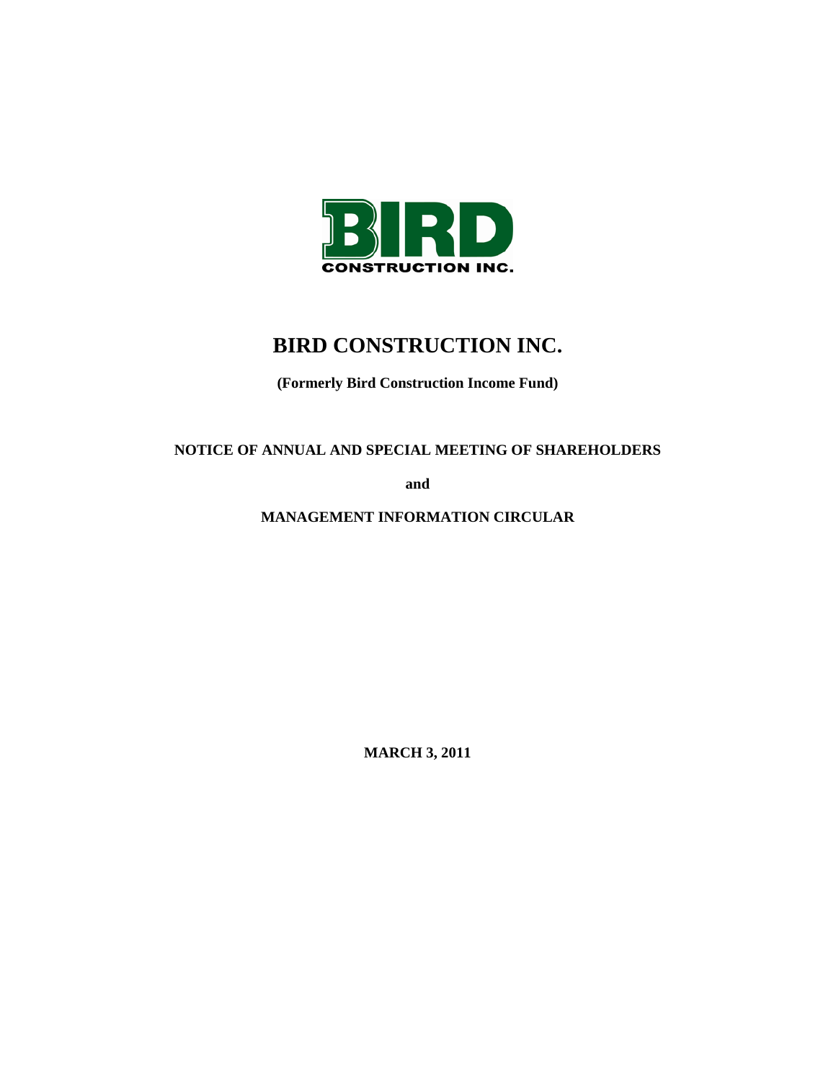

# **BIRD CONSTRUCTION INC.**

**(Formerly Bird Construction Income Fund)** 

**NOTICE OF ANNUAL AND SPECIAL MEETING OF SHAREHOLDERS** 

**and** 

**MANAGEMENT INFORMATION CIRCULAR** 

**MARCH 3, 2011**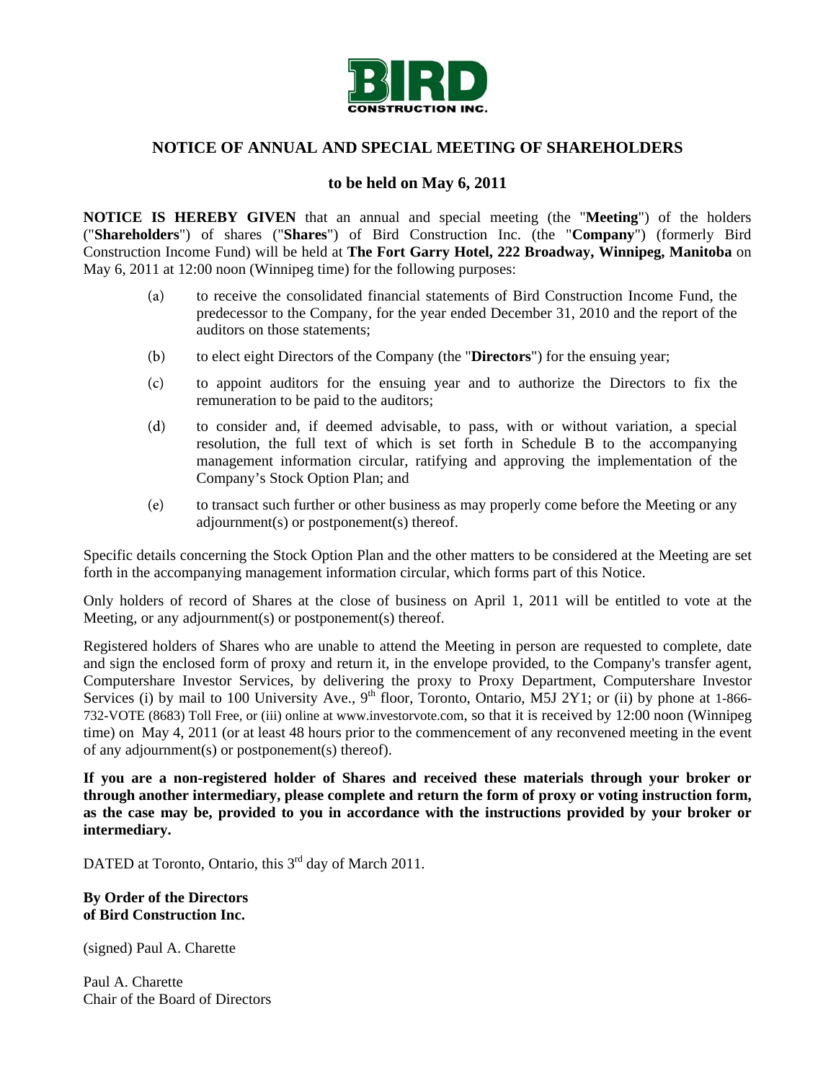

# **NOTICE OF ANNUAL AND SPECIAL MEETING OF SHAREHOLDERS**

## **to be held on May 6, 2011**

**NOTICE IS HEREBY GIVEN** that an annual and special meeting (the "**Meeting**") of the holders ("**Shareholders**") of shares ("**Shares**") of Bird Construction Inc. (the "**Company**") (formerly Bird Construction Income Fund) will be held at **The Fort Garry Hotel, 222 Broadway, Winnipeg, Manitoba** on May 6, 2011 at 12:00 noon (Winnipeg time) for the following purposes:

- (a) to receive the consolidated financial statements of Bird Construction Income Fund, the predecessor to the Company, for the year ended December 31, 2010 and the report of the auditors on those statements;
- (b) to elect eight Directors of the Company (the "**Directors**") for the ensuing year;
- (c) to appoint auditors for the ensuing year and to authorize the Directors to fix the remuneration to be paid to the auditors;
- (d) to consider and, if deemed advisable, to pass, with or without variation, a special resolution, the full text of which is set forth in Schedule B to the accompanying management information circular, ratifying and approving the implementation of the Company's Stock Option Plan; and
- (e) to transact such further or other business as may properly come before the Meeting or any adjournment(s) or postponement(s) thereof.

Specific details concerning the Stock Option Plan and the other matters to be considered at the Meeting are set forth in the accompanying management information circular, which forms part of this Notice.

Only holders of record of Shares at the close of business on April 1, 2011 will be entitled to vote at the Meeting, or any adjournment(s) or postponement(s) thereof.

Registered holders of Shares who are unable to attend the Meeting in person are requested to complete, date and sign the enclosed form of proxy and return it, in the envelope provided, to the Company's transfer agent, Computershare Investor Services, by delivering the proxy to Proxy Department, Computershare Investor Services (i) by mail to 100 University Ave., 9<sup>th</sup> floor, Toronto, Ontario, M5J 2Y1; or (ii) by phone at 1-866-732-VOTE (8683) Toll Free, or (iii) online at www.investorvote.com, so that it is received by 12:00 noon (Winnipeg time) on May 4, 2011 (or at least 48 hours prior to the commencement of any reconvened meeting in the event of any adjournment(s) or postponement(s) thereof).

**If you are a non-registered holder of Shares and received these materials through your broker or through another intermediary, please complete and return the form of proxy or voting instruction form, as the case may be, provided to you in accordance with the instructions provided by your broker or intermediary.**

DATED at Toronto, Ontario, this  $3<sup>rd</sup>$  day of March 2011.

#### **By Order of the Directors of Bird Construction Inc.**

(signed) Paul A. Charette

Paul A. Charette Chair of the Board of Directors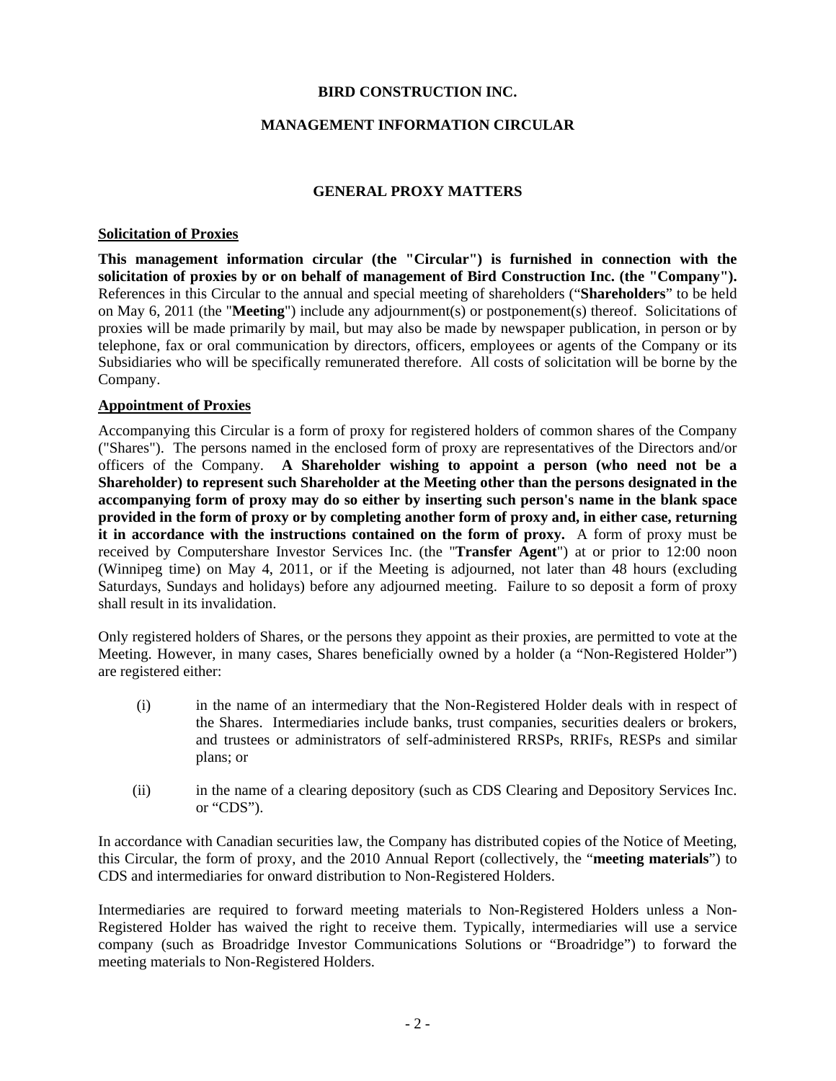## **BIRD CONSTRUCTION INC.**

## **MANAGEMENT INFORMATION CIRCULAR**

## **GENERAL PROXY MATTERS**

#### **Solicitation of Proxies**

**This management information circular (the "Circular") is furnished in connection with the solicitation of proxies by or on behalf of management of Bird Construction Inc. (the "Company").** References in this Circular to the annual and special meeting of shareholders ("**Shareholders**" to be held on May 6, 2011 (the "**Meeting**") include any adjournment(s) or postponement(s) thereof. Solicitations of proxies will be made primarily by mail, but may also be made by newspaper publication, in person or by telephone, fax or oral communication by directors, officers, employees or agents of the Company or its Subsidiaries who will be specifically remunerated therefore. All costs of solicitation will be borne by the Company.

#### **Appointment of Proxies**

Accompanying this Circular is a form of proxy for registered holders of common shares of the Company ("Shares"). The persons named in the enclosed form of proxy are representatives of the Directors and/or officers of the Company. **A Shareholder wishing to appoint a person (who need not be a Shareholder) to represent such Shareholder at the Meeting other than the persons designated in the accompanying form of proxy may do so either by inserting such person's name in the blank space provided in the form of proxy or by completing another form of proxy and, in either case, returning it in accordance with the instructions contained on the form of proxy.** A form of proxy must be received by Computershare Investor Services Inc. (the "**Transfer Agent**") at or prior to 12:00 noon (Winnipeg time) on May 4, 2011, or if the Meeting is adjourned, not later than 48 hours (excluding Saturdays, Sundays and holidays) before any adjourned meeting. Failure to so deposit a form of proxy shall result in its invalidation.

Only registered holders of Shares, or the persons they appoint as their proxies, are permitted to vote at the Meeting. However, in many cases, Shares beneficially owned by a holder (a "Non-Registered Holder") are registered either:

- (i) in the name of an intermediary that the Non-Registered Holder deals with in respect of the Shares. Intermediaries include banks, trust companies, securities dealers or brokers, and trustees or administrators of self-administered RRSPs, RRIFs, RESPs and similar plans; or
- (ii) in the name of a clearing depository (such as CDS Clearing and Depository Services Inc. or "CDS").

In accordance with Canadian securities law, the Company has distributed copies of the Notice of Meeting, this Circular, the form of proxy, and the 2010 Annual Report (collectively, the "**meeting materials**") to CDS and intermediaries for onward distribution to Non-Registered Holders.

Intermediaries are required to forward meeting materials to Non-Registered Holders unless a Non-Registered Holder has waived the right to receive them. Typically, intermediaries will use a service company (such as Broadridge Investor Communications Solutions or "Broadridge") to forward the meeting materials to Non-Registered Holders.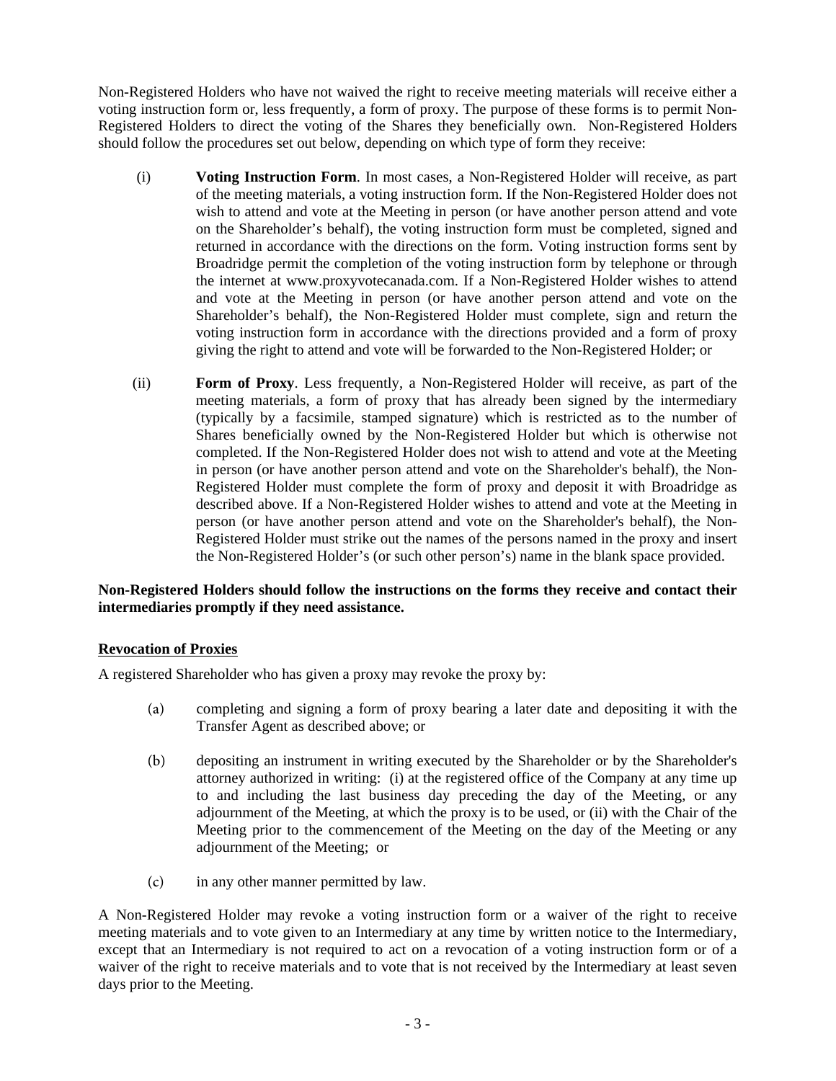Non-Registered Holders who have not waived the right to receive meeting materials will receive either a voting instruction form or, less frequently, a form of proxy. The purpose of these forms is to permit Non-Registered Holders to direct the voting of the Shares they beneficially own. Non-Registered Holders should follow the procedures set out below, depending on which type of form they receive:

- (i) **Voting Instruction Form**. In most cases, a Non-Registered Holder will receive, as part of the meeting materials, a voting instruction form. If the Non-Registered Holder does not wish to attend and vote at the Meeting in person (or have another person attend and vote on the Shareholder's behalf), the voting instruction form must be completed, signed and returned in accordance with the directions on the form. Voting instruction forms sent by Broadridge permit the completion of the voting instruction form by telephone or through the internet at www.proxyvotecanada.com. If a Non-Registered Holder wishes to attend and vote at the Meeting in person (or have another person attend and vote on the Shareholder's behalf), the Non-Registered Holder must complete, sign and return the voting instruction form in accordance with the directions provided and a form of proxy giving the right to attend and vote will be forwarded to the Non-Registered Holder; or
- (ii) **Form of Proxy**. Less frequently, a Non-Registered Holder will receive, as part of the meeting materials, a form of proxy that has already been signed by the intermediary (typically by a facsimile, stamped signature) which is restricted as to the number of Shares beneficially owned by the Non-Registered Holder but which is otherwise not completed. If the Non-Registered Holder does not wish to attend and vote at the Meeting in person (or have another person attend and vote on the Shareholder's behalf), the Non-Registered Holder must complete the form of proxy and deposit it with Broadridge as described above. If a Non-Registered Holder wishes to attend and vote at the Meeting in person (or have another person attend and vote on the Shareholder's behalf), the Non-Registered Holder must strike out the names of the persons named in the proxy and insert the Non-Registered Holder's (or such other person's) name in the blank space provided.

# **Non-Registered Holders should follow the instructions on the forms they receive and contact their intermediaries promptly if they need assistance.**

# **Revocation of Proxies**

A registered Shareholder who has given a proxy may revoke the proxy by:

- (a) completing and signing a form of proxy bearing a later date and depositing it with the Transfer Agent as described above; or
- (b) depositing an instrument in writing executed by the Shareholder or by the Shareholder's attorney authorized in writing: (i) at the registered office of the Company at any time up to and including the last business day preceding the day of the Meeting, or any adjournment of the Meeting, at which the proxy is to be used, or (ii) with the Chair of the Meeting prior to the commencement of the Meeting on the day of the Meeting or any adjournment of the Meeting; or
- (c) in any other manner permitted by law.

A Non-Registered Holder may revoke a voting instruction form or a waiver of the right to receive meeting materials and to vote given to an Intermediary at any time by written notice to the Intermediary, except that an Intermediary is not required to act on a revocation of a voting instruction form or of a waiver of the right to receive materials and to vote that is not received by the Intermediary at least seven days prior to the Meeting.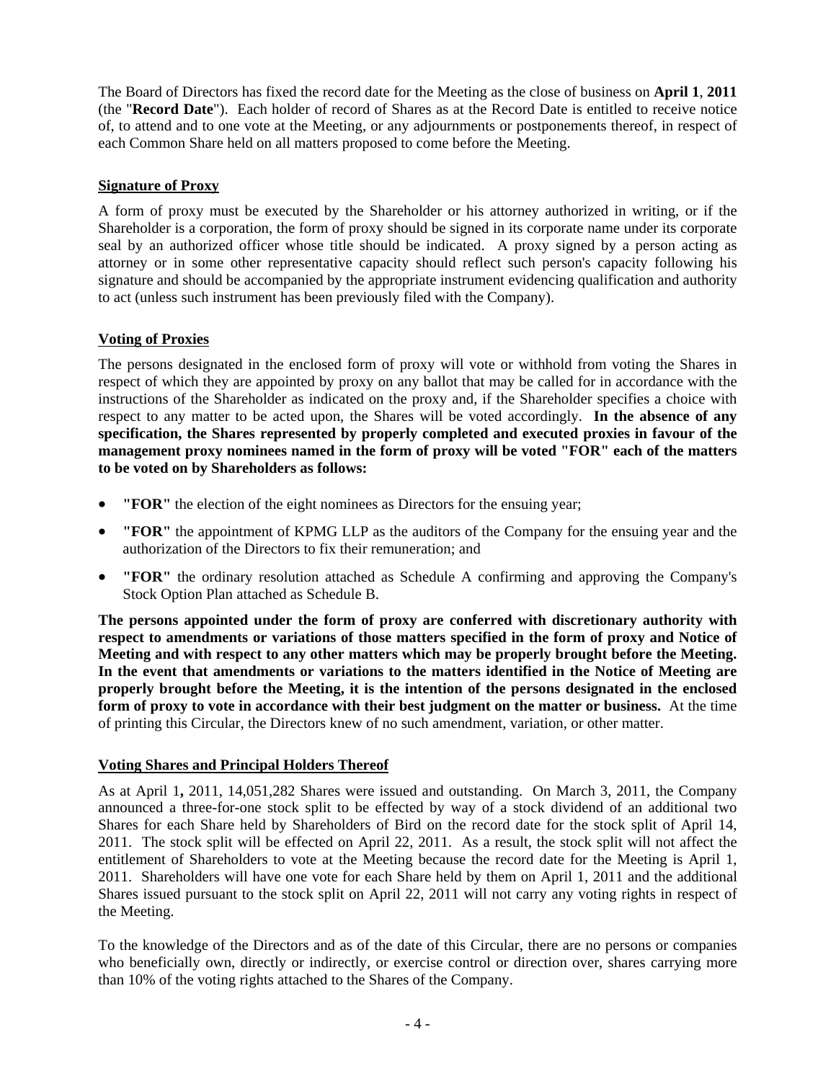The Board of Directors has fixed the record date for the Meeting as the close of business on **April 1**, **2011** (the "**Record Date**"). Each holder of record of Shares as at the Record Date is entitled to receive notice of, to attend and to one vote at the Meeting, or any adjournments or postponements thereof, in respect of each Common Share held on all matters proposed to come before the Meeting.

# **Signature of Proxy**

A form of proxy must be executed by the Shareholder or his attorney authorized in writing, or if the Shareholder is a corporation, the form of proxy should be signed in its corporate name under its corporate seal by an authorized officer whose title should be indicated. A proxy signed by a person acting as attorney or in some other representative capacity should reflect such person's capacity following his signature and should be accompanied by the appropriate instrument evidencing qualification and authority to act (unless such instrument has been previously filed with the Company).

# **Voting of Proxies**

The persons designated in the enclosed form of proxy will vote or withhold from voting the Shares in respect of which they are appointed by proxy on any ballot that may be called for in accordance with the instructions of the Shareholder as indicated on the proxy and, if the Shareholder specifies a choice with respect to any matter to be acted upon, the Shares will be voted accordingly. **In the absence of any specification, the Shares represented by properly completed and executed proxies in favour of the management proxy nominees named in the form of proxy will be voted "FOR" each of the matters to be voted on by Shareholders as follows:** 

- **"FOR"** the election of the eight nominees as Directors for the ensuing year;
- **"FOR"** the appointment of KPMG LLP as the auditors of the Company for the ensuing year and the authorization of the Directors to fix their remuneration; and
- **"FOR"** the ordinary resolution attached as Schedule A confirming and approving the Company's Stock Option Plan attached as Schedule B.

**The persons appointed under the form of proxy are conferred with discretionary authority with respect to amendments or variations of those matters specified in the form of proxy and Notice of Meeting and with respect to any other matters which may be properly brought before the Meeting. In the event that amendments or variations to the matters identified in the Notice of Meeting are properly brought before the Meeting, it is the intention of the persons designated in the enclosed form of proxy to vote in accordance with their best judgment on the matter or business.** At the time of printing this Circular, the Directors knew of no such amendment, variation, or other matter.

## **Voting Shares and Principal Holders Thereof**

As at April 1**,** 2011, 14,051,282 Shares were issued and outstanding. On March 3, 2011, the Company announced a three-for-one stock split to be effected by way of a stock dividend of an additional two Shares for each Share held by Shareholders of Bird on the record date for the stock split of April 14, 2011. The stock split will be effected on April 22, 2011. As a result, the stock split will not affect the entitlement of Shareholders to vote at the Meeting because the record date for the Meeting is April 1, 2011. Shareholders will have one vote for each Share held by them on April 1, 2011 and the additional Shares issued pursuant to the stock split on April 22, 2011 will not carry any voting rights in respect of the Meeting.

To the knowledge of the Directors and as of the date of this Circular, there are no persons or companies who beneficially own, directly or indirectly, or exercise control or direction over, shares carrying more than 10% of the voting rights attached to the Shares of the Company.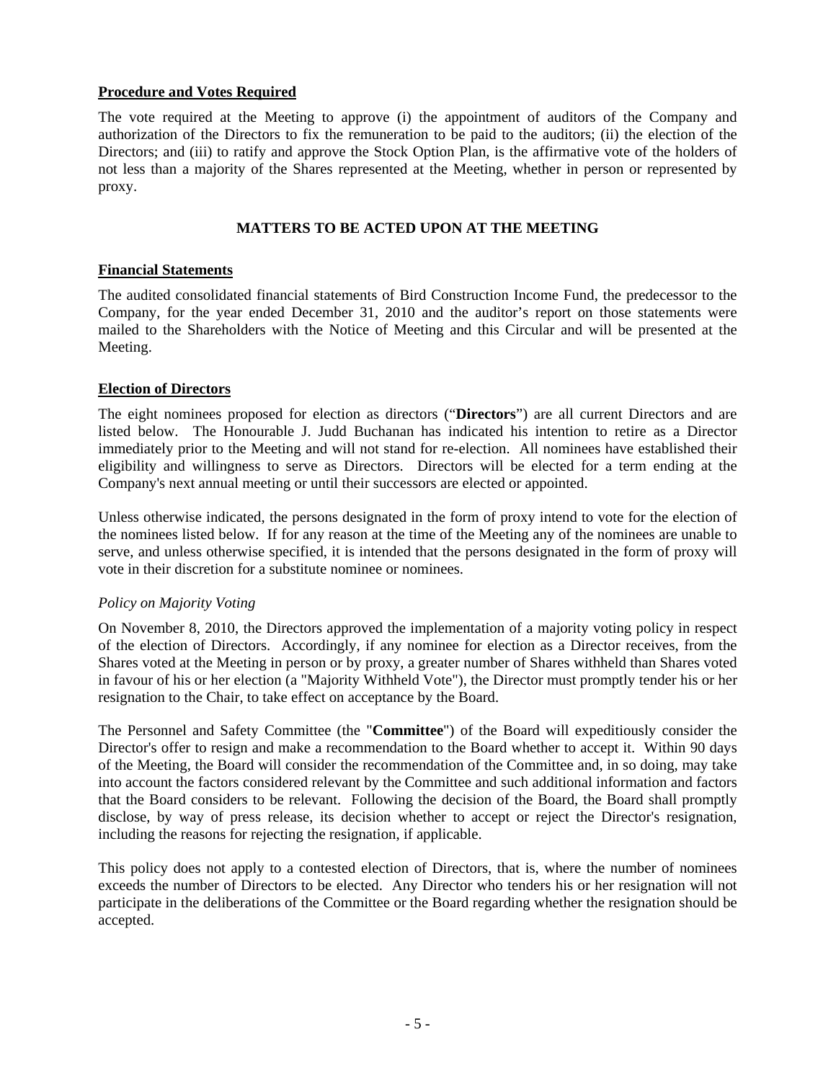## **Procedure and Votes Required**

The vote required at the Meeting to approve (i) the appointment of auditors of the Company and authorization of the Directors to fix the remuneration to be paid to the auditors; (ii) the election of the Directors; and (iii) to ratify and approve the Stock Option Plan, is the affirmative vote of the holders of not less than a majority of the Shares represented at the Meeting, whether in person or represented by proxy.

# **MATTERS TO BE ACTED UPON AT THE MEETING**

## **Financial Statements**

The audited consolidated financial statements of Bird Construction Income Fund, the predecessor to the Company, for the year ended December 31, 2010 and the auditor's report on those statements were mailed to the Shareholders with the Notice of Meeting and this Circular and will be presented at the Meeting.

## **Election of Directors**

The eight nominees proposed for election as directors ("**Directors**") are all current Directors and are listed below. The Honourable J. Judd Buchanan has indicated his intention to retire as a Director immediately prior to the Meeting and will not stand for re-election. All nominees have established their eligibility and willingness to serve as Directors. Directors will be elected for a term ending at the Company's next annual meeting or until their successors are elected or appointed.

Unless otherwise indicated, the persons designated in the form of proxy intend to vote for the election of the nominees listed below. If for any reason at the time of the Meeting any of the nominees are unable to serve, and unless otherwise specified, it is intended that the persons designated in the form of proxy will vote in their discretion for a substitute nominee or nominees.

## *Policy on Majority Voting*

On November 8, 2010, the Directors approved the implementation of a majority voting policy in respect of the election of Directors. Accordingly, if any nominee for election as a Director receives, from the Shares voted at the Meeting in person or by proxy, a greater number of Shares withheld than Shares voted in favour of his or her election (a "Majority Withheld Vote"), the Director must promptly tender his or her resignation to the Chair, to take effect on acceptance by the Board.

The Personnel and Safety Committee (the "**Committee**") of the Board will expeditiously consider the Director's offer to resign and make a recommendation to the Board whether to accept it. Within 90 days of the Meeting, the Board will consider the recommendation of the Committee and, in so doing, may take into account the factors considered relevant by the Committee and such additional information and factors that the Board considers to be relevant. Following the decision of the Board, the Board shall promptly disclose, by way of press release, its decision whether to accept or reject the Director's resignation, including the reasons for rejecting the resignation, if applicable.

This policy does not apply to a contested election of Directors, that is, where the number of nominees exceeds the number of Directors to be elected. Any Director who tenders his or her resignation will not participate in the deliberations of the Committee or the Board regarding whether the resignation should be accepted.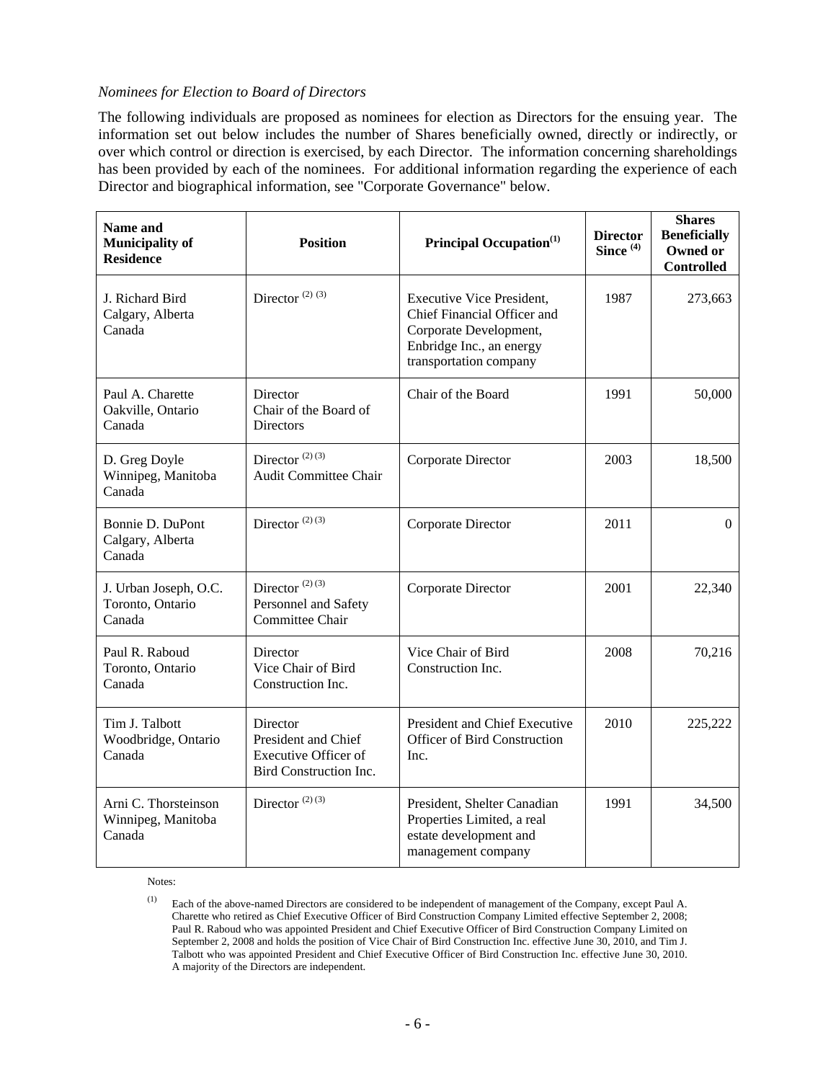## *Nominees for Election to Board of Directors*

The following individuals are proposed as nominees for election as Directors for the ensuing year. The information set out below includes the number of Shares beneficially owned, directly or indirectly, or over which control or direction is exercised, by each Director. The information concerning shareholdings has been provided by each of the nominees. For additional information regarding the experience of each Director and biographical information, see "Corporate Governance" below.

| Name and<br><b>Municipality of</b><br><b>Residence</b> | <b>Position</b>                                                                          | <b>Principal Occupation</b> <sup>(1)</sup>                                                                                                      | <b>Director</b><br>Since <sup>(4)</sup> | <b>Shares</b><br><b>Beneficially</b><br>Owned or<br><b>Controlled</b> |
|--------------------------------------------------------|------------------------------------------------------------------------------------------|-------------------------------------------------------------------------------------------------------------------------------------------------|-----------------------------------------|-----------------------------------------------------------------------|
| J. Richard Bird<br>Calgary, Alberta<br>Canada          | Director <sup>(2)(3)</sup>                                                               | <b>Executive Vice President,</b><br>Chief Financial Officer and<br>Corporate Development,<br>Enbridge Inc., an energy<br>transportation company | 1987                                    | 273,663                                                               |
| Paul A. Charette<br>Oakville, Ontario<br>Canada        | Director<br>Chair of the Board of<br><b>Directors</b>                                    | Chair of the Board                                                                                                                              | 1991                                    | 50,000                                                                |
| D. Greg Doyle<br>Winnipeg, Manitoba<br>Canada          | Director $(2)$ $(3)$<br><b>Audit Committee Chair</b>                                     | Corporate Director                                                                                                                              | 2003                                    | 18,500                                                                |
| Bonnie D. DuPont<br>Calgary, Alberta<br>Canada         | Director $(2)$ $(3)$                                                                     | Corporate Director                                                                                                                              | 2011                                    | $\Omega$                                                              |
| J. Urban Joseph, O.C.<br>Toronto, Ontario<br>Canada    | Director $(2)$ $(3)$<br>Personnel and Safety<br>Committee Chair                          | Corporate Director                                                                                                                              | 2001                                    | 22,340                                                                |
| Paul R. Raboud<br>Toronto, Ontario<br>Canada           | Director<br>Vice Chair of Bird<br>Construction Inc.                                      | Vice Chair of Bird<br>Construction Inc.                                                                                                         | 2008                                    | 70,216                                                                |
| Tim J. Talbott<br>Woodbridge, Ontario<br>Canada        | Director<br>President and Chief<br><b>Executive Officer of</b><br>Bird Construction Inc. | President and Chief Executive<br><b>Officer of Bird Construction</b><br>Inc.                                                                    | 2010                                    | 225,222                                                               |
| Arni C. Thorsteinson<br>Winnipeg, Manitoba<br>Canada   | Director $(2)$ $(3)$                                                                     | President, Shelter Canadian<br>Properties Limited, a real<br>estate development and<br>management company                                       | 1991                                    | 34,500                                                                |

Notes:

<sup>(1)</sup> Each of the above-named Directors are considered to be independent of management of the Company, except Paul A. Charette who retired as Chief Executive Officer of Bird Construction Company Limited effective September 2, 2008; Paul R. Raboud who was appointed President and Chief Executive Officer of Bird Construction Company Limited on September 2, 2008 and holds the position of Vice Chair of Bird Construction Inc. effective June 30, 2010, and Tim J. Talbott who was appointed President and Chief Executive Officer of Bird Construction Inc. effective June 30, 2010. A majority of the Directors are independent.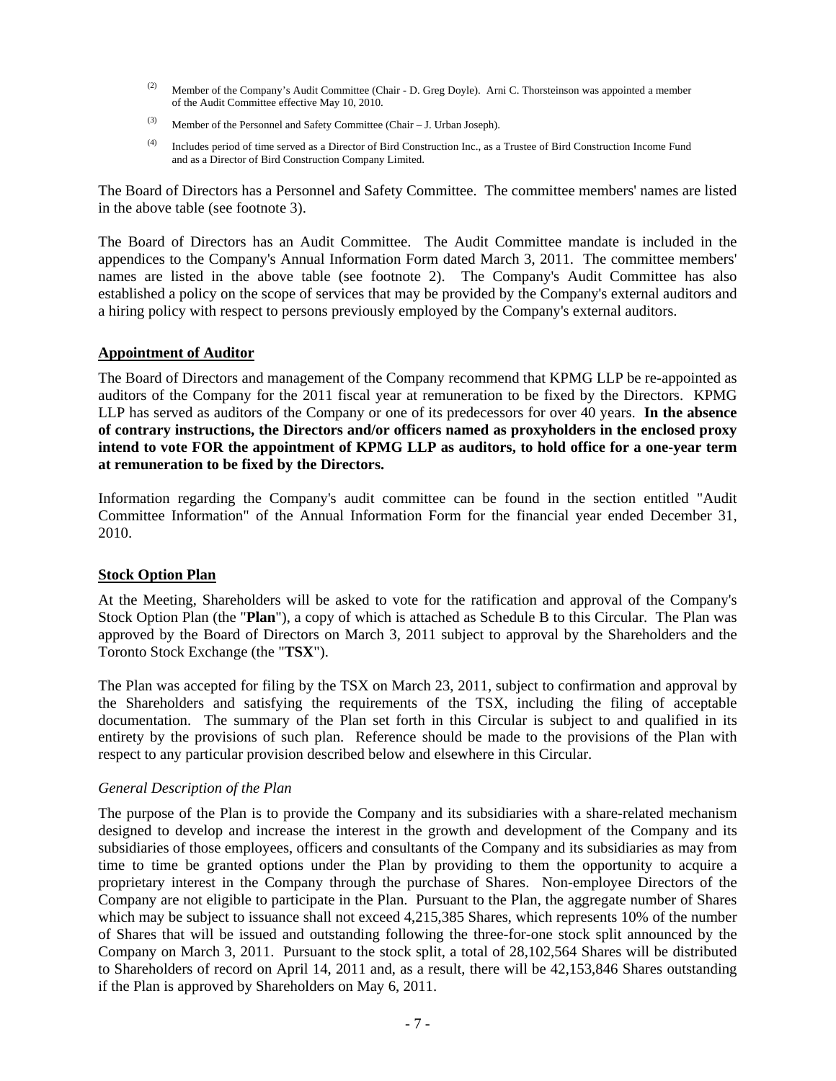- (2) Member of the Company's Audit Committee (Chair D. Greg Doyle). Arni C. Thorsteinson was appointed a member of the Audit Committee effective May 10, 2010.
- (3) Member of the Personnel and Safety Committee (Chair J. Urban Joseph).
- (4) Includes period of time served as a Director of Bird Construction Inc., as a Trustee of Bird Construction Income Fund and as a Director of Bird Construction Company Limited.

The Board of Directors has a Personnel and Safety Committee. The committee members' names are listed in the above table (see footnote 3).

The Board of Directors has an Audit Committee. The Audit Committee mandate is included in the appendices to the Company's Annual Information Form dated March 3, 2011. The committee members' names are listed in the above table (see footnote 2). The Company's Audit Committee has also established a policy on the scope of services that may be provided by the Company's external auditors and a hiring policy with respect to persons previously employed by the Company's external auditors.

#### **Appointment of Auditor**

The Board of Directors and management of the Company recommend that KPMG LLP be re-appointed as auditors of the Company for the 2011 fiscal year at remuneration to be fixed by the Directors. KPMG LLP has served as auditors of the Company or one of its predecessors for over 40 years. **In the absence of contrary instructions, the Directors and/or officers named as proxyholders in the enclosed proxy intend to vote FOR the appointment of KPMG LLP as auditors, to hold office for a one-year term at remuneration to be fixed by the Directors.**

Information regarding the Company's audit committee can be found in the section entitled "Audit Committee Information" of the Annual Information Form for the financial year ended December 31, 2010.

## **Stock Option Plan**

At the Meeting, Shareholders will be asked to vote for the ratification and approval of the Company's Stock Option Plan (the "**Plan**"), a copy of which is attached as Schedule B to this Circular. The Plan was approved by the Board of Directors on March 3, 2011 subject to approval by the Shareholders and the Toronto Stock Exchange (the "**TSX**").

The Plan was accepted for filing by the TSX on March 23, 2011, subject to confirmation and approval by the Shareholders and satisfying the requirements of the TSX, including the filing of acceptable documentation. The summary of the Plan set forth in this Circular is subject to and qualified in its entirety by the provisions of such plan. Reference should be made to the provisions of the Plan with respect to any particular provision described below and elsewhere in this Circular.

#### *General Description of the Plan*

The purpose of the Plan is to provide the Company and its subsidiaries with a share-related mechanism designed to develop and increase the interest in the growth and development of the Company and its subsidiaries of those employees, officers and consultants of the Company and its subsidiaries as may from time to time be granted options under the Plan by providing to them the opportunity to acquire a proprietary interest in the Company through the purchase of Shares. Non-employee Directors of the Company are not eligible to participate in the Plan. Pursuant to the Plan, the aggregate number of Shares which may be subject to issuance shall not exceed 4,215,385 Shares, which represents 10% of the number of Shares that will be issued and outstanding following the three-for-one stock split announced by the Company on March 3, 2011. Pursuant to the stock split, a total of 28,102,564 Shares will be distributed to Shareholders of record on April 14, 2011 and, as a result, there will be 42,153,846 Shares outstanding if the Plan is approved by Shareholders on May 6, 2011.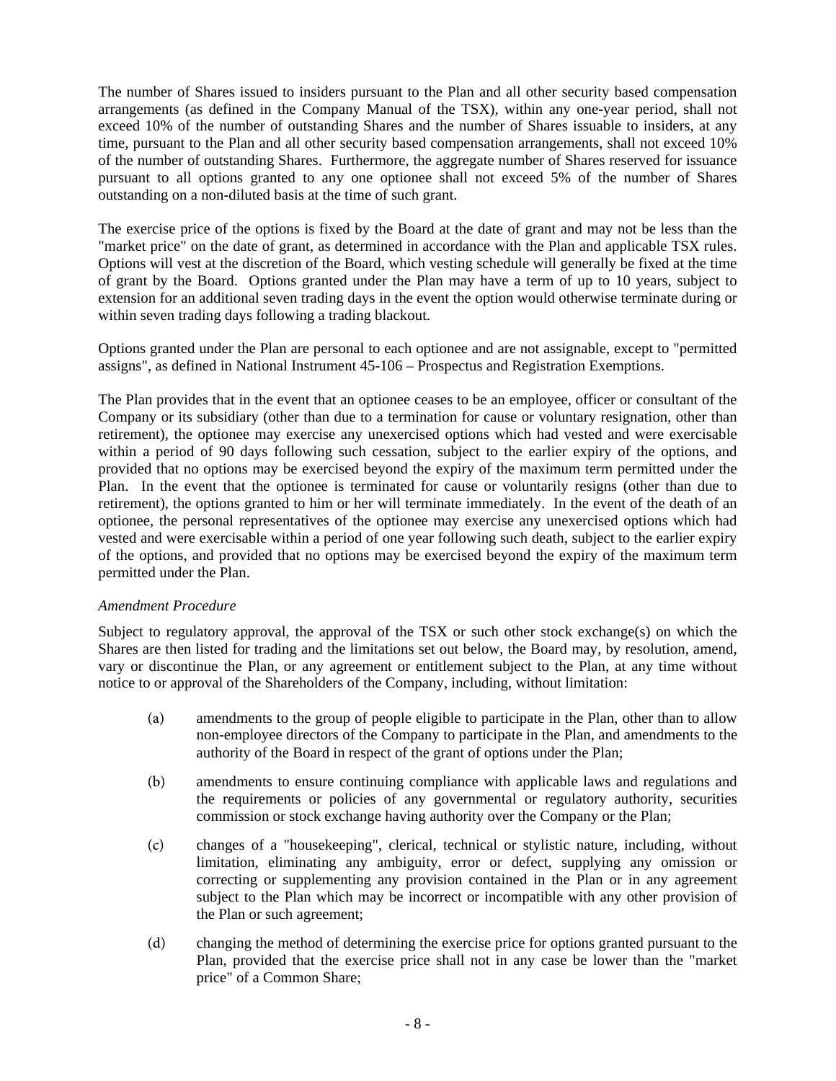The number of Shares issued to insiders pursuant to the Plan and all other security based compensation arrangements (as defined in the Company Manual of the TSX), within any one-year period, shall not exceed 10% of the number of outstanding Shares and the number of Shares issuable to insiders, at any time, pursuant to the Plan and all other security based compensation arrangements, shall not exceed 10% of the number of outstanding Shares. Furthermore, the aggregate number of Shares reserved for issuance pursuant to all options granted to any one optionee shall not exceed 5% of the number of Shares outstanding on a non-diluted basis at the time of such grant.

The exercise price of the options is fixed by the Board at the date of grant and may not be less than the "market price" on the date of grant, as determined in accordance with the Plan and applicable TSX rules. Options will vest at the discretion of the Board, which vesting schedule will generally be fixed at the time of grant by the Board. Options granted under the Plan may have a term of up to 10 years, subject to extension for an additional seven trading days in the event the option would otherwise terminate during or within seven trading days following a trading blackout.

Options granted under the Plan are personal to each optionee and are not assignable, except to "permitted assigns", as defined in National Instrument 45-106 – Prospectus and Registration Exemptions.

The Plan provides that in the event that an optionee ceases to be an employee, officer or consultant of the Company or its subsidiary (other than due to a termination for cause or voluntary resignation, other than retirement), the optionee may exercise any unexercised options which had vested and were exercisable within a period of 90 days following such cessation, subject to the earlier expiry of the options, and provided that no options may be exercised beyond the expiry of the maximum term permitted under the Plan. In the event that the optionee is terminated for cause or voluntarily resigns (other than due to retirement), the options granted to him or her will terminate immediately. In the event of the death of an optionee, the personal representatives of the optionee may exercise any unexercised options which had vested and were exercisable within a period of one year following such death, subject to the earlier expiry of the options, and provided that no options may be exercised beyond the expiry of the maximum term permitted under the Plan.

## *Amendment Procedure*

Subject to regulatory approval, the approval of the TSX or such other stock exchange(s) on which the Shares are then listed for trading and the limitations set out below, the Board may, by resolution, amend, vary or discontinue the Plan, or any agreement or entitlement subject to the Plan, at any time without notice to or approval of the Shareholders of the Company, including, without limitation:

- (a) amendments to the group of people eligible to participate in the Plan, other than to allow non-employee directors of the Company to participate in the Plan, and amendments to the authority of the Board in respect of the grant of options under the Plan;
- (b) amendments to ensure continuing compliance with applicable laws and regulations and the requirements or policies of any governmental or regulatory authority, securities commission or stock exchange having authority over the Company or the Plan;
- (c) changes of a "housekeeping", clerical, technical or stylistic nature, including, without limitation, eliminating any ambiguity, error or defect, supplying any omission or correcting or supplementing any provision contained in the Plan or in any agreement subject to the Plan which may be incorrect or incompatible with any other provision of the Plan or such agreement;
- (d) changing the method of determining the exercise price for options granted pursuant to the Plan, provided that the exercise price shall not in any case be lower than the "market price" of a Common Share;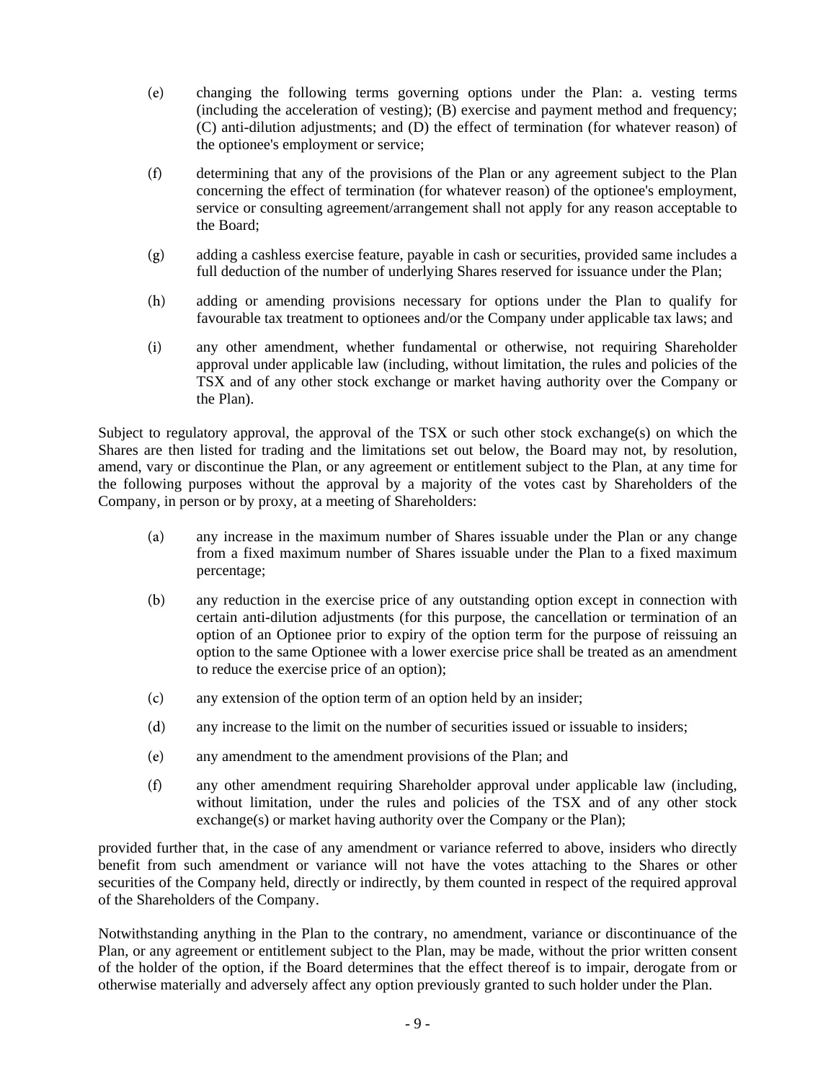- (e) changing the following terms governing options under the Plan: a. vesting terms (including the acceleration of vesting); (B) exercise and payment method and frequency; (C) anti-dilution adjustments; and (D) the effect of termination (for whatever reason) of the optionee's employment or service;
- (f) determining that any of the provisions of the Plan or any agreement subject to the Plan concerning the effect of termination (for whatever reason) of the optionee's employment, service or consulting agreement/arrangement shall not apply for any reason acceptable to the Board;
- (g) adding a cashless exercise feature, payable in cash or securities, provided same includes a full deduction of the number of underlying Shares reserved for issuance under the Plan;
- (h) adding or amending provisions necessary for options under the Plan to qualify for favourable tax treatment to optionees and/or the Company under applicable tax laws; and
- (i) any other amendment, whether fundamental or otherwise, not requiring Shareholder approval under applicable law (including, without limitation, the rules and policies of the TSX and of any other stock exchange or market having authority over the Company or the Plan).

Subject to regulatory approval, the approval of the TSX or such other stock exchange(s) on which the Shares are then listed for trading and the limitations set out below, the Board may not, by resolution, amend, vary or discontinue the Plan, or any agreement or entitlement subject to the Plan, at any time for the following purposes without the approval by a majority of the votes cast by Shareholders of the Company, in person or by proxy, at a meeting of Shareholders:

- (a) any increase in the maximum number of Shares issuable under the Plan or any change from a fixed maximum number of Shares issuable under the Plan to a fixed maximum percentage;
- (b) any reduction in the exercise price of any outstanding option except in connection with certain anti-dilution adjustments (for this purpose, the cancellation or termination of an option of an Optionee prior to expiry of the option term for the purpose of reissuing an option to the same Optionee with a lower exercise price shall be treated as an amendment to reduce the exercise price of an option);
- (c) any extension of the option term of an option held by an insider;
- (d) any increase to the limit on the number of securities issued or issuable to insiders;
- (e) any amendment to the amendment provisions of the Plan; and
- (f) any other amendment requiring Shareholder approval under applicable law (including, without limitation, under the rules and policies of the TSX and of any other stock exchange(s) or market having authority over the Company or the Plan);

provided further that, in the case of any amendment or variance referred to above, insiders who directly benefit from such amendment or variance will not have the votes attaching to the Shares or other securities of the Company held, directly or indirectly, by them counted in respect of the required approval of the Shareholders of the Company.

Notwithstanding anything in the Plan to the contrary, no amendment, variance or discontinuance of the Plan, or any agreement or entitlement subject to the Plan, may be made, without the prior written consent of the holder of the option, if the Board determines that the effect thereof is to impair, derogate from or otherwise materially and adversely affect any option previously granted to such holder under the Plan.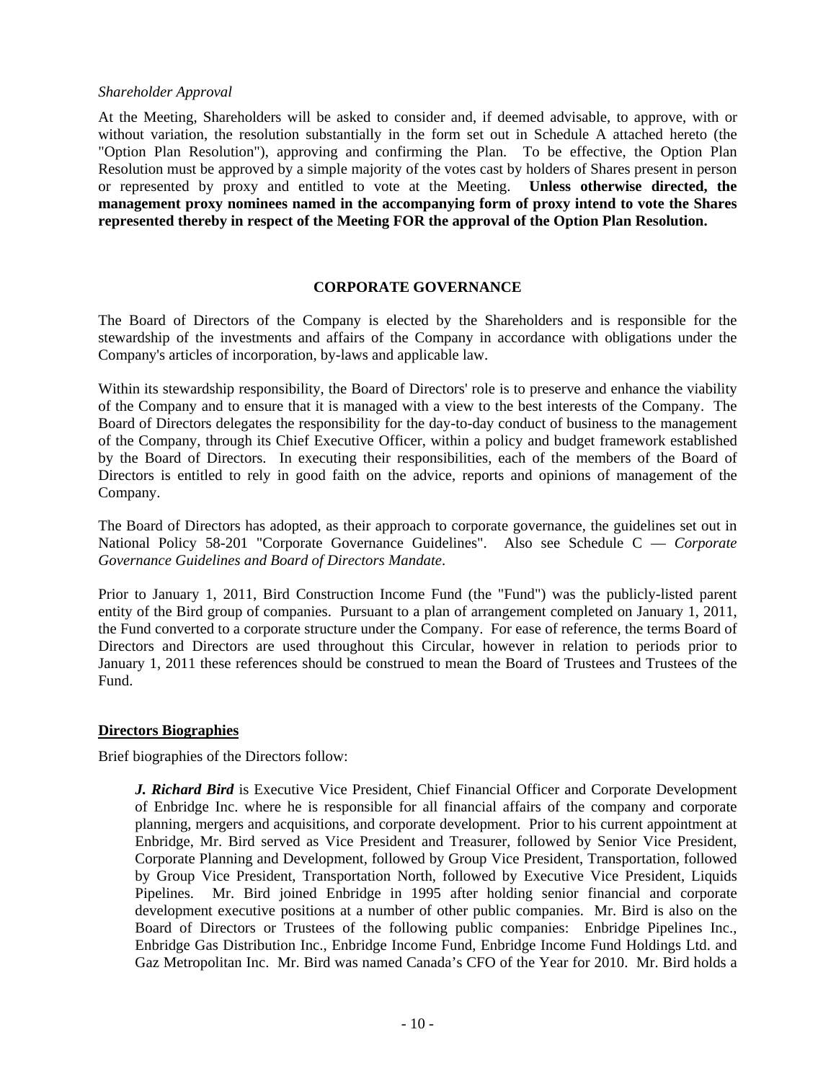## *Shareholder Approval*

At the Meeting, Shareholders will be asked to consider and, if deemed advisable, to approve, with or without variation, the resolution substantially in the form set out in Schedule A attached hereto (the "Option Plan Resolution"), approving and confirming the Plan. To be effective, the Option Plan Resolution must be approved by a simple majority of the votes cast by holders of Shares present in person or represented by proxy and entitled to vote at the Meeting. **Unless otherwise directed, the management proxy nominees named in the accompanying form of proxy intend to vote the Shares represented thereby in respect of the Meeting FOR the approval of the Option Plan Resolution.**

#### **CORPORATE GOVERNANCE**

The Board of Directors of the Company is elected by the Shareholders and is responsible for the stewardship of the investments and affairs of the Company in accordance with obligations under the Company's articles of incorporation, by-laws and applicable law.

Within its stewardship responsibility, the Board of Directors' role is to preserve and enhance the viability of the Company and to ensure that it is managed with a view to the best interests of the Company. The Board of Directors delegates the responsibility for the day-to-day conduct of business to the management of the Company, through its Chief Executive Officer, within a policy and budget framework established by the Board of Directors. In executing their responsibilities, each of the members of the Board of Directors is entitled to rely in good faith on the advice, reports and opinions of management of the Company.

The Board of Directors has adopted, as their approach to corporate governance, the guidelines set out in National Policy 58-201 "Corporate Governance Guidelines". Also see Schedule C — *Corporate Governance Guidelines and Board of Directors Mandate*.

Prior to January 1, 2011, Bird Construction Income Fund (the "Fund") was the publicly-listed parent entity of the Bird group of companies. Pursuant to a plan of arrangement completed on January 1, 2011, the Fund converted to a corporate structure under the Company. For ease of reference, the terms Board of Directors and Directors are used throughout this Circular, however in relation to periods prior to January 1, 2011 these references should be construed to mean the Board of Trustees and Trustees of the Fund.

## **Directors Biographies**

Brief biographies of the Directors follow:

*J. Richard Bird* is Executive Vice President, Chief Financial Officer and Corporate Development of Enbridge Inc. where he is responsible for all financial affairs of the company and corporate planning, mergers and acquisitions, and corporate development. Prior to his current appointment at Enbridge, Mr. Bird served as Vice President and Treasurer, followed by Senior Vice President, Corporate Planning and Development, followed by Group Vice President, Transportation, followed by Group Vice President, Transportation North, followed by Executive Vice President, Liquids Pipelines. Mr. Bird joined Enbridge in 1995 after holding senior financial and corporate development executive positions at a number of other public companies. Mr. Bird is also on the Board of Directors or Trustees of the following public companies: Enbridge Pipelines Inc., Enbridge Gas Distribution Inc., Enbridge Income Fund, Enbridge Income Fund Holdings Ltd. and Gaz Metropolitan Inc. Mr. Bird was named Canada's CFO of the Year for 2010. Mr. Bird holds a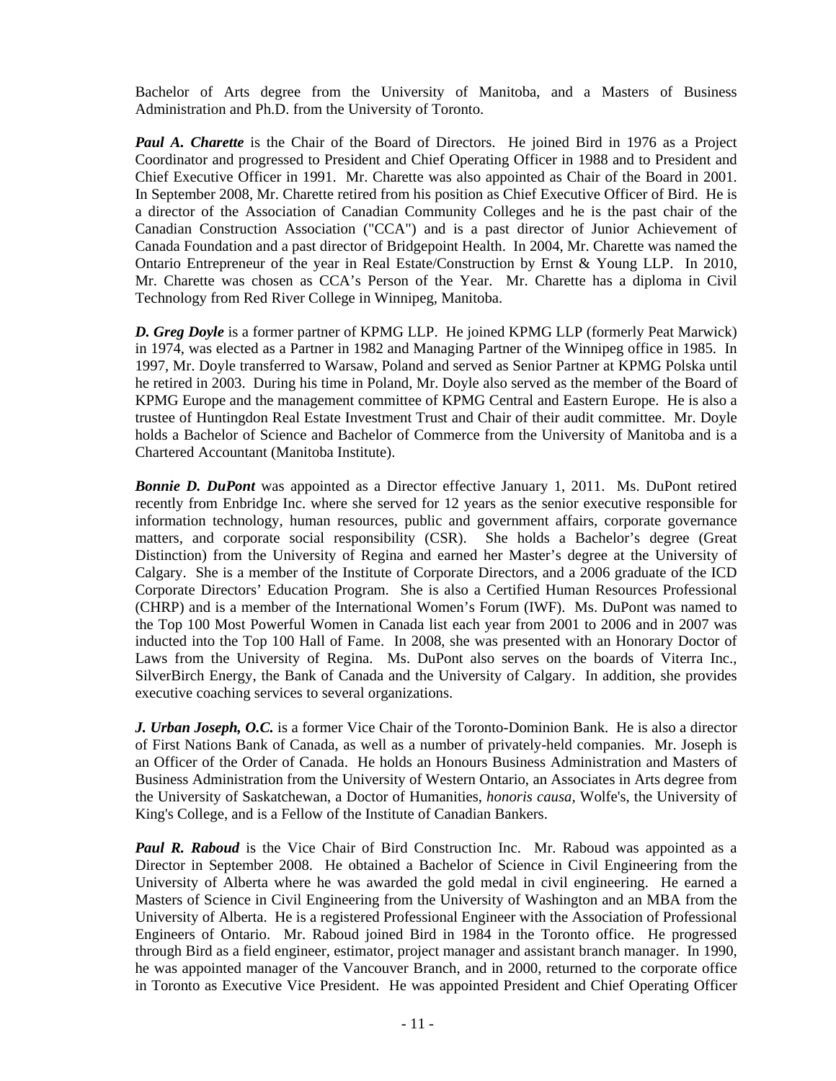Bachelor of Arts degree from the University of Manitoba, and a Masters of Business Administration and Ph.D. from the University of Toronto.

*Paul A. Charette* is the Chair of the Board of Directors. He joined Bird in 1976 as a Project Coordinator and progressed to President and Chief Operating Officer in 1988 and to President and Chief Executive Officer in 1991. Mr. Charette was also appointed as Chair of the Board in 2001. In September 2008, Mr. Charette retired from his position as Chief Executive Officer of Bird. He is a director of the Association of Canadian Community Colleges and he is the past chair of the Canadian Construction Association ("CCA") and is a past director of Junior Achievement of Canada Foundation and a past director of Bridgepoint Health. In 2004, Mr. Charette was named the Ontario Entrepreneur of the year in Real Estate/Construction by Ernst & Young LLP. In 2010, Mr. Charette was chosen as CCA's Person of the Year. Mr. Charette has a diploma in Civil Technology from Red River College in Winnipeg, Manitoba.

*D. Greg Doyle* is a former partner of KPMG LLP. He joined KPMG LLP (formerly Peat Marwick) in 1974, was elected as a Partner in 1982 and Managing Partner of the Winnipeg office in 1985. In 1997, Mr. Doyle transferred to Warsaw, Poland and served as Senior Partner at KPMG Polska until he retired in 2003. During his time in Poland, Mr. Doyle also served as the member of the Board of KPMG Europe and the management committee of KPMG Central and Eastern Europe. He is also a trustee of Huntingdon Real Estate Investment Trust and Chair of their audit committee. Mr. Doyle holds a Bachelor of Science and Bachelor of Commerce from the University of Manitoba and is a Chartered Accountant (Manitoba Institute).

*Bonnie D. DuPont* was appointed as a Director effective January 1, 2011. Ms. DuPont retired recently from Enbridge Inc. where she served for 12 years as the senior executive responsible for information technology, human resources, public and government affairs, corporate governance matters, and corporate social responsibility (CSR). She holds a Bachelor's degree (Great Distinction) from the University of Regina and earned her Master's degree at the University of Calgary. She is a member of the Institute of Corporate Directors, and a 2006 graduate of the ICD Corporate Directors' Education Program. She is also a Certified Human Resources Professional (CHRP) and is a member of the International Women's Forum (IWF). Ms. DuPont was named to the Top 100 Most Powerful Women in Canada list each year from 2001 to 2006 and in 2007 was inducted into the Top 100 Hall of Fame. In 2008, she was presented with an Honorary Doctor of Laws from the University of Regina. Ms. DuPont also serves on the boards of Viterra Inc., SilverBirch Energy, the Bank of Canada and the University of Calgary. In addition, she provides executive coaching services to several organizations.

*J. Urban Joseph, O.C.* is a former Vice Chair of the Toronto-Dominion Bank. He is also a director of First Nations Bank of Canada, as well as a number of privately-held companies. Mr. Joseph is an Officer of the Order of Canada. He holds an Honours Business Administration and Masters of Business Administration from the University of Western Ontario, an Associates in Arts degree from the University of Saskatchewan, a Doctor of Humanities, *honoris causa,* Wolfe's, the University of King's College, and is a Fellow of the Institute of Canadian Bankers.

**Paul R. Raboud** is the Vice Chair of Bird Construction Inc. Mr. Raboud was appointed as a Director in September 2008. He obtained a Bachelor of Science in Civil Engineering from the University of Alberta where he was awarded the gold medal in civil engineering. He earned a Masters of Science in Civil Engineering from the University of Washington and an MBA from the University of Alberta. He is a registered Professional Engineer with the Association of Professional Engineers of Ontario. Mr. Raboud joined Bird in 1984 in the Toronto office. He progressed through Bird as a field engineer, estimator, project manager and assistant branch manager. In 1990, he was appointed manager of the Vancouver Branch, and in 2000, returned to the corporate office in Toronto as Executive Vice President. He was appointed President and Chief Operating Officer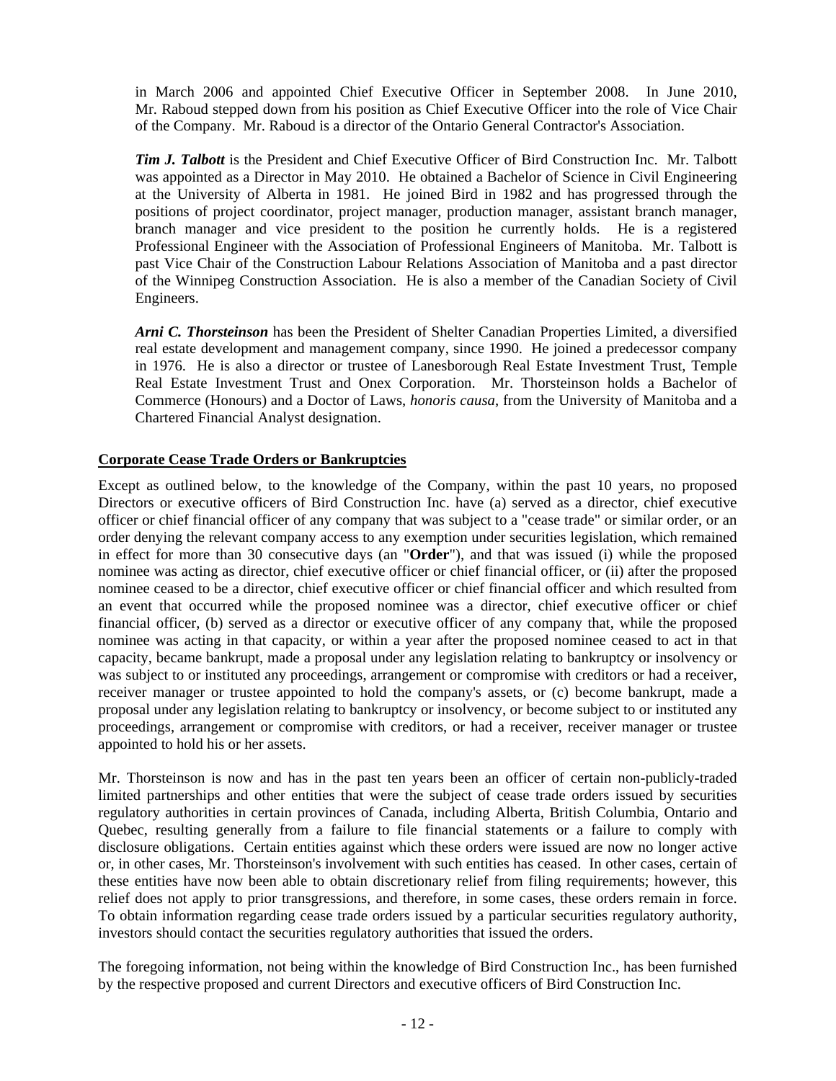in March 2006 and appointed Chief Executive Officer in September 2008. In June 2010, Mr. Raboud stepped down from his position as Chief Executive Officer into the role of Vice Chair of the Company. Mr. Raboud is a director of the Ontario General Contractor's Association.

*Tim J. Talbott* is the President and Chief Executive Officer of Bird Construction Inc. Mr. Talbott was appointed as a Director in May 2010. He obtained a Bachelor of Science in Civil Engineering at the University of Alberta in 1981. He joined Bird in 1982 and has progressed through the positions of project coordinator, project manager, production manager, assistant branch manager, branch manager and vice president to the position he currently holds. He is a registered Professional Engineer with the Association of Professional Engineers of Manitoba. Mr. Talbott is past Vice Chair of the Construction Labour Relations Association of Manitoba and a past director of the Winnipeg Construction Association. He is also a member of the Canadian Society of Civil Engineers.

*Arni C. Thorsteinson* has been the President of Shelter Canadian Properties Limited, a diversified real estate development and management company, since 1990. He joined a predecessor company in 1976. He is also a director or trustee of Lanesborough Real Estate Investment Trust, Temple Real Estate Investment Trust and Onex Corporation. Mr. Thorsteinson holds a Bachelor of Commerce (Honours) and a Doctor of Laws, *honoris causa*, from the University of Manitoba and a Chartered Financial Analyst designation.

## **Corporate Cease Trade Orders or Bankruptcies**

Except as outlined below, to the knowledge of the Company, within the past 10 years, no proposed Directors or executive officers of Bird Construction Inc. have (a) served as a director, chief executive officer or chief financial officer of any company that was subject to a "cease trade" or similar order, or an order denying the relevant company access to any exemption under securities legislation, which remained in effect for more than 30 consecutive days (an "**Order**"), and that was issued (i) while the proposed nominee was acting as director, chief executive officer or chief financial officer, or (ii) after the proposed nominee ceased to be a director, chief executive officer or chief financial officer and which resulted from an event that occurred while the proposed nominee was a director, chief executive officer or chief financial officer, (b) served as a director or executive officer of any company that, while the proposed nominee was acting in that capacity, or within a year after the proposed nominee ceased to act in that capacity, became bankrupt, made a proposal under any legislation relating to bankruptcy or insolvency or was subject to or instituted any proceedings, arrangement or compromise with creditors or had a receiver, receiver manager or trustee appointed to hold the company's assets, or (c) become bankrupt, made a proposal under any legislation relating to bankruptcy or insolvency, or become subject to or instituted any proceedings, arrangement or compromise with creditors, or had a receiver, receiver manager or trustee appointed to hold his or her assets.

Mr. Thorsteinson is now and has in the past ten years been an officer of certain non-publicly-traded limited partnerships and other entities that were the subject of cease trade orders issued by securities regulatory authorities in certain provinces of Canada, including Alberta, British Columbia, Ontario and Quebec, resulting generally from a failure to file financial statements or a failure to comply with disclosure obligations. Certain entities against which these orders were issued are now no longer active or, in other cases, Mr. Thorsteinson's involvement with such entities has ceased. In other cases, certain of these entities have now been able to obtain discretionary relief from filing requirements; however, this relief does not apply to prior transgressions, and therefore, in some cases, these orders remain in force. To obtain information regarding cease trade orders issued by a particular securities regulatory authority, investors should contact the securities regulatory authorities that issued the orders.

The foregoing information, not being within the knowledge of Bird Construction Inc., has been furnished by the respective proposed and current Directors and executive officers of Bird Construction Inc.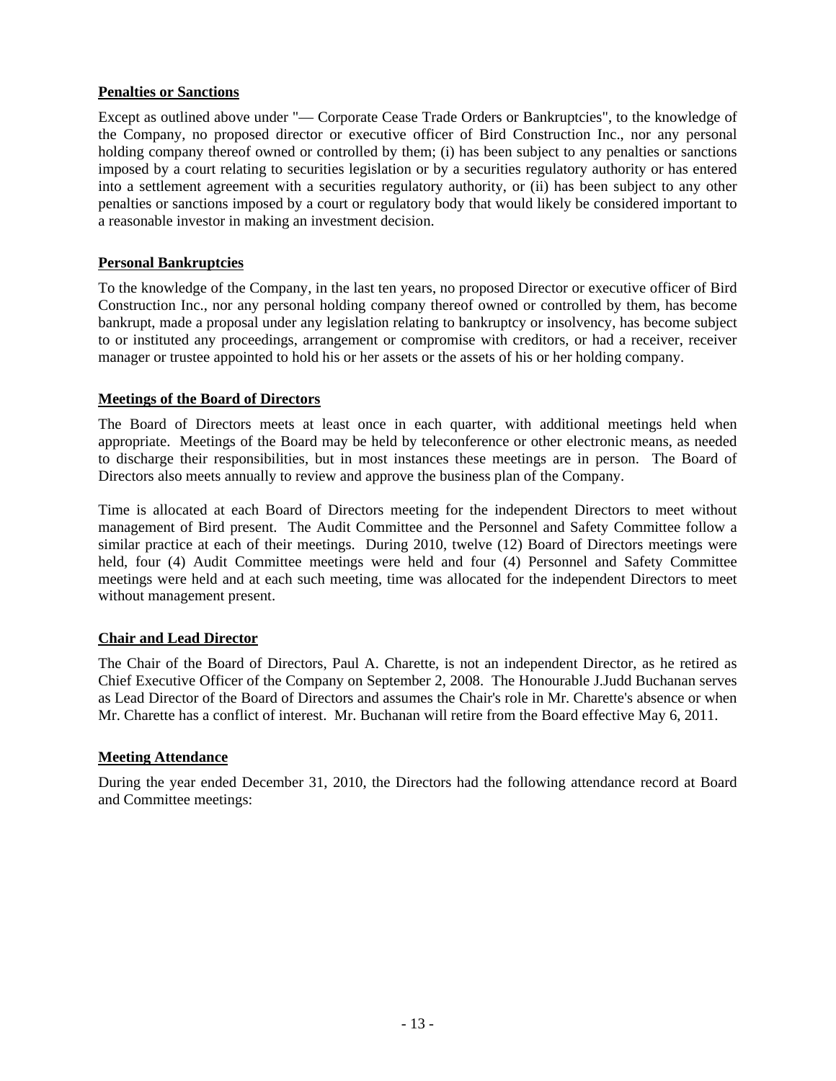# **Penalties or Sanctions**

Except as outlined above under "— Corporate Cease Trade Orders or Bankruptcies", to the knowledge of the Company, no proposed director or executive officer of Bird Construction Inc., nor any personal holding company thereof owned or controlled by them; (i) has been subject to any penalties or sanctions imposed by a court relating to securities legislation or by a securities regulatory authority or has entered into a settlement agreement with a securities regulatory authority, or (ii) has been subject to any other penalties or sanctions imposed by a court or regulatory body that would likely be considered important to a reasonable investor in making an investment decision.

# **Personal Bankruptcies**

To the knowledge of the Company, in the last ten years, no proposed Director or executive officer of Bird Construction Inc., nor any personal holding company thereof owned or controlled by them, has become bankrupt, made a proposal under any legislation relating to bankruptcy or insolvency, has become subject to or instituted any proceedings, arrangement or compromise with creditors, or had a receiver, receiver manager or trustee appointed to hold his or her assets or the assets of his or her holding company.

## **Meetings of the Board of Directors**

The Board of Directors meets at least once in each quarter, with additional meetings held when appropriate. Meetings of the Board may be held by teleconference or other electronic means, as needed to discharge their responsibilities, but in most instances these meetings are in person. The Board of Directors also meets annually to review and approve the business plan of the Company.

Time is allocated at each Board of Directors meeting for the independent Directors to meet without management of Bird present. The Audit Committee and the Personnel and Safety Committee follow a similar practice at each of their meetings. During 2010, twelve (12) Board of Directors meetings were held, four (4) Audit Committee meetings were held and four (4) Personnel and Safety Committee meetings were held and at each such meeting, time was allocated for the independent Directors to meet without management present.

# **Chair and Lead Director**

The Chair of the Board of Directors, Paul A. Charette, is not an independent Director, as he retired as Chief Executive Officer of the Company on September 2, 2008. The Honourable J.Judd Buchanan serves as Lead Director of the Board of Directors and assumes the Chair's role in Mr. Charette's absence or when Mr. Charette has a conflict of interest. Mr. Buchanan will retire from the Board effective May 6, 2011.

## **Meeting Attendance**

During the year ended December 31, 2010, the Directors had the following attendance record at Board and Committee meetings: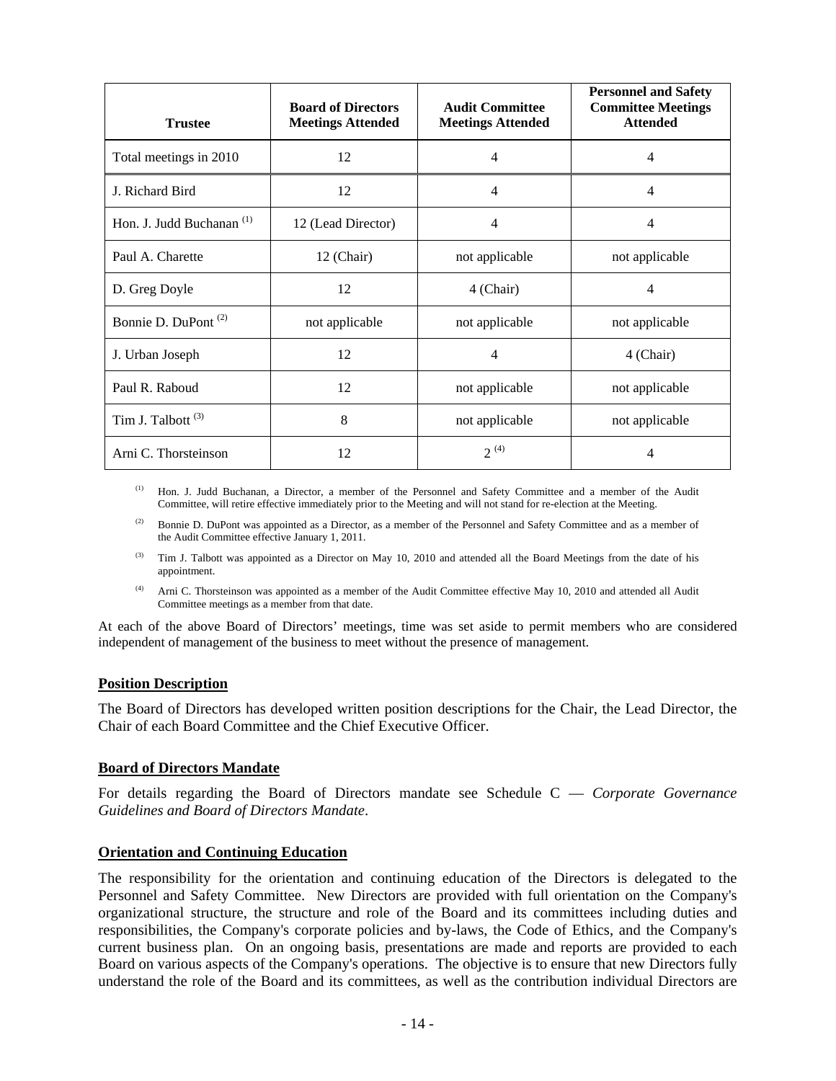| <b>Trustee</b>                       | <b>Board of Directors</b><br><b>Meetings Attended</b> | <b>Audit Committee</b><br><b>Meetings Attended</b> | <b>Personnel and Safety</b><br><b>Committee Meetings</b><br><b>Attended</b> |  |
|--------------------------------------|-------------------------------------------------------|----------------------------------------------------|-----------------------------------------------------------------------------|--|
| Total meetings in 2010               | 12                                                    | $\overline{4}$                                     | $\overline{4}$                                                              |  |
| J. Richard Bird                      | 12                                                    | $\overline{4}$                                     | $\overline{4}$                                                              |  |
| Hon. J. Judd Buchanan <sup>(1)</sup> | 12 (Lead Director)                                    | $\overline{4}$                                     | $\overline{4}$                                                              |  |
| Paul A. Charette                     | 12 (Chair)                                            | not applicable                                     | not applicable                                                              |  |
| D. Greg Doyle                        | 12                                                    | 4 (Chair)                                          | $\overline{4}$                                                              |  |
| Bonnie D. DuPont <sup>(2)</sup>      | not applicable                                        | not applicable                                     | not applicable                                                              |  |
| J. Urban Joseph                      | 12                                                    | $\overline{\mathcal{A}}$                           | 4 (Chair)                                                                   |  |
| Paul R. Raboud                       | 12                                                    | not applicable                                     | not applicable                                                              |  |
| Tim J. Talbott <sup>(3)</sup>        | 8                                                     | not applicable                                     | not applicable                                                              |  |
| Arni C. Thorsteinson                 | 12                                                    | $2^{(4)}$                                          | 4                                                                           |  |

(1) Hon. J. Judd Buchanan, a Director, a member of the Personnel and Safety Committee and a member of the Audit Committee, will retire effective immediately prior to the Meeting and will not stand for re-election at the Meeting.

(2) Bonnie D. DuPont was appointed as a Director, as a member of the Personnel and Safety Committee and as a member of the Audit Committee effective January 1, 2011.

- <sup>(3)</sup> Tim J. Talbott was appointed as a Director on May 10, 2010 and attended all the Board Meetings from the date of his appointment.
- (4) Arni C. Thorsteinson was appointed as a member of the Audit Committee effective May 10, 2010 and attended all Audit Committee meetings as a member from that date.

At each of the above Board of Directors' meetings, time was set aside to permit members who are considered independent of management of the business to meet without the presence of management.

## **Position Description**

The Board of Directors has developed written position descriptions for the Chair, the Lead Director, the Chair of each Board Committee and the Chief Executive Officer.

#### **Board of Directors Mandate**

For details regarding the Board of Directors mandate see Schedule C — *Corporate Governance Guidelines and Board of Directors Mandate*.

## **Orientation and Continuing Education**

The responsibility for the orientation and continuing education of the Directors is delegated to the Personnel and Safety Committee. New Directors are provided with full orientation on the Company's organizational structure, the structure and role of the Board and its committees including duties and responsibilities, the Company's corporate policies and by-laws, the Code of Ethics, and the Company's current business plan. On an ongoing basis, presentations are made and reports are provided to each Board on various aspects of the Company's operations. The objective is to ensure that new Directors fully understand the role of the Board and its committees, as well as the contribution individual Directors are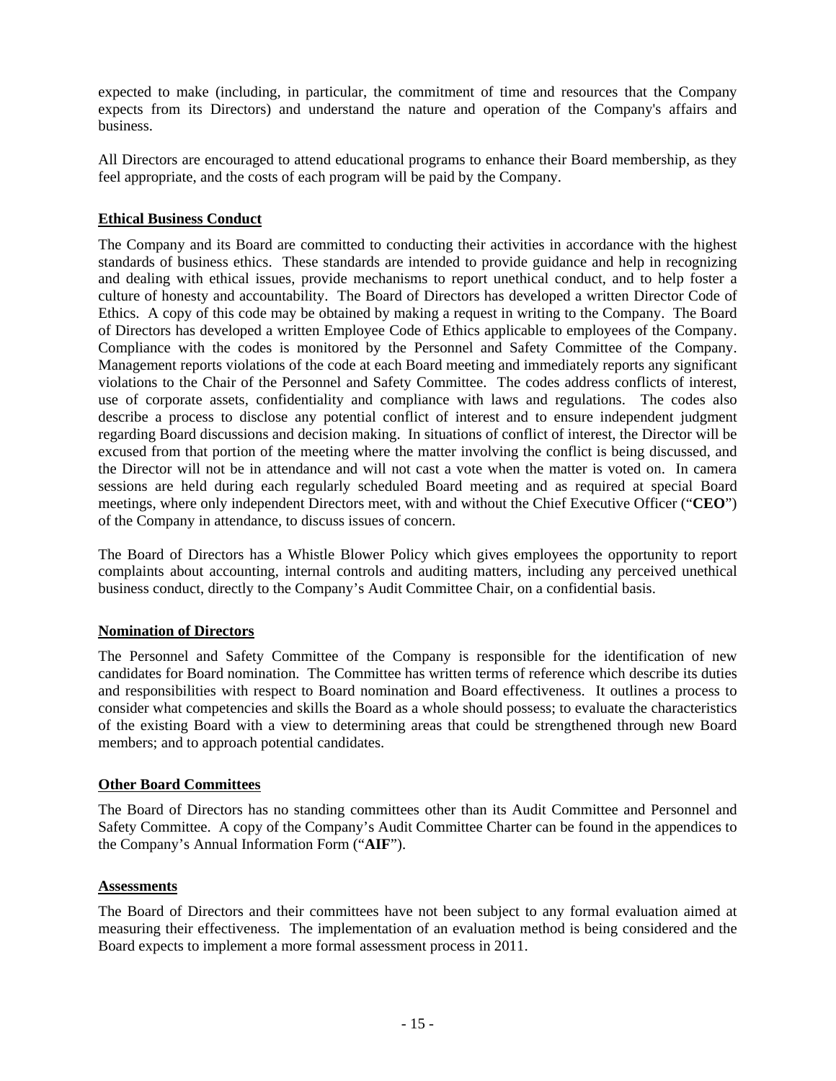expected to make (including, in particular, the commitment of time and resources that the Company expects from its Directors) and understand the nature and operation of the Company's affairs and business.

All Directors are encouraged to attend educational programs to enhance their Board membership, as they feel appropriate, and the costs of each program will be paid by the Company.

## **Ethical Business Conduct**

The Company and its Board are committed to conducting their activities in accordance with the highest standards of business ethics. These standards are intended to provide guidance and help in recognizing and dealing with ethical issues, provide mechanisms to report unethical conduct, and to help foster a culture of honesty and accountability. The Board of Directors has developed a written Director Code of Ethics. A copy of this code may be obtained by making a request in writing to the Company. The Board of Directors has developed a written Employee Code of Ethics applicable to employees of the Company. Compliance with the codes is monitored by the Personnel and Safety Committee of the Company. Management reports violations of the code at each Board meeting and immediately reports any significant violations to the Chair of the Personnel and Safety Committee. The codes address conflicts of interest, use of corporate assets, confidentiality and compliance with laws and regulations. The codes also describe a process to disclose any potential conflict of interest and to ensure independent judgment regarding Board discussions and decision making. In situations of conflict of interest, the Director will be excused from that portion of the meeting where the matter involving the conflict is being discussed, and the Director will not be in attendance and will not cast a vote when the matter is voted on. In camera sessions are held during each regularly scheduled Board meeting and as required at special Board meetings, where only independent Directors meet, with and without the Chief Executive Officer ("**CEO**") of the Company in attendance, to discuss issues of concern.

The Board of Directors has a Whistle Blower Policy which gives employees the opportunity to report complaints about accounting, internal controls and auditing matters, including any perceived unethical business conduct, directly to the Company's Audit Committee Chair, on a confidential basis.

## **Nomination of Directors**

The Personnel and Safety Committee of the Company is responsible for the identification of new candidates for Board nomination. The Committee has written terms of reference which describe its duties and responsibilities with respect to Board nomination and Board effectiveness. It outlines a process to consider what competencies and skills the Board as a whole should possess; to evaluate the characteristics of the existing Board with a view to determining areas that could be strengthened through new Board members; and to approach potential candidates.

## **Other Board Committees**

The Board of Directors has no standing committees other than its Audit Committee and Personnel and Safety Committee. A copy of the Company's Audit Committee Charter can be found in the appendices to the Company's Annual Information Form ("**AIF**").

## **Assessments**

The Board of Directors and their committees have not been subject to any formal evaluation aimed at measuring their effectiveness. The implementation of an evaluation method is being considered and the Board expects to implement a more formal assessment process in 2011.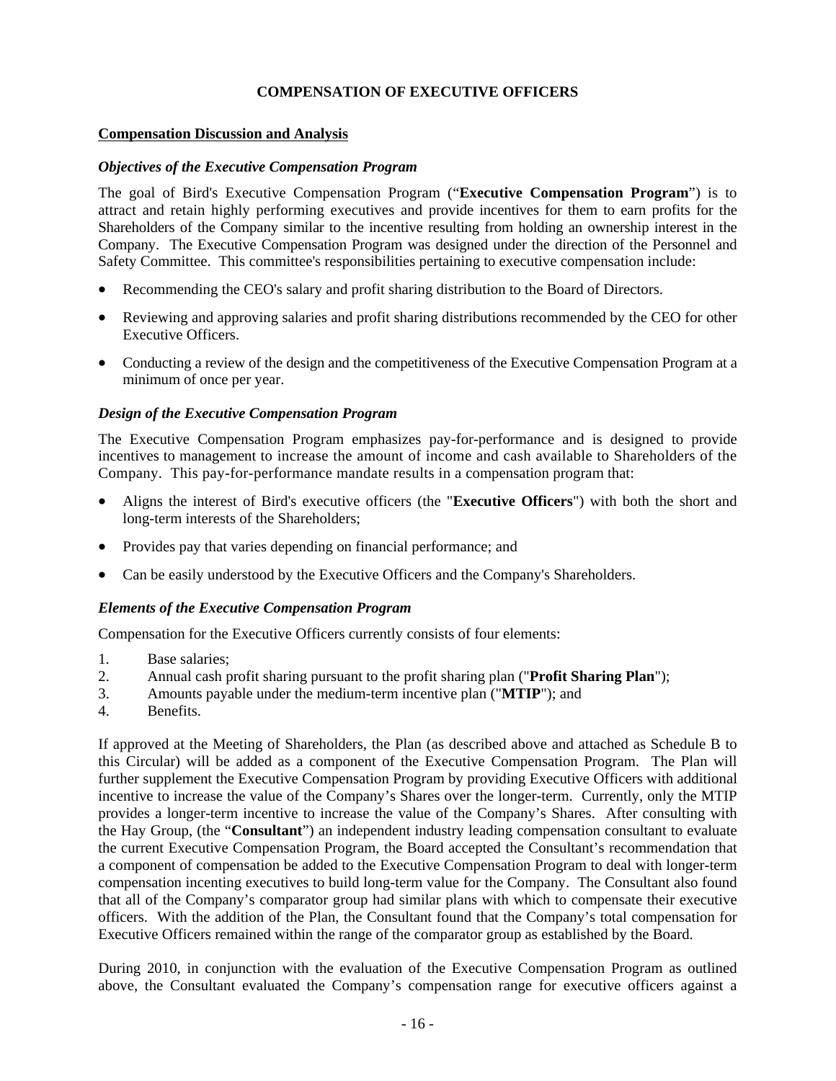# **COMPENSATION OF EXECUTIVE OFFICERS**

#### **Compensation Discussion and Analysis**

#### *Objectives of the Executive Compensation Program*

The goal of Bird's Executive Compensation Program ("**Executive Compensation Program**") is to attract and retain highly performing executives and provide incentives for them to earn profits for the Shareholders of the Company similar to the incentive resulting from holding an ownership interest in the Company. The Executive Compensation Program was designed under the direction of the Personnel and Safety Committee. This committee's responsibilities pertaining to executive compensation include:

- Recommending the CEO's salary and profit sharing distribution to the Board of Directors.
- Reviewing and approving salaries and profit sharing distributions recommended by the CEO for other Executive Officers.
- Conducting a review of the design and the competitiveness of the Executive Compensation Program at a minimum of once per year.

## *Design of the Executive Compensation Program*

The Executive Compensation Program emphasizes pay-for-performance and is designed to provide incentives to management to increase the amount of income and cash available to Shareholders of the Company. This pay-for-performance mandate results in a compensation program that:

- Aligns the interest of Bird's executive officers (the "**Executive Officers**") with both the short and long-term interests of the Shareholders;
- Provides pay that varies depending on financial performance; and
- Can be easily understood by the Executive Officers and the Company's Shareholders.

## *Elements of the Executive Compensation Program*

Compensation for the Executive Officers currently consists of four elements:

- 1. Base salaries;
- 2. Annual cash profit sharing pursuant to the profit sharing plan ("**Profit Sharing Plan**");
- 3. Amounts payable under the medium-term incentive plan ("**MTIP**"); and
- 4. Benefits.

If approved at the Meeting of Shareholders, the Plan (as described above and attached as Schedule B to this Circular) will be added as a component of the Executive Compensation Program. The Plan will further supplement the Executive Compensation Program by providing Executive Officers with additional incentive to increase the value of the Company's Shares over the longer-term. Currently, only the MTIP provides a longer-term incentive to increase the value of the Company's Shares. After consulting with the Hay Group, (the "**Consultant**") an independent industry leading compensation consultant to evaluate the current Executive Compensation Program, the Board accepted the Consultant's recommendation that a component of compensation be added to the Executive Compensation Program to deal with longer-term compensation incenting executives to build long-term value for the Company. The Consultant also found that all of the Company's comparator group had similar plans with which to compensate their executive officers. With the addition of the Plan, the Consultant found that the Company's total compensation for Executive Officers remained within the range of the comparator group as established by the Board.

During 2010, in conjunction with the evaluation of the Executive Compensation Program as outlined above, the Consultant evaluated the Company's compensation range for executive officers against a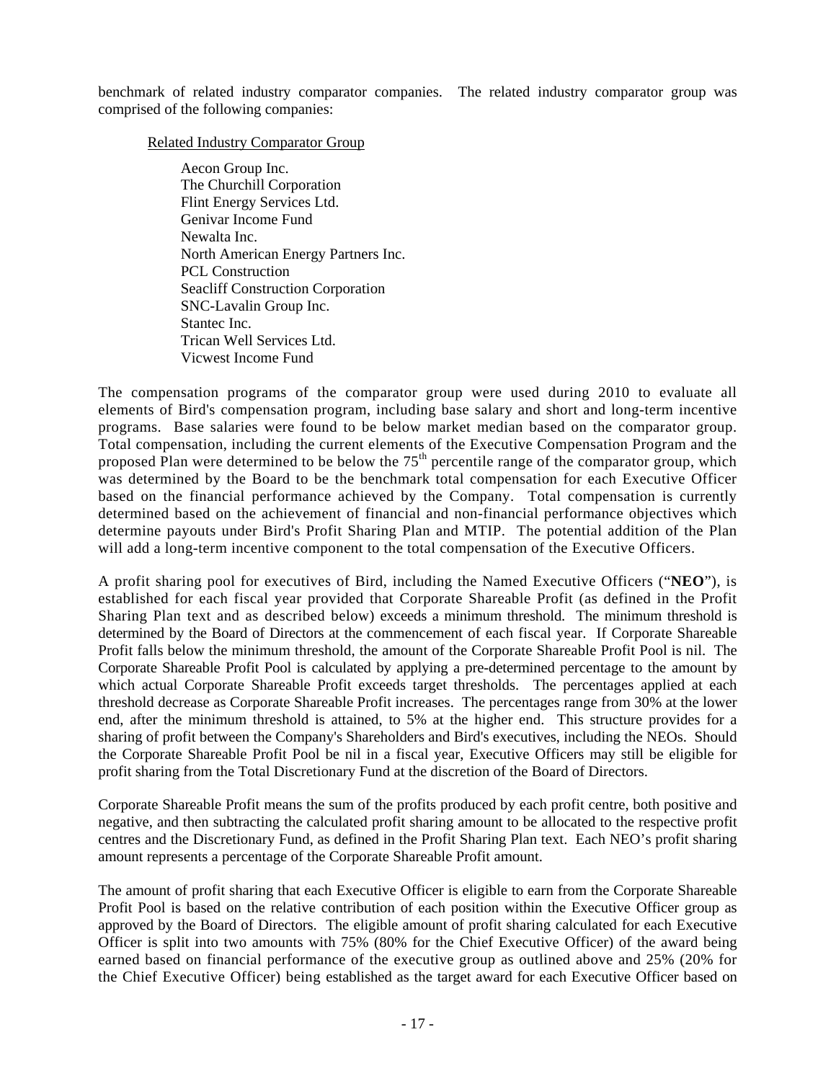benchmark of related industry comparator companies. The related industry comparator group was comprised of the following companies:

#### Related Industry Comparator Group

Aecon Group Inc. The Churchill Corporation Flint Energy Services Ltd. Genivar Income Fund Newalta Inc. North American Energy Partners Inc. PCL Construction Seacliff Construction Corporation SNC-Lavalin Group Inc. Stantec Inc. Trican Well Services Ltd. Vicwest Income Fund

The compensation programs of the comparator group were used during 2010 to evaluate all elements of Bird's compensation program, including base salary and short and long-term incentive programs. Base salaries were found to be below market median based on the comparator group. Total compensation, including the current elements of the Executive Compensation Program and the proposed Plan were determined to be below the 75<sup>th</sup> percentile range of the comparator group, which was determined by the Board to be the benchmark total compensation for each Executive Officer based on the financial performance achieved by the Company. Total compensation is currently determined based on the achievement of financial and non-financial performance objectives which determine payouts under Bird's Profit Sharing Plan and MTIP. The potential addition of the Plan will add a long-term incentive component to the total compensation of the Executive Officers.

A profit sharing pool for executives of Bird, including the Named Executive Officers ("**NEO**"), is established for each fiscal year provided that Corporate Shareable Profit (as defined in the Profit Sharing Plan text and as described below) exceeds a minimum threshold. The minimum threshold is determined by the Board of Directors at the commencement of each fiscal year. If Corporate Shareable Profit falls below the minimum threshold, the amount of the Corporate Shareable Profit Pool is nil. The Corporate Shareable Profit Pool is calculated by applying a pre-determined percentage to the amount by which actual Corporate Shareable Profit exceeds target thresholds. The percentages applied at each threshold decrease as Corporate Shareable Profit increases. The percentages range from 30% at the lower end, after the minimum threshold is attained, to 5% at the higher end. This structure provides for a sharing of profit between the Company's Shareholders and Bird's executives, including the NEOs. Should the Corporate Shareable Profit Pool be nil in a fiscal year, Executive Officers may still be eligible for profit sharing from the Total Discretionary Fund at the discretion of the Board of Directors.

Corporate Shareable Profit means the sum of the profits produced by each profit centre, both positive and negative, and then subtracting the calculated profit sharing amount to be allocated to the respective profit centres and the Discretionary Fund, as defined in the Profit Sharing Plan text. Each NEO's profit sharing amount represents a percentage of the Corporate Shareable Profit amount.

The amount of profit sharing that each Executive Officer is eligible to earn from the Corporate Shareable Profit Pool is based on the relative contribution of each position within the Executive Officer group as approved by the Board of Directors. The eligible amount of profit sharing calculated for each Executive Officer is split into two amounts with 75% (80% for the Chief Executive Officer) of the award being earned based on financial performance of the executive group as outlined above and 25% (20% for the Chief Executive Officer) being established as the target award for each Executive Officer based on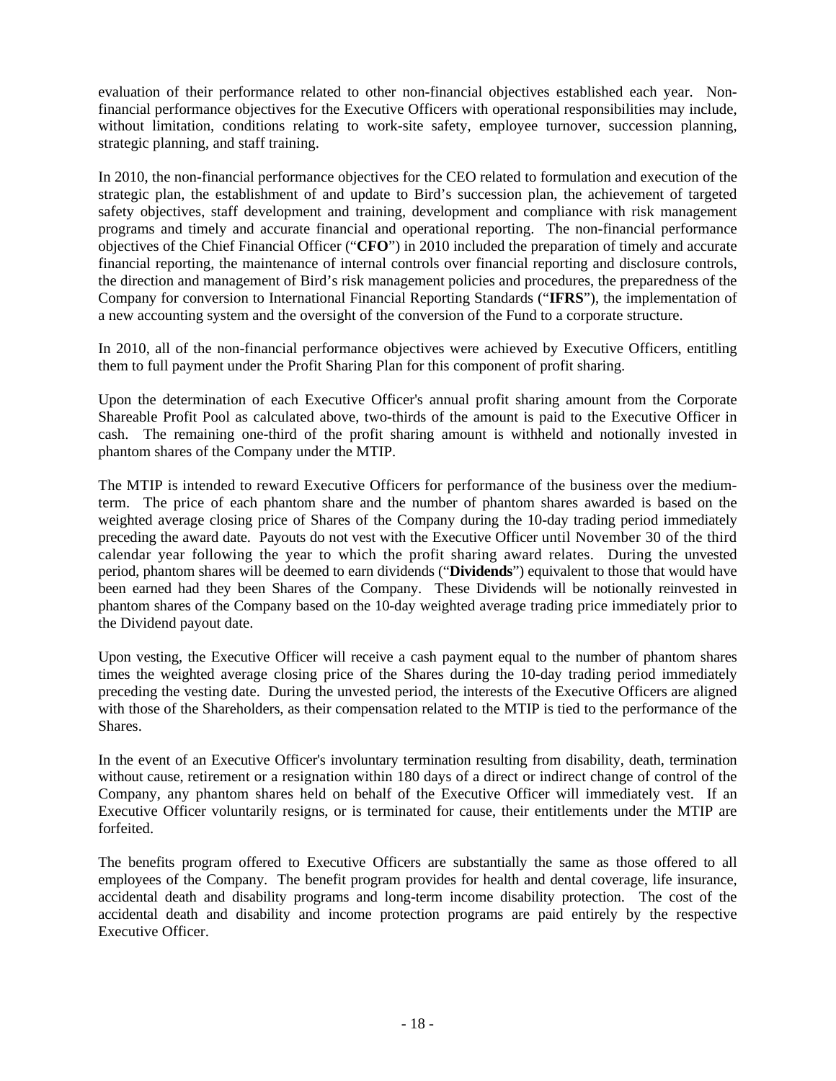evaluation of their performance related to other non-financial objectives established each year. Nonfinancial performance objectives for the Executive Officers with operational responsibilities may include, without limitation, conditions relating to work-site safety, employee turnover, succession planning, strategic planning, and staff training.

In 2010, the non-financial performance objectives for the CEO related to formulation and execution of the strategic plan, the establishment of and update to Bird's succession plan, the achievement of targeted safety objectives, staff development and training, development and compliance with risk management programs and timely and accurate financial and operational reporting. The non-financial performance objectives of the Chief Financial Officer ("**CFO**") in 2010 included the preparation of timely and accurate financial reporting, the maintenance of internal controls over financial reporting and disclosure controls, the direction and management of Bird's risk management policies and procedures, the preparedness of the Company for conversion to International Financial Reporting Standards ("**IFRS**"), the implementation of a new accounting system and the oversight of the conversion of the Fund to a corporate structure.

In 2010, all of the non-financial performance objectives were achieved by Executive Officers, entitling them to full payment under the Profit Sharing Plan for this component of profit sharing.

Upon the determination of each Executive Officer's annual profit sharing amount from the Corporate Shareable Profit Pool as calculated above, two-thirds of the amount is paid to the Executive Officer in cash. The remaining one-third of the profit sharing amount is withheld and notionally invested in phantom shares of the Company under the MTIP.

The MTIP is intended to reward Executive Officers for performance of the business over the mediumterm. The price of each phantom share and the number of phantom shares awarded is based on the weighted average closing price of Shares of the Company during the 10-day trading period immediately preceding the award date. Payouts do not vest with the Executive Officer until November 30 of the third calendar year following the year to which the profit sharing award relates. During the unvested period, phantom shares will be deemed to earn dividends ("**Dividends**") equivalent to those that would have been earned had they been Shares of the Company. These Dividends will be notionally reinvested in phantom shares of the Company based on the 10-day weighted average trading price immediately prior to the Dividend payout date.

Upon vesting, the Executive Officer will receive a cash payment equal to the number of phantom shares times the weighted average closing price of the Shares during the 10-day trading period immediately preceding the vesting date. During the unvested period, the interests of the Executive Officers are aligned with those of the Shareholders, as their compensation related to the MTIP is tied to the performance of the Shares.

In the event of an Executive Officer's involuntary termination resulting from disability, death, termination without cause, retirement or a resignation within 180 days of a direct or indirect change of control of the Company, any phantom shares held on behalf of the Executive Officer will immediately vest. If an Executive Officer voluntarily resigns, or is terminated for cause, their entitlements under the MTIP are forfeited.

The benefits program offered to Executive Officers are substantially the same as those offered to all employees of the Company. The benefit program provides for health and dental coverage, life insurance, accidental death and disability programs and long-term income disability protection. The cost of the accidental death and disability and income protection programs are paid entirely by the respective Executive Officer.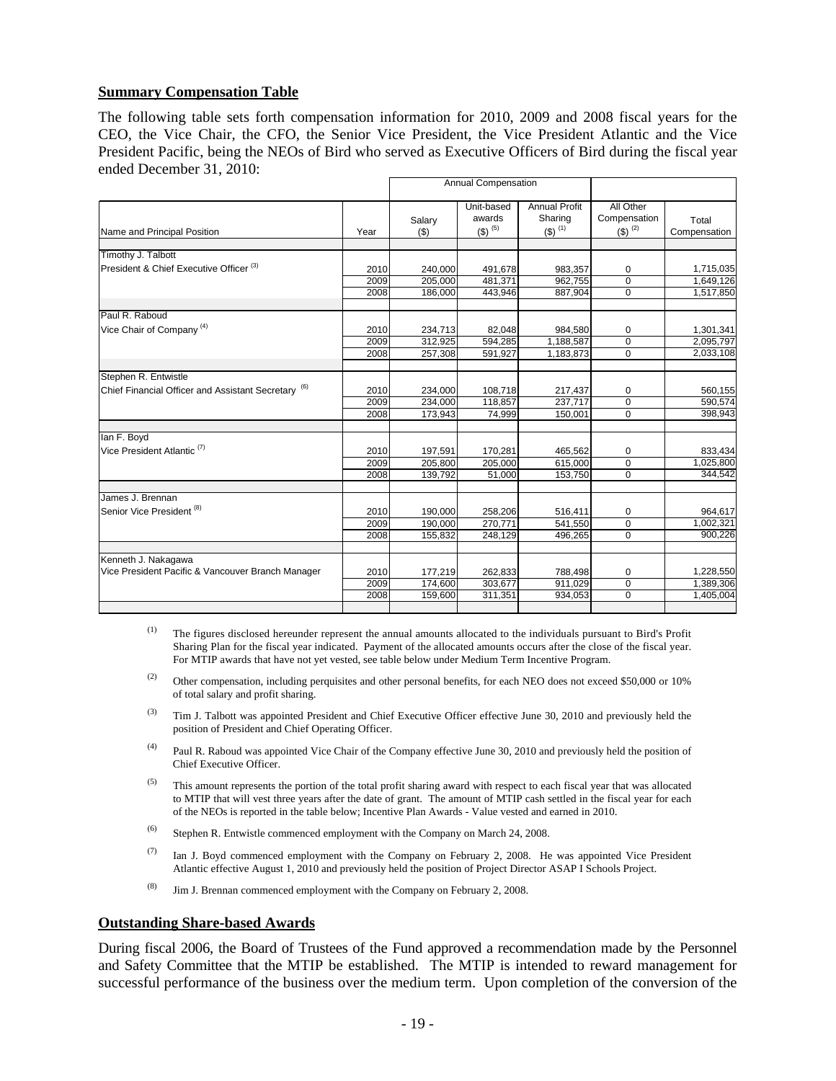## **Summary Compensation Table**

The following table sets forth compensation information for 2010, 2009 and 2008 fiscal years for the CEO, the Vice Chair, the CFO, the Senior Vice President, the Vice President Atlantic and the Vice President Pacific, being the NEOs of Bird who served as Executive Officers of Bird during the fiscal year ended December 31, 2010:

|                                                                |      | Annual Compensation |                                          |                                         |                                               |                       |
|----------------------------------------------------------------|------|---------------------|------------------------------------------|-----------------------------------------|-----------------------------------------------|-----------------------|
| Name and Principal Position                                    | Year | Salary<br>(3)       | Unit-based<br>awards<br>$($ \$) $^{(5)}$ | Annual Profit<br>Sharing<br>$(5)^{(1)}$ | All Other<br>Compensation<br>$($ \$) $^{(2)}$ | Total<br>Compensation |
| Timothy J. Talbott                                             |      |                     |                                          |                                         |                                               |                       |
| President & Chief Executive Officer <sup>(3)</sup>             | 2010 | 240,000             | 491,678                                  | 983,357                                 | 0                                             | 1,715,035             |
|                                                                | 2009 | 205,000             | 481,371                                  | 962,755                                 | $\Omega$                                      | 1,649,126             |
|                                                                | 2008 | 186,000             | 443,946                                  | 887,904                                 | $\mathbf 0$                                   | 1,517,850             |
| Paul R. Raboud                                                 |      |                     |                                          |                                         |                                               |                       |
| Vice Chair of Company <sup>(4)</sup>                           | 2010 | 234,713             | 82,048                                   | 984,580                                 | 0                                             | 1,301,341             |
|                                                                | 2009 | 312,925             | 594,285                                  | 1,188,587                               | $\mathbf 0$                                   | 2,095,797             |
|                                                                | 2008 | 257,308             | 591,927                                  | 1,183,873                               | $\mathbf 0$                                   | 2,033,108             |
| Stephen R. Entwistle                                           |      |                     |                                          |                                         |                                               |                       |
| Chief Financial Officer and Assistant Secretary <sup>(6)</sup> | 2010 | 234,000             | 108,718                                  | 217,437                                 | 0                                             | 560,155               |
|                                                                | 2009 | 234,000             | 118,857                                  | 237,717                                 | $\mathbf 0$                                   | 590,574               |
|                                                                | 2008 | 173,943             | 74,999                                   | 150,001                                 | $\mathbf 0$                                   | 398,943               |
| lan F. Boyd                                                    |      |                     |                                          |                                         |                                               |                       |
| Vice President Atlantic <sup>(7)</sup>                         | 2010 | 197,591             | 170,281                                  | 465,562                                 | 0                                             | 833,434               |
|                                                                | 2009 | 205,800             | 205,000                                  | 615,000                                 | 0                                             | 1,025,800             |
|                                                                | 2008 | 139,792             | 51,000                                   | 153,750                                 | 0                                             | 344,542               |
| James J. Brennan                                               |      |                     |                                          |                                         |                                               |                       |
| Senior Vice President <sup>(8)</sup>                           | 2010 | 190,000             | 258,206                                  | 516,411                                 | 0                                             | 964,617               |
|                                                                | 2009 | 190,000             | 270,771                                  | 541,550                                 | $\overline{0}$                                | 1,002,321             |
|                                                                | 2008 | 155,832             | 248,129                                  | 496,265                                 | $\Omega$                                      | 900,226               |
| Kenneth J. Nakagawa                                            |      |                     |                                          |                                         |                                               |                       |
| Vice President Pacific & Vancouver Branch Manager              | 2010 | 177,219             | 262,833                                  | 788,498                                 | 0                                             | 1,228,550             |
|                                                                | 2009 | 174,600             | 303,677                                  | 911,029                                 | 0                                             | 1,389,306             |
|                                                                | 2008 | 159,600             | 311,351                                  | 934,053                                 | $\mathbf 0$                                   | 1,405,004             |
|                                                                |      |                     |                                          |                                         |                                               |                       |

- $<sup>(1)</sup>$  The figures disclosed hereunder represent the annual amounts allocated to the individuals pursuant to Bird's Profit</sup> Sharing Plan for the fiscal year indicated. Payment of the allocated amounts occurs after the close of the fiscal year. For MTIP awards that have not yet vested, see table below under Medium Term Incentive Program.
- (2) Other compensation, including perquisites and other personal benefits, for each NEO does not exceed \$50,000 or 10% of total salary and profit sharing.
- <sup>(3)</sup> Tim J. Talbott was appointed President and Chief Executive Officer effective June 30, 2010 and previously held the position of President and Chief Operating Officer.
- $(4)$  Paul R. Raboud was appointed Vice Chair of the Company effective June 30, 2010 and previously held the position of Chief Executive Officer.
- $<sup>(5)</sup>$  This amount represents the portion of the total profit sharing award with respect to each fiscal year that was allocated</sup> to MTIP that will vest three years after the date of grant. The amount of MTIP cash settled in the fiscal year for each of the NEOs is reported in the table below; Incentive Plan Awards - Value vested and earned in 2010.
- (6) Stephen R. Entwistle commenced employment with the Company on March 24, 2008.
- (7) Ian J. Boyd commenced employment with the Company on February 2, 2008. He was appointed Vice President Atlantic effective August 1, 2010 and previously held the position of Project Director ASAP I Schools Project.
- (8) Jim J. Brennan commenced employment with the Company on February 2, 2008.

#### **Outstanding Share-based Awards**

During fiscal 2006, the Board of Trustees of the Fund approved a recommendation made by the Personnel and Safety Committee that the MTIP be established. The MTIP is intended to reward management for successful performance of the business over the medium term. Upon completion of the conversion of the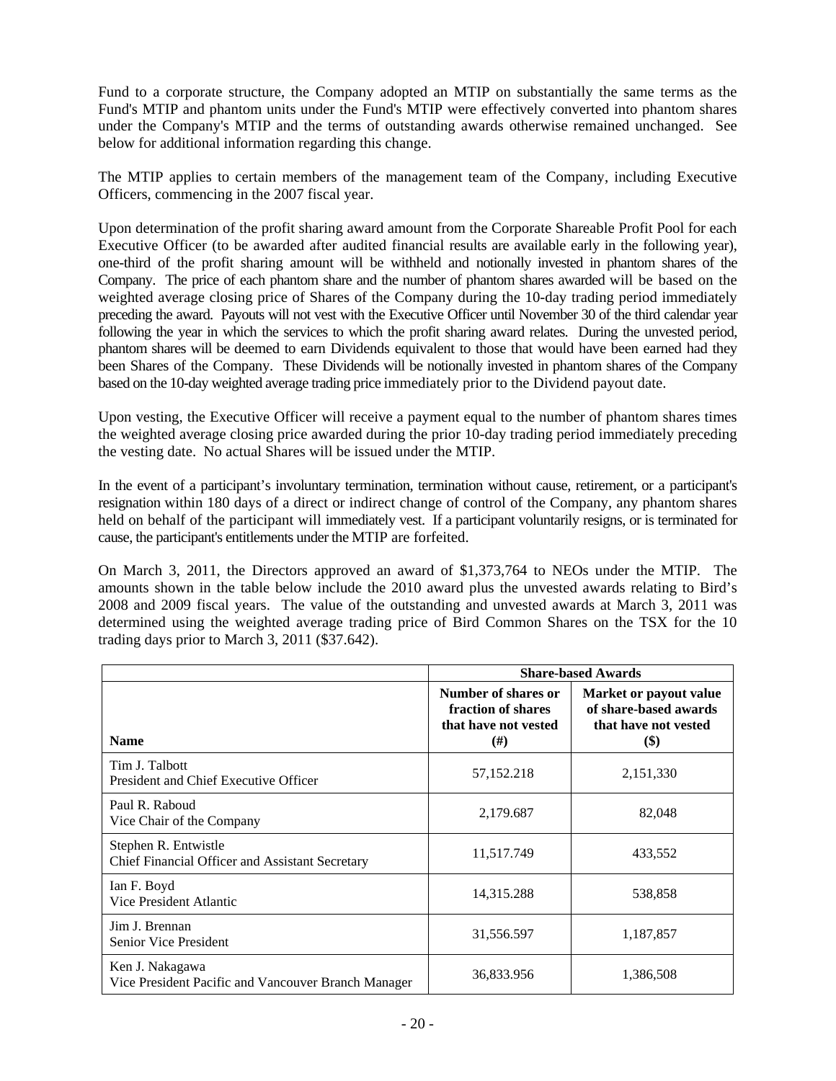Fund to a corporate structure, the Company adopted an MTIP on substantially the same terms as the Fund's MTIP and phantom units under the Fund's MTIP were effectively converted into phantom shares under the Company's MTIP and the terms of outstanding awards otherwise remained unchanged. See below for additional information regarding this change.

The MTIP applies to certain members of the management team of the Company, including Executive Officers, commencing in the 2007 fiscal year.

Upon determination of the profit sharing award amount from the Corporate Shareable Profit Pool for each Executive Officer (to be awarded after audited financial results are available early in the following year), one-third of the profit sharing amount will be withheld and notionally invested in phantom shares of the Company. The price of each phantom share and the number of phantom shares awarded will be based on the weighted average closing price of Shares of the Company during the 10-day trading period immediately preceding the award. Payouts will not vest with the Executive Officer until November 30 of the third calendar year following the year in which the services to which the profit sharing award relates. During the unvested period, phantom shares will be deemed to earn Dividends equivalent to those that would have been earned had they been Shares of the Company. These Dividends will be notionally invested in phantom shares of the Company based on the 10-day weighted average trading price immediately prior to the Dividend payout date.

Upon vesting, the Executive Officer will receive a payment equal to the number of phantom shares times the weighted average closing price awarded during the prior 10-day trading period immediately preceding the vesting date. No actual Shares will be issued under the MTIP.

In the event of a participant's involuntary termination, termination without cause, retirement, or a participant's resignation within 180 days of a direct or indirect change of control of the Company, any phantom shares held on behalf of the participant will immediately vest. If a participant voluntarily resigns, or is terminated for cause, the participant's entitlements under the MTIP are forfeited.

On March 3, 2011, the Directors approved an award of \$1,373,764 to NEOs under the MTIP. The amounts shown in the table below include the 2010 award plus the unvested awards relating to Bird's 2008 and 2009 fiscal years. The value of the outstanding and unvested awards at March 3, 2011 was determined using the weighted average trading price of Bird Common Shares on the TSX for the 10 trading days prior to March 3, 2011 (\$37.642).

|                                                                         | <b>Share-based Awards</b>                                                     |                                                                                        |  |
|-------------------------------------------------------------------------|-------------------------------------------------------------------------------|----------------------------------------------------------------------------------------|--|
| <b>Name</b>                                                             | Number of shares or<br>fraction of shares<br>that have not vested<br>$^{(#)}$ | Market or payout value<br>of share-based awards<br>that have not vested<br><b>(\$)</b> |  |
| Tim J. Talbott<br>President and Chief Executive Officer                 | 57,152.218                                                                    | 2,151,330                                                                              |  |
| Paul R. Raboud<br>Vice Chair of the Company                             | 2,179.687                                                                     | 82,048                                                                                 |  |
| Stephen R. Entwistle<br>Chief Financial Officer and Assistant Secretary | 11,517.749                                                                    | 433,552                                                                                |  |
| Ian F. Boyd<br>Vice President Atlantic                                  | 14,315.288                                                                    | 538,858                                                                                |  |
| Jim J. Brennan<br><b>Senior Vice President</b>                          | 31,556.597                                                                    | 1,187,857                                                                              |  |
| Ken J. Nakagawa<br>Vice President Pacific and Vancouver Branch Manager  | 36,833.956                                                                    | 1,386,508                                                                              |  |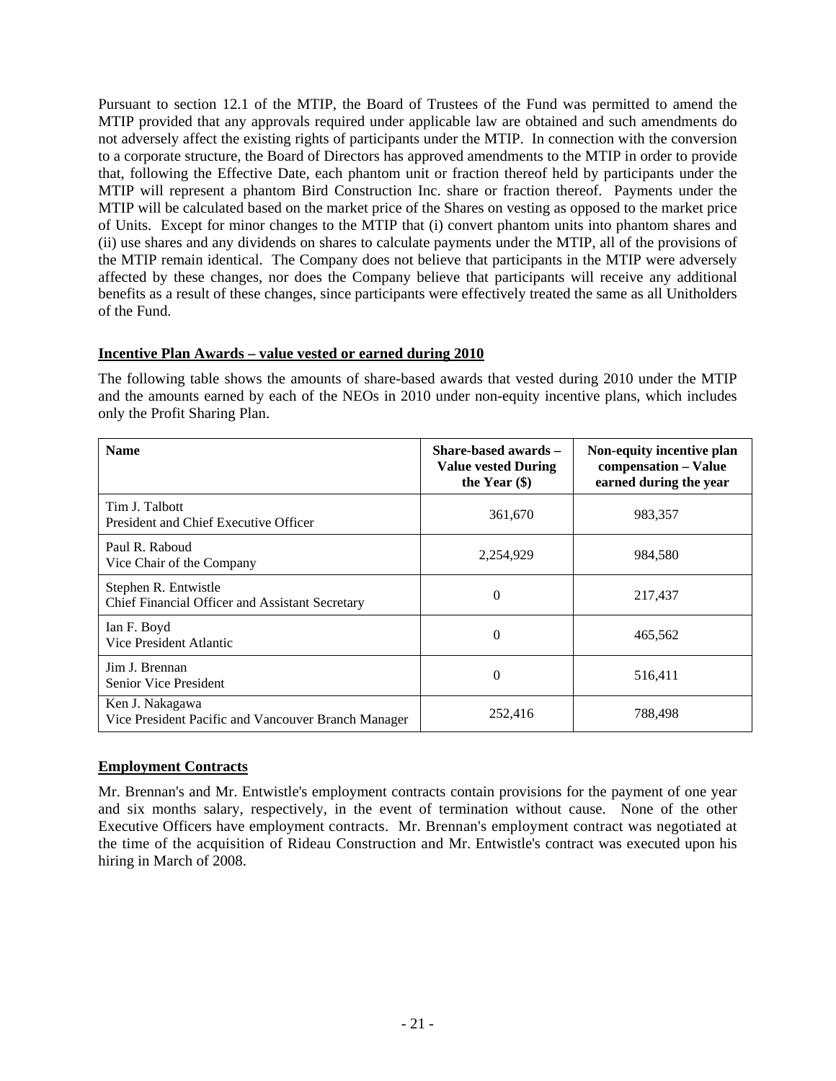Pursuant to section 12.1 of the MTIP, the Board of Trustees of the Fund was permitted to amend the MTIP provided that any approvals required under applicable law are obtained and such amendments do not adversely affect the existing rights of participants under the MTIP. In connection with the conversion to a corporate structure, the Board of Directors has approved amendments to the MTIP in order to provide that, following the Effective Date, each phantom unit or fraction thereof held by participants under the MTIP will represent a phantom Bird Construction Inc. share or fraction thereof. Payments under the MTIP will be calculated based on the market price of the Shares on vesting as opposed to the market price of Units. Except for minor changes to the MTIP that (i) convert phantom units into phantom shares and (ii) use shares and any dividends on shares to calculate payments under the MTIP, all of the provisions of the MTIP remain identical. The Company does not believe that participants in the MTIP were adversely affected by these changes, nor does the Company believe that participants will receive any additional benefits as a result of these changes, since participants were effectively treated the same as all Unitholders of the Fund.

# **Incentive Plan Awards – value vested or earned during 2010**

The following table shows the amounts of share-based awards that vested during 2010 under the MTIP and the amounts earned by each of the NEOs in 2010 under non-equity incentive plans, which includes only the Profit Sharing Plan.

| <b>Name</b>                                                             | Share-based awards -<br><b>Value vested During</b><br>the Year $(\$)$ | Non-equity incentive plan<br>compensation - Value<br>earned during the year |
|-------------------------------------------------------------------------|-----------------------------------------------------------------------|-----------------------------------------------------------------------------|
| Tim J. Talbott<br>President and Chief Executive Officer                 | 361,670                                                               | 983,357                                                                     |
| Paul R. Raboud<br>Vice Chair of the Company                             | 2,254,929                                                             | 984,580                                                                     |
| Stephen R. Entwistle<br>Chief Financial Officer and Assistant Secretary | $\theta$                                                              | 217,437                                                                     |
| Ian F. Boyd<br>Vice President Atlantic                                  | $\theta$                                                              | 465,562                                                                     |
| Jim J. Brennan<br>Senior Vice President                                 | 0                                                                     | 516,411                                                                     |
| Ken J. Nakagawa<br>Vice President Pacific and Vancouver Branch Manager  | 252,416                                                               | 788,498                                                                     |

## **Employment Contracts**

Mr. Brennan's and Mr. Entwistle's employment contracts contain provisions for the payment of one year and six months salary, respectively, in the event of termination without cause. None of the other Executive Officers have employment contracts. Mr. Brennan's employment contract was negotiated at the time of the acquisition of Rideau Construction and Mr. Entwistle's contract was executed upon his hiring in March of 2008.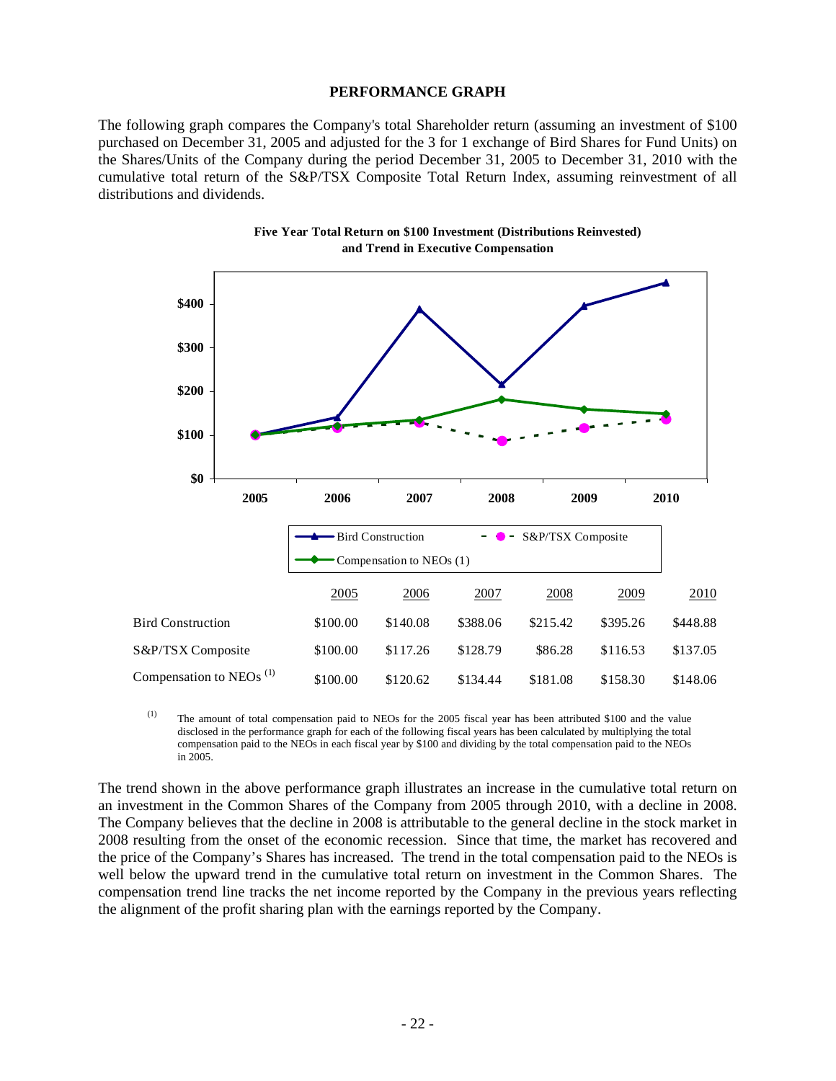#### **PERFORMANCE GRAPH**

The following graph compares the Company's total Shareholder return (assuming an investment of \$100 purchased on December 31, 2005 and adjusted for the 3 for 1 exchange of Bird Shares for Fund Units) on the Shares/Units of the Company during the period December 31, 2005 to December 31, 2010 with the cumulative total return of the S&P/TSX Composite Total Return Index, assuming reinvestment of all distributions and dividends.





(1) The amount of total compensation paid to NEOs for the 2005 fiscal year has been attributed \$100 and the value disclosed in the performance graph for each of the following fiscal years has been calculated by multiplying the total compensation paid to the NEOs in each fiscal year by \$100 and dividing by the total compensation paid to the NEOs in 2005.

The trend shown in the above performance graph illustrates an increase in the cumulative total return on an investment in the Common Shares of the Company from 2005 through 2010, with a decline in 2008. The Company believes that the decline in 2008 is attributable to the general decline in the stock market in 2008 resulting from the onset of the economic recession. Since that time, the market has recovered and the price of the Company's Shares has increased. The trend in the total compensation paid to the NEOs is well below the upward trend in the cumulative total return on investment in the Common Shares. The compensation trend line tracks the net income reported by the Company in the previous years reflecting the alignment of the profit sharing plan with the earnings reported by the Company.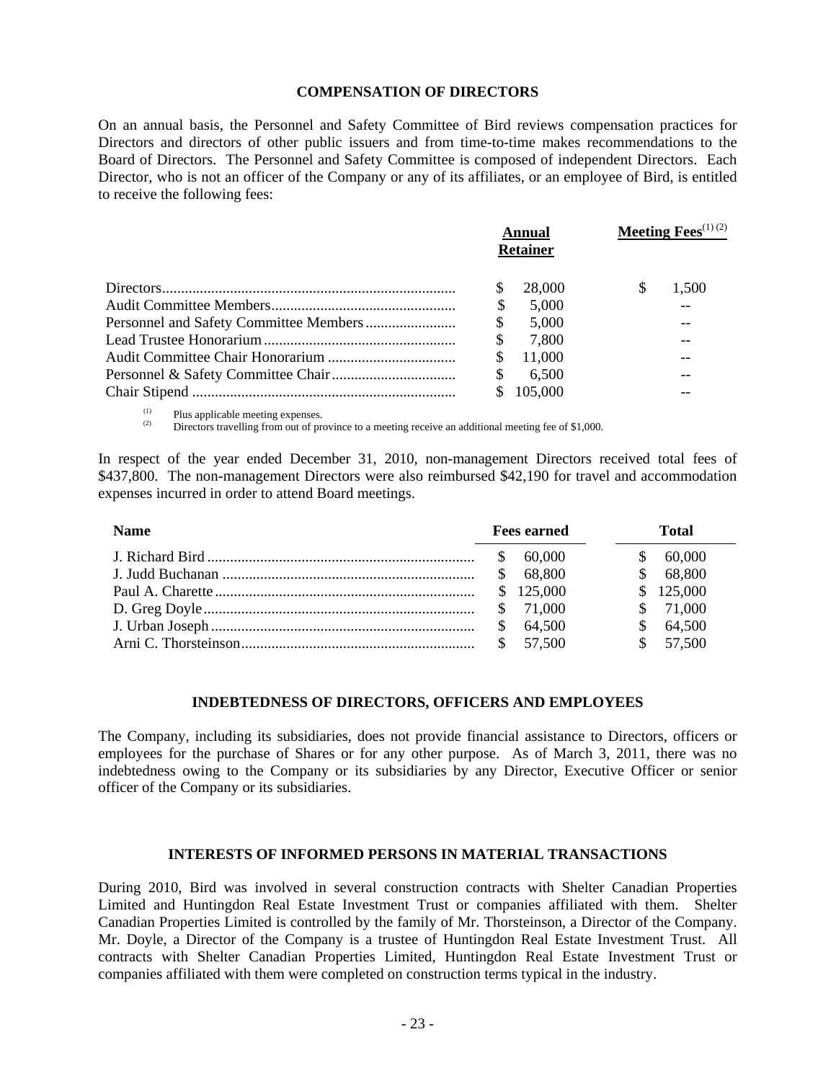#### **COMPENSATION OF DIRECTORS**

On an annual basis, the Personnel and Safety Committee of Bird reviews compensation practices for Directors and directors of other public issuers and from time-to-time makes recommendations to the Board of Directors. The Personnel and Safety Committee is composed of independent Directors. Each Director, who is not an officer of the Company or any of its affiliates, or an employee of Bird, is entitled to receive the following fees:

| <b>Annual</b><br><b>Retainer</b> | <b>Meeting Fees</b> <sup>(1) (2)</sup> |  |  |
|----------------------------------|----------------------------------------|--|--|
| 28,000                           | 1.500                                  |  |  |
| \$<br>5,000                      |                                        |  |  |
| \$<br>5,000                      |                                        |  |  |
| \$<br>7,800                      |                                        |  |  |
| \$<br>11,000                     |                                        |  |  |
| \$<br>6,500                      |                                        |  |  |
| 105,000                          |                                        |  |  |

(1) Plus applicable meeting expenses.<br>(2) Directors travelling from out of province to a meeting receive an additional meeting fee of \$1,000.

In respect of the year ended December 31, 2010, non-management Directors received total fees of \$437,800. The non-management Directors were also reimbursed \$42,190 for travel and accommodation expenses incurred in order to attend Board meetings.

| <b>Name</b> | <b>Fees earned</b> |     | Total   |
|-------------|--------------------|-----|---------|
|             | 60.000             |     | 60,000  |
|             | 68,800             | \$. | 68,800  |
|             | \$125,000          |     | 125,000 |
|             | 71.000             |     | 71,000  |
|             | 64,500             | S   | 64,500  |
|             | 57.500             |     | 57,500  |

#### **INDEBTEDNESS OF DIRECTORS, OFFICERS AND EMPLOYEES**

The Company, including its subsidiaries, does not provide financial assistance to Directors, officers or employees for the purchase of Shares or for any other purpose. As of March 3, 2011, there was no indebtedness owing to the Company or its subsidiaries by any Director, Executive Officer or senior officer of the Company or its subsidiaries.

#### **INTERESTS OF INFORMED PERSONS IN MATERIAL TRANSACTIONS**

During 2010, Bird was involved in several construction contracts with Shelter Canadian Properties Limited and Huntingdon Real Estate Investment Trust or companies affiliated with them. Shelter Canadian Properties Limited is controlled by the family of Mr. Thorsteinson, a Director of the Company. Mr. Doyle, a Director of the Company is a trustee of Huntingdon Real Estate Investment Trust. All contracts with Shelter Canadian Properties Limited, Huntingdon Real Estate Investment Trust or companies affiliated with them were completed on construction terms typical in the industry.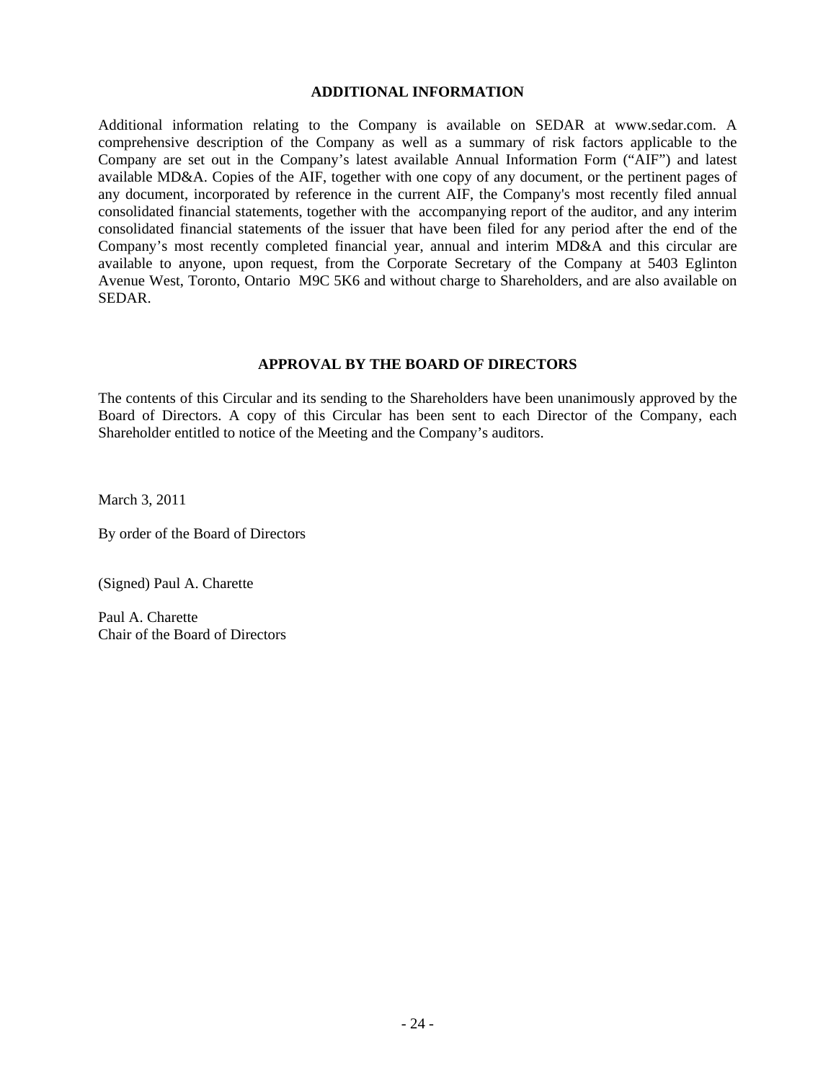#### **ADDITIONAL INFORMATION**

Additional information relating to the Company is available on SEDAR at www.sedar.com. A comprehensive description of the Company as well as a summary of risk factors applicable to the Company are set out in the Company's latest available Annual Information Form ("AIF") and latest available MD&A. Copies of the AIF, together with one copy of any document, or the pertinent pages of any document, incorporated by reference in the current AIF, the Company's most recently filed annual consolidated financial statements, together with the accompanying report of the auditor, and any interim consolidated financial statements of the issuer that have been filed for any period after the end of the Company's most recently completed financial year, annual and interim MD&A and this circular are available to anyone, upon request, from the Corporate Secretary of the Company at 5403 Eglinton Avenue West, Toronto, Ontario M9C 5K6 and without charge to Shareholders, and are also available on SEDAR.

## **APPROVAL BY THE BOARD OF DIRECTORS**

The contents of this Circular and its sending to the Shareholders have been unanimously approved by the Board of Directors. A copy of this Circular has been sent to each Director of the Company, each Shareholder entitled to notice of the Meeting and the Company's auditors.

March 3, 2011

By order of the Board of Directors

(Signed) Paul A. Charette

Paul A. Charette Chair of the Board of Directors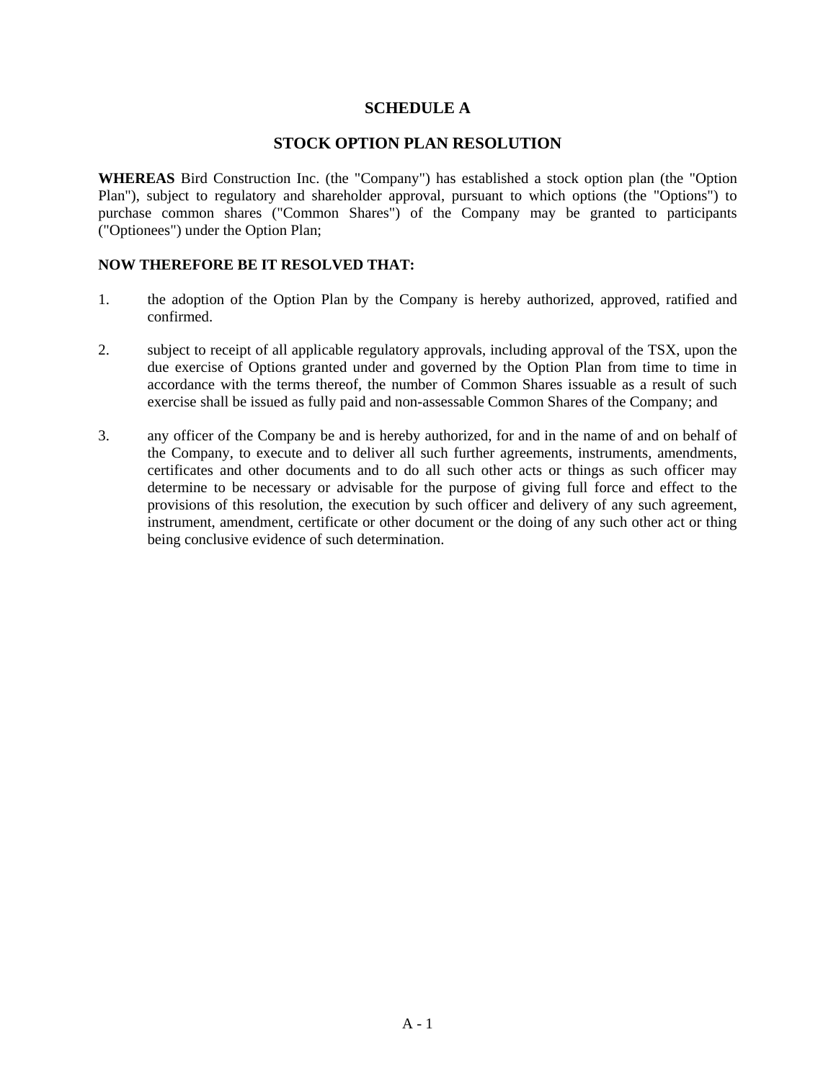# **SCHEDULE A**

# **STOCK OPTION PLAN RESOLUTION**

**WHEREAS** Bird Construction Inc. (the "Company") has established a stock option plan (the "Option Plan"), subject to regulatory and shareholder approval, pursuant to which options (the "Options") to purchase common shares ("Common Shares") of the Company may be granted to participants ("Optionees") under the Option Plan;

## **NOW THEREFORE BE IT RESOLVED THAT:**

- 1. the adoption of the Option Plan by the Company is hereby authorized, approved, ratified and confirmed.
- 2. subject to receipt of all applicable regulatory approvals, including approval of the TSX, upon the due exercise of Options granted under and governed by the Option Plan from time to time in accordance with the terms thereof, the number of Common Shares issuable as a result of such exercise shall be issued as fully paid and non-assessable Common Shares of the Company; and
- 3. any officer of the Company be and is hereby authorized, for and in the name of and on behalf of the Company, to execute and to deliver all such further agreements, instruments, amendments, certificates and other documents and to do all such other acts or things as such officer may determine to be necessary or advisable for the purpose of giving full force and effect to the provisions of this resolution, the execution by such officer and delivery of any such agreement, instrument, amendment, certificate or other document or the doing of any such other act or thing being conclusive evidence of such determination.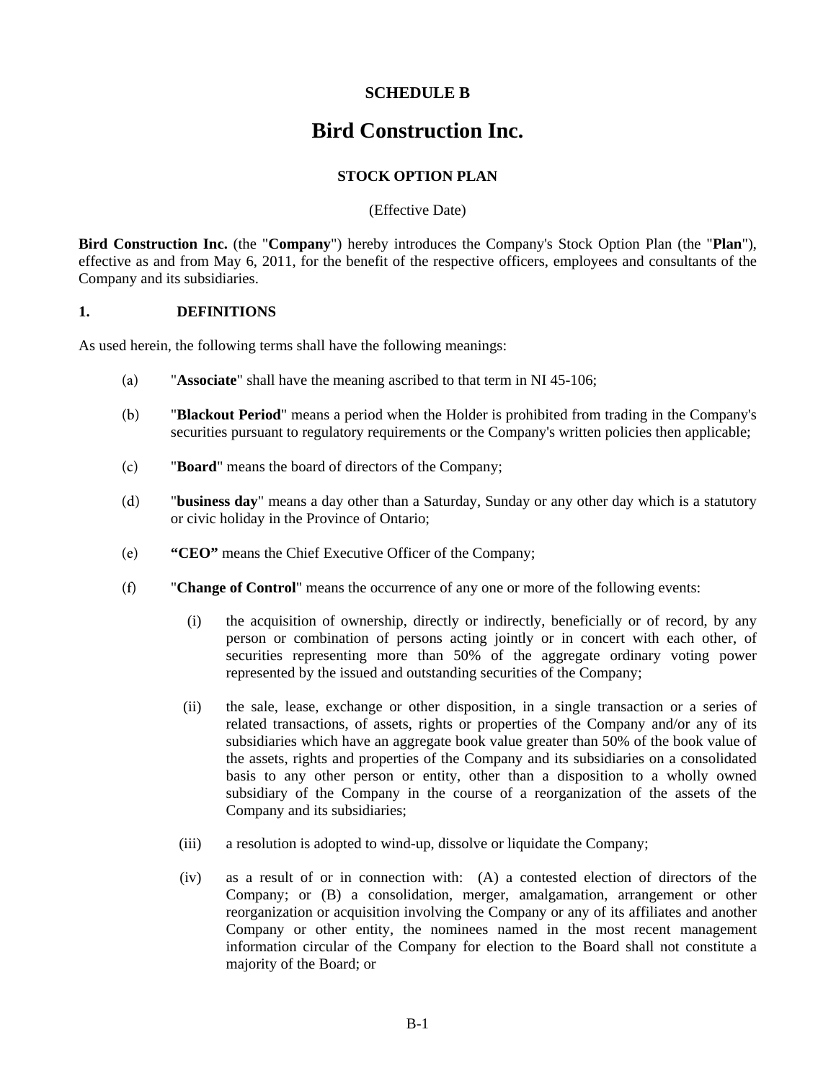# **SCHEDULE B**

# **Bird Construction Inc.**

# **STOCK OPTION PLAN**

(Effective Date)

**Bird Construction Inc.** (the "**Company**") hereby introduces the Company's Stock Option Plan (the "**Plan**"), effective as and from May 6, 2011, for the benefit of the respective officers, employees and consultants of the Company and its subsidiaries.

#### **1. DEFINITIONS**

As used herein, the following terms shall have the following meanings:

- (a) "**Associate**" shall have the meaning ascribed to that term in NI 45-106;
- (b) "**Blackout Period**" means a period when the Holder is prohibited from trading in the Company's securities pursuant to regulatory requirements or the Company's written policies then applicable;
- (c) "**Board**" means the board of directors of the Company;
- (d) "**business day**" means a day other than a Saturday, Sunday or any other day which is a statutory or civic holiday in the Province of Ontario;
- (e) **"CEO"** means the Chief Executive Officer of the Company;
- (f) "**Change of Control**" means the occurrence of any one or more of the following events:
	- (i) the acquisition of ownership, directly or indirectly, beneficially or of record, by any person or combination of persons acting jointly or in concert with each other, of securities representing more than 50% of the aggregate ordinary voting power represented by the issued and outstanding securities of the Company;
	- (ii) the sale, lease, exchange or other disposition, in a single transaction or a series of related transactions, of assets, rights or properties of the Company and/or any of its subsidiaries which have an aggregate book value greater than 50% of the book value of the assets, rights and properties of the Company and its subsidiaries on a consolidated basis to any other person or entity, other than a disposition to a wholly owned subsidiary of the Company in the course of a reorganization of the assets of the Company and its subsidiaries;
	- (iii) a resolution is adopted to wind-up, dissolve or liquidate the Company;
	- (iv) as a result of or in connection with: (A) a contested election of directors of the Company; or (B) a consolidation, merger, amalgamation, arrangement or other reorganization or acquisition involving the Company or any of its affiliates and another Company or other entity, the nominees named in the most recent management information circular of the Company for election to the Board shall not constitute a majority of the Board; or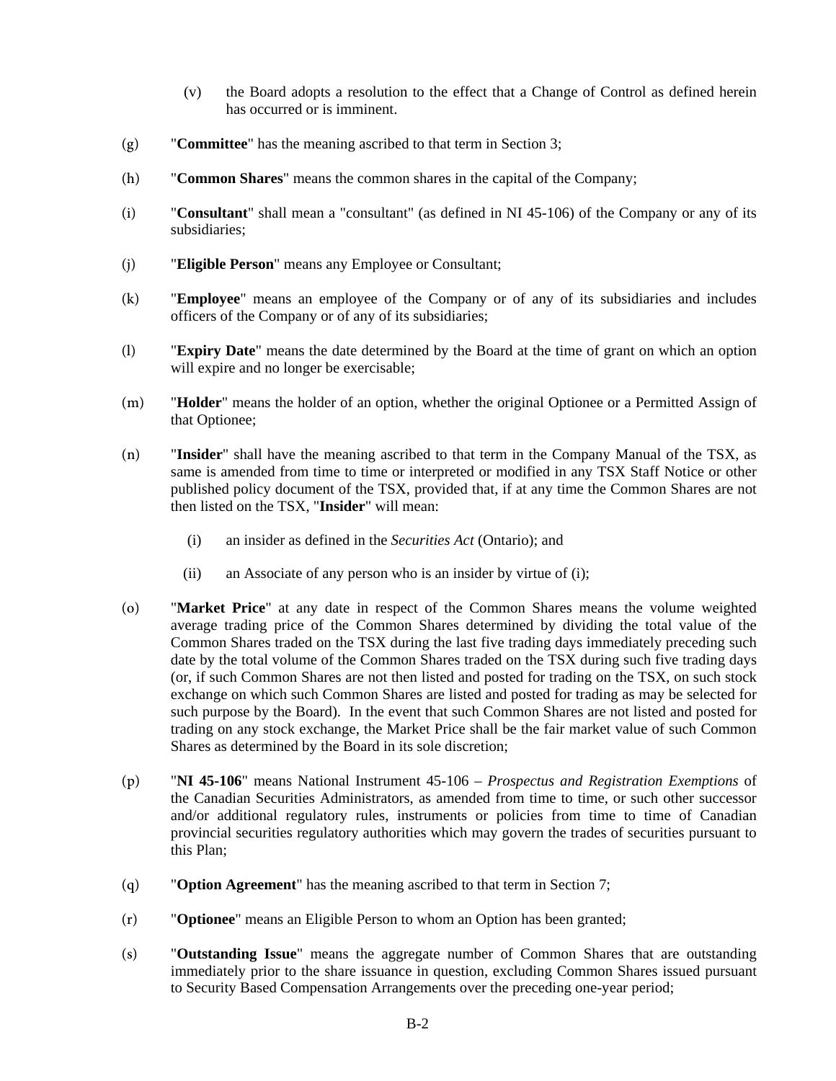- (v) the Board adopts a resolution to the effect that a Change of Control as defined herein has occurred or is imminent.
- (g) "**Committee**" has the meaning ascribed to that term in Section 3;
- (h) "**Common Shares**" means the common shares in the capital of the Company;
- (i) "**Consultant**" shall mean a "consultant" (as defined in NI 45-106) of the Company or any of its subsidiaries;
- (j) "**Eligible Person**" means any Employee or Consultant;
- (k) "**Employee**" means an employee of the Company or of any of its subsidiaries and includes officers of the Company or of any of its subsidiaries;
- (l) "**Expiry Date**" means the date determined by the Board at the time of grant on which an option will expire and no longer be exercisable;
- (m) "**Holder**" means the holder of an option, whether the original Optionee or a Permitted Assign of that Optionee;
- (n) "**Insider**" shall have the meaning ascribed to that term in the Company Manual of the TSX, as same is amended from time to time or interpreted or modified in any TSX Staff Notice or other published policy document of the TSX, provided that, if at any time the Common Shares are not then listed on the TSX, "**Insider**" will mean:
	- (i) an insider as defined in the *Securities Act* (Ontario); and
	- (ii) an Associate of any person who is an insider by virtue of (i);
- (o) "**Market Price**" at any date in respect of the Common Shares means the volume weighted average trading price of the Common Shares determined by dividing the total value of the Common Shares traded on the TSX during the last five trading days immediately preceding such date by the total volume of the Common Shares traded on the TSX during such five trading days (or, if such Common Shares are not then listed and posted for trading on the TSX, on such stock exchange on which such Common Shares are listed and posted for trading as may be selected for such purpose by the Board). In the event that such Common Shares are not listed and posted for trading on any stock exchange, the Market Price shall be the fair market value of such Common Shares as determined by the Board in its sole discretion;
- (p) "**NI 45-106**" means National Instrument 45-106 *Prospectus and Registration Exemptions* of the Canadian Securities Administrators, as amended from time to time, or such other successor and/or additional regulatory rules, instruments or policies from time to time of Canadian provincial securities regulatory authorities which may govern the trades of securities pursuant to this Plan;
- (q) "**Option Agreement**" has the meaning ascribed to that term in Section 7;
- (r) "**Optionee**" means an Eligible Person to whom an Option has been granted;
- (s) "**Outstanding Issue**" means the aggregate number of Common Shares that are outstanding immediately prior to the share issuance in question, excluding Common Shares issued pursuant to Security Based Compensation Arrangements over the preceding one-year period;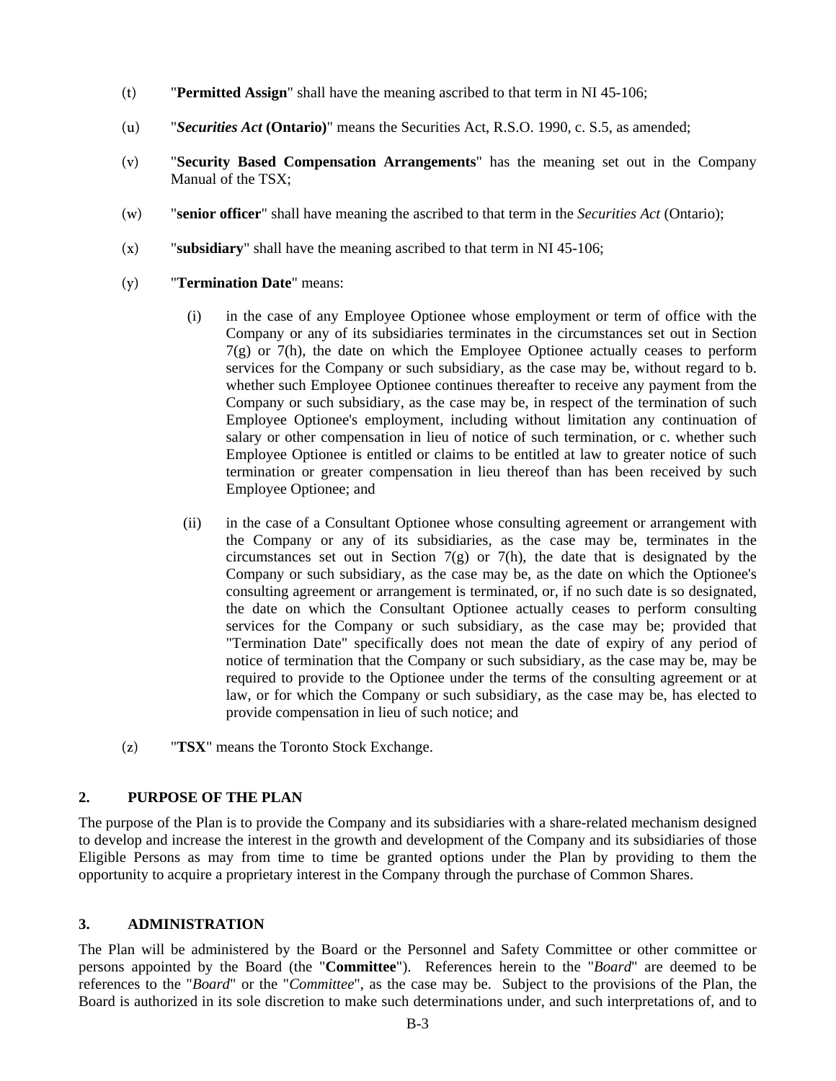- (t) "**Permitted Assign**" shall have the meaning ascribed to that term in NI 45-106;
- (u) "*Securities Act* **(Ontario)**" means the Securities Act, R.S.O. 1990, c. S.5, as amended;
- (v) "**Security Based Compensation Arrangements**" has the meaning set out in the Company Manual of the TSX;
- (w) "**senior officer**" shall have meaning the ascribed to that term in the *Securities Act* (Ontario);
- (x) "**subsidiary**" shall have the meaning ascribed to that term in NI 45-106;
- (y) "**Termination Date**" means:
	- (i) in the case of any Employee Optionee whose employment or term of office with the Company or any of its subsidiaries terminates in the circumstances set out in Section  $7(g)$  or  $7(h)$ , the date on which the Employee Optionee actually ceases to perform services for the Company or such subsidiary, as the case may be, without regard to b. whether such Employee Optionee continues thereafter to receive any payment from the Company or such subsidiary, as the case may be, in respect of the termination of such Employee Optionee's employment, including without limitation any continuation of salary or other compensation in lieu of notice of such termination, or c. whether such Employee Optionee is entitled or claims to be entitled at law to greater notice of such termination or greater compensation in lieu thereof than has been received by such Employee Optionee; and
	- (ii) in the case of a Consultant Optionee whose consulting agreement or arrangement with the Company or any of its subsidiaries, as the case may be, terminates in the circumstances set out in Section 7(g) or 7(h), the date that is designated by the Company or such subsidiary, as the case may be, as the date on which the Optionee's consulting agreement or arrangement is terminated, or, if no such date is so designated, the date on which the Consultant Optionee actually ceases to perform consulting services for the Company or such subsidiary, as the case may be; provided that "Termination Date" specifically does not mean the date of expiry of any period of notice of termination that the Company or such subsidiary, as the case may be, may be required to provide to the Optionee under the terms of the consulting agreement or at law, or for which the Company or such subsidiary, as the case may be, has elected to provide compensation in lieu of such notice; and
- (z) "**TSX**" means the Toronto Stock Exchange.

#### **2. PURPOSE OF THE PLAN**

The purpose of the Plan is to provide the Company and its subsidiaries with a share-related mechanism designed to develop and increase the interest in the growth and development of the Company and its subsidiaries of those Eligible Persons as may from time to time be granted options under the Plan by providing to them the opportunity to acquire a proprietary interest in the Company through the purchase of Common Shares.

#### **3. ADMINISTRATION**

The Plan will be administered by the Board or the Personnel and Safety Committee or other committee or persons appointed by the Board (the "**Committee**"). References herein to the "*Board*" are deemed to be references to the "*Board*" or the "*Committee*", as the case may be. Subject to the provisions of the Plan, the Board is authorized in its sole discretion to make such determinations under, and such interpretations of, and to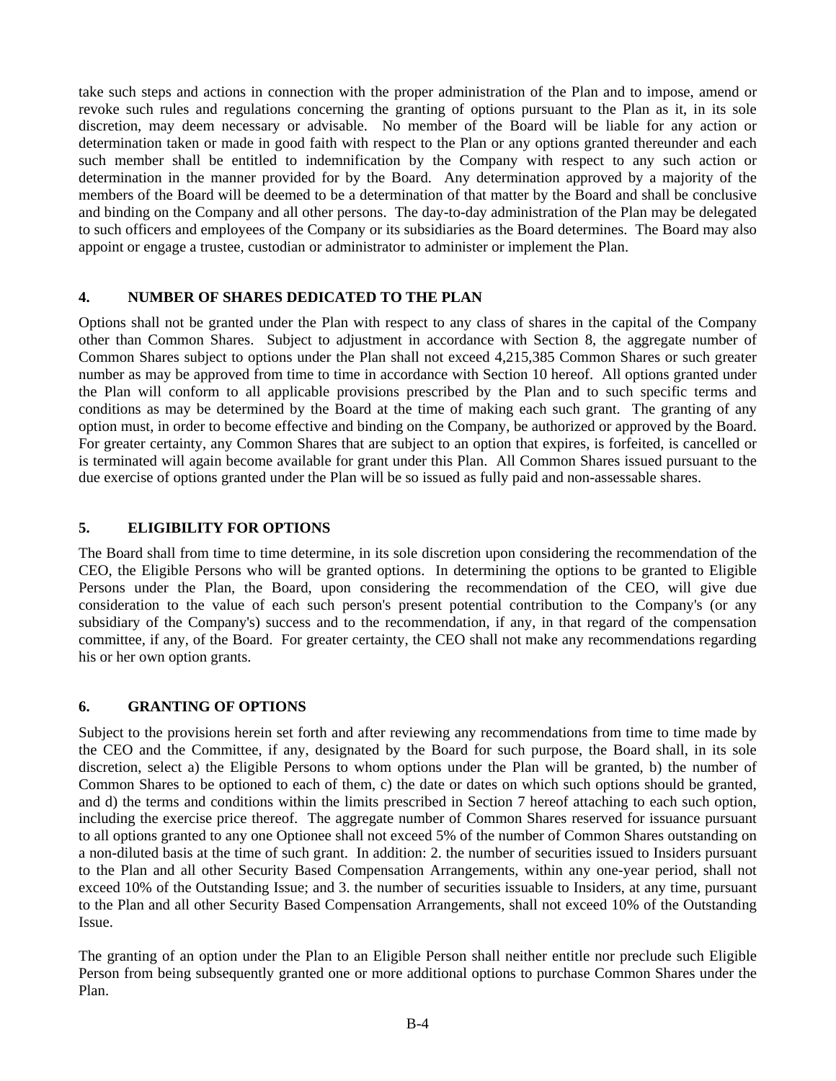take such steps and actions in connection with the proper administration of the Plan and to impose, amend or revoke such rules and regulations concerning the granting of options pursuant to the Plan as it, in its sole discretion, may deem necessary or advisable. No member of the Board will be liable for any action or determination taken or made in good faith with respect to the Plan or any options granted thereunder and each such member shall be entitled to indemnification by the Company with respect to any such action or determination in the manner provided for by the Board. Any determination approved by a majority of the members of the Board will be deemed to be a determination of that matter by the Board and shall be conclusive and binding on the Company and all other persons. The day-to-day administration of the Plan may be delegated to such officers and employees of the Company or its subsidiaries as the Board determines. The Board may also appoint or engage a trustee, custodian or administrator to administer or implement the Plan.

# **4. NUMBER OF SHARES DEDICATED TO THE PLAN**

Options shall not be granted under the Plan with respect to any class of shares in the capital of the Company other than Common Shares. Subject to adjustment in accordance with Section 8, the aggregate number of Common Shares subject to options under the Plan shall not exceed 4,215,385 Common Shares or such greater number as may be approved from time to time in accordance with Section 10 hereof. All options granted under the Plan will conform to all applicable provisions prescribed by the Plan and to such specific terms and conditions as may be determined by the Board at the time of making each such grant. The granting of any option must, in order to become effective and binding on the Company, be authorized or approved by the Board. For greater certainty, any Common Shares that are subject to an option that expires, is forfeited, is cancelled or is terminated will again become available for grant under this Plan. All Common Shares issued pursuant to the due exercise of options granted under the Plan will be so issued as fully paid and non-assessable shares.

# **5. ELIGIBILITY FOR OPTIONS**

The Board shall from time to time determine, in its sole discretion upon considering the recommendation of the CEO, the Eligible Persons who will be granted options. In determining the options to be granted to Eligible Persons under the Plan, the Board, upon considering the recommendation of the CEO, will give due consideration to the value of each such person's present potential contribution to the Company's (or any subsidiary of the Company's) success and to the recommendation, if any, in that regard of the compensation committee, if any, of the Board. For greater certainty, the CEO shall not make any recommendations regarding his or her own option grants.

## **6. GRANTING OF OPTIONS**

Subject to the provisions herein set forth and after reviewing any recommendations from time to time made by the CEO and the Committee, if any, designated by the Board for such purpose, the Board shall, in its sole discretion, select a) the Eligible Persons to whom options under the Plan will be granted, b) the number of Common Shares to be optioned to each of them, c) the date or dates on which such options should be granted, and d) the terms and conditions within the limits prescribed in Section 7 hereof attaching to each such option, including the exercise price thereof. The aggregate number of Common Shares reserved for issuance pursuant to all options granted to any one Optionee shall not exceed 5% of the number of Common Shares outstanding on a non-diluted basis at the time of such grant. In addition: 2. the number of securities issued to Insiders pursuant to the Plan and all other Security Based Compensation Arrangements, within any one-year period, shall not exceed 10% of the Outstanding Issue; and 3. the number of securities issuable to Insiders, at any time, pursuant to the Plan and all other Security Based Compensation Arrangements, shall not exceed 10% of the Outstanding Issue.

The granting of an option under the Plan to an Eligible Person shall neither entitle nor preclude such Eligible Person from being subsequently granted one or more additional options to purchase Common Shares under the Plan.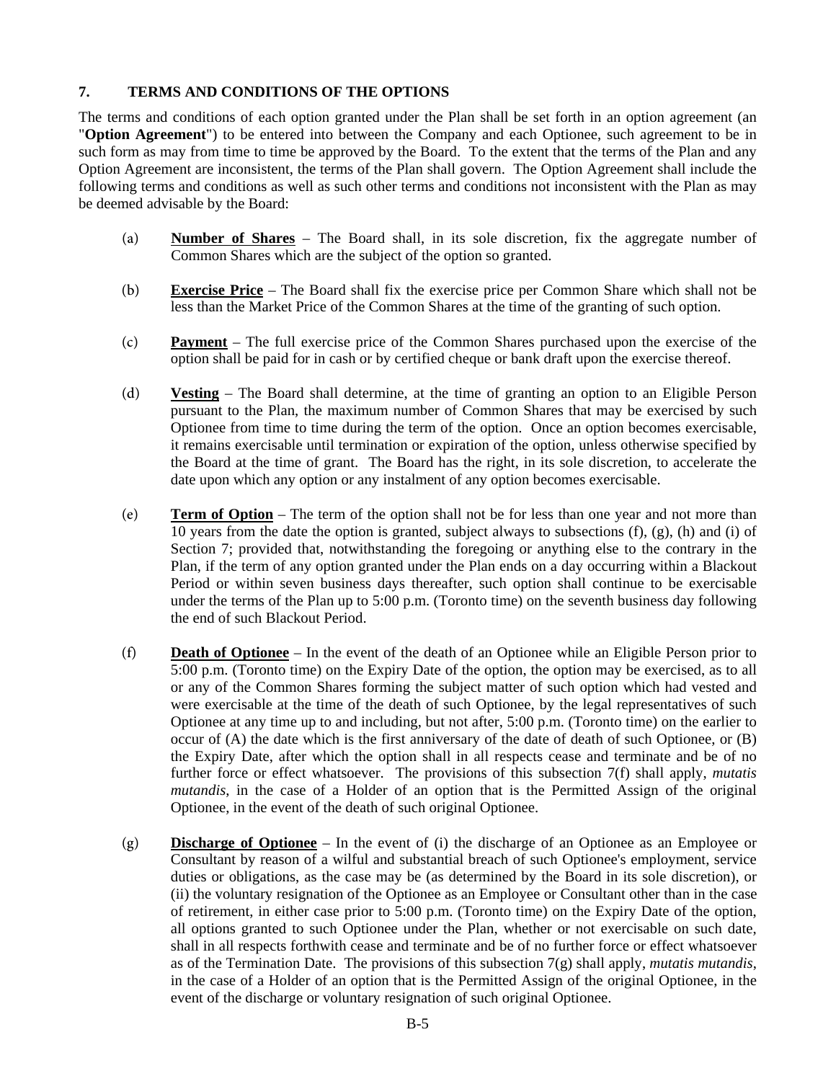# **7. TERMS AND CONDITIONS OF THE OPTIONS**

The terms and conditions of each option granted under the Plan shall be set forth in an option agreement (an "**Option Agreement**") to be entered into between the Company and each Optionee, such agreement to be in such form as may from time to time be approved by the Board. To the extent that the terms of the Plan and any Option Agreement are inconsistent, the terms of the Plan shall govern. The Option Agreement shall include the following terms and conditions as well as such other terms and conditions not inconsistent with the Plan as may be deemed advisable by the Board:

- (a) **Number of Shares** The Board shall, in its sole discretion, fix the aggregate number of Common Shares which are the subject of the option so granted.
- (b) **Exercise Price** The Board shall fix the exercise price per Common Share which shall not be less than the Market Price of the Common Shares at the time of the granting of such option.
- (c) **Payment** The full exercise price of the Common Shares purchased upon the exercise of the option shall be paid for in cash or by certified cheque or bank draft upon the exercise thereof.
- (d) **Vesting** The Board shall determine, at the time of granting an option to an Eligible Person pursuant to the Plan, the maximum number of Common Shares that may be exercised by such Optionee from time to time during the term of the option. Once an option becomes exercisable, it remains exercisable until termination or expiration of the option, unless otherwise specified by the Board at the time of grant. The Board has the right, in its sole discretion, to accelerate the date upon which any option or any instalment of any option becomes exercisable.
- (e) **Term of Option** The term of the option shall not be for less than one year and not more than 10 years from the date the option is granted, subject always to subsections (f), (g), (h) and (i) of Section 7; provided that, notwithstanding the foregoing or anything else to the contrary in the Plan, if the term of any option granted under the Plan ends on a day occurring within a Blackout Period or within seven business days thereafter, such option shall continue to be exercisable under the terms of the Plan up to 5:00 p.m. (Toronto time) on the seventh business day following the end of such Blackout Period.
- (f) **Death of Optionee** In the event of the death of an Optionee while an Eligible Person prior to 5:00 p.m. (Toronto time) on the Expiry Date of the option, the option may be exercised, as to all or any of the Common Shares forming the subject matter of such option which had vested and were exercisable at the time of the death of such Optionee, by the legal representatives of such Optionee at any time up to and including, but not after, 5:00 p.m. (Toronto time) on the earlier to occur of (A) the date which is the first anniversary of the date of death of such Optionee, or (B) the Expiry Date, after which the option shall in all respects cease and terminate and be of no further force or effect whatsoever. The provisions of this subsection 7(f) shall apply, *mutatis mutandis*, in the case of a Holder of an option that is the Permitted Assign of the original Optionee, in the event of the death of such original Optionee.
- (g) **Discharge of Optionee** In the event of (i) the discharge of an Optionee as an Employee or Consultant by reason of a wilful and substantial breach of such Optionee's employment, service duties or obligations, as the case may be (as determined by the Board in its sole discretion), or (ii) the voluntary resignation of the Optionee as an Employee or Consultant other than in the case of retirement, in either case prior to 5:00 p.m. (Toronto time) on the Expiry Date of the option, all options granted to such Optionee under the Plan, whether or not exercisable on such date, shall in all respects forthwith cease and terminate and be of no further force or effect whatsoever as of the Termination Date. The provisions of this subsection 7(g) shall apply, *mutatis mutandis*, in the case of a Holder of an option that is the Permitted Assign of the original Optionee, in the event of the discharge or voluntary resignation of such original Optionee.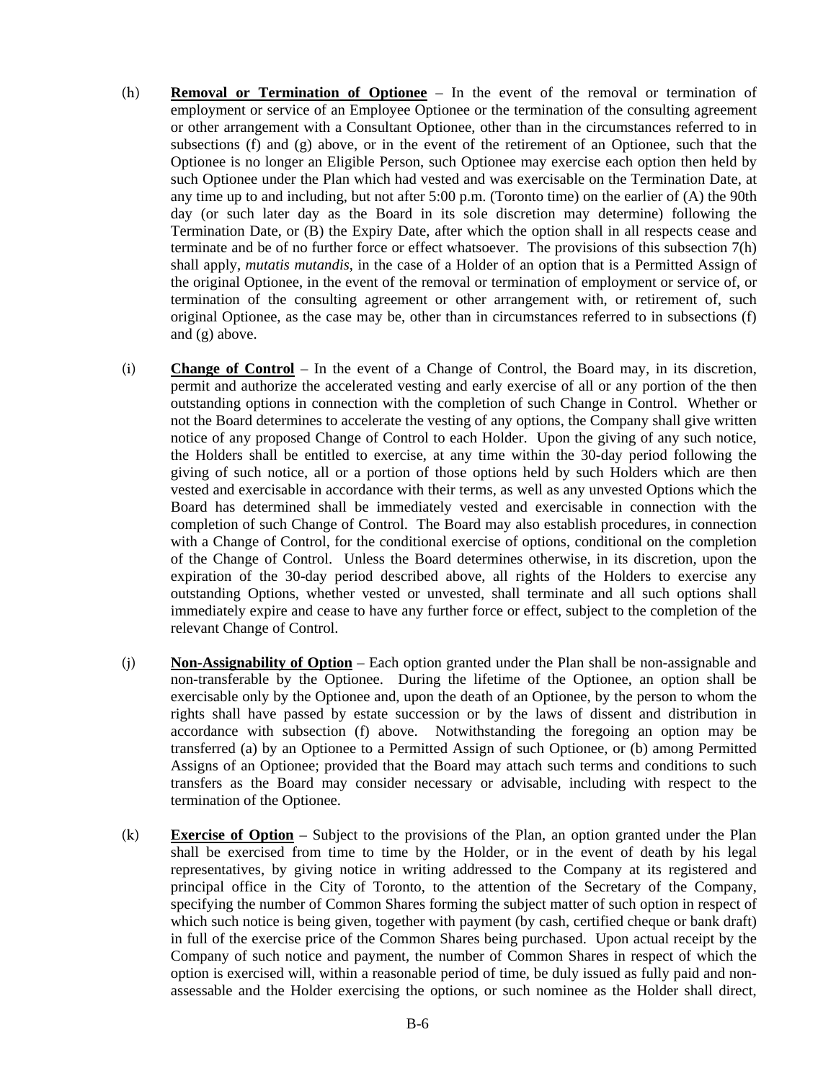- (h) **Removal or Termination of Optionee** In the event of the removal or termination of employment or service of an Employee Optionee or the termination of the consulting agreement or other arrangement with a Consultant Optionee, other than in the circumstances referred to in subsections (f) and  $(g)$  above, or in the event of the retirement of an Optionee, such that the Optionee is no longer an Eligible Person, such Optionee may exercise each option then held by such Optionee under the Plan which had vested and was exercisable on the Termination Date, at any time up to and including, but not after 5:00 p.m. (Toronto time) on the earlier of (A) the 90th day (or such later day as the Board in its sole discretion may determine) following the Termination Date, or (B) the Expiry Date, after which the option shall in all respects cease and terminate and be of no further force or effect whatsoever. The provisions of this subsection 7(h) shall apply, *mutatis mutandis*, in the case of a Holder of an option that is a Permitted Assign of the original Optionee, in the event of the removal or termination of employment or service of, or termination of the consulting agreement or other arrangement with, or retirement of, such original Optionee, as the case may be, other than in circumstances referred to in subsections (f) and (g) above.
- (i) **Change of Control** In the event of a Change of Control, the Board may, in its discretion, permit and authorize the accelerated vesting and early exercise of all or any portion of the then outstanding options in connection with the completion of such Change in Control. Whether or not the Board determines to accelerate the vesting of any options, the Company shall give written notice of any proposed Change of Control to each Holder. Upon the giving of any such notice, the Holders shall be entitled to exercise, at any time within the 30-day period following the giving of such notice, all or a portion of those options held by such Holders which are then vested and exercisable in accordance with their terms, as well as any unvested Options which the Board has determined shall be immediately vested and exercisable in connection with the completion of such Change of Control. The Board may also establish procedures, in connection with a Change of Control, for the conditional exercise of options, conditional on the completion of the Change of Control. Unless the Board determines otherwise, in its discretion, upon the expiration of the 30-day period described above, all rights of the Holders to exercise any outstanding Options, whether vested or unvested, shall terminate and all such options shall immediately expire and cease to have any further force or effect, subject to the completion of the relevant Change of Control.
- (j) **Non-Assignability of Option** Each option granted under the Plan shall be non-assignable and non-transferable by the Optionee. During the lifetime of the Optionee, an option shall be exercisable only by the Optionee and, upon the death of an Optionee, by the person to whom the rights shall have passed by estate succession or by the laws of dissent and distribution in accordance with subsection (f) above. Notwithstanding the foregoing an option may be transferred (a) by an Optionee to a Permitted Assign of such Optionee, or (b) among Permitted Assigns of an Optionee; provided that the Board may attach such terms and conditions to such transfers as the Board may consider necessary or advisable, including with respect to the termination of the Optionee.
- (k) **Exercise of Option** Subject to the provisions of the Plan, an option granted under the Plan shall be exercised from time to time by the Holder, or in the event of death by his legal representatives, by giving notice in writing addressed to the Company at its registered and principal office in the City of Toronto, to the attention of the Secretary of the Company, specifying the number of Common Shares forming the subject matter of such option in respect of which such notice is being given, together with payment (by cash, certified cheque or bank draft) in full of the exercise price of the Common Shares being purchased. Upon actual receipt by the Company of such notice and payment, the number of Common Shares in respect of which the option is exercised will, within a reasonable period of time, be duly issued as fully paid and nonassessable and the Holder exercising the options, or such nominee as the Holder shall direct,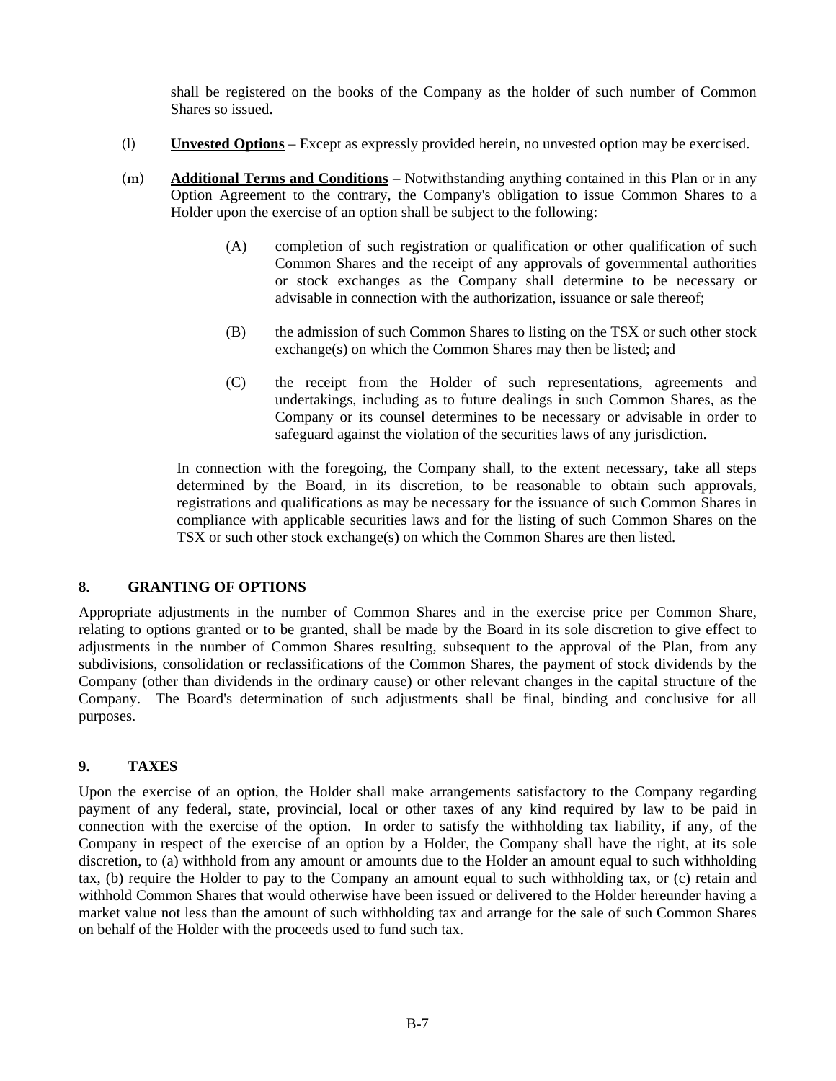shall be registered on the books of the Company as the holder of such number of Common Shares so issued.

- (l) **Unvested Options** Except as expressly provided herein, no unvested option may be exercised.
- (m) **Additional Terms and Conditions** Notwithstanding anything contained in this Plan or in any Option Agreement to the contrary, the Company's obligation to issue Common Shares to a Holder upon the exercise of an option shall be subject to the following:
	- (A) completion of such registration or qualification or other qualification of such Common Shares and the receipt of any approvals of governmental authorities or stock exchanges as the Company shall determine to be necessary or advisable in connection with the authorization, issuance or sale thereof;
	- (B) the admission of such Common Shares to listing on the TSX or such other stock exchange(s) on which the Common Shares may then be listed; and
	- (C) the receipt from the Holder of such representations, agreements and undertakings, including as to future dealings in such Common Shares, as the Company or its counsel determines to be necessary or advisable in order to safeguard against the violation of the securities laws of any jurisdiction.

In connection with the foregoing, the Company shall, to the extent necessary, take all steps determined by the Board, in its discretion, to be reasonable to obtain such approvals, registrations and qualifications as may be necessary for the issuance of such Common Shares in compliance with applicable securities laws and for the listing of such Common Shares on the TSX or such other stock exchange(s) on which the Common Shares are then listed.

# **8. GRANTING OF OPTIONS**

Appropriate adjustments in the number of Common Shares and in the exercise price per Common Share, relating to options granted or to be granted, shall be made by the Board in its sole discretion to give effect to adjustments in the number of Common Shares resulting, subsequent to the approval of the Plan, from any subdivisions, consolidation or reclassifications of the Common Shares, the payment of stock dividends by the Company (other than dividends in the ordinary cause) or other relevant changes in the capital structure of the Company. The Board's determination of such adjustments shall be final, binding and conclusive for all purposes.

#### **9. TAXES**

Upon the exercise of an option, the Holder shall make arrangements satisfactory to the Company regarding payment of any federal, state, provincial, local or other taxes of any kind required by law to be paid in connection with the exercise of the option. In order to satisfy the withholding tax liability, if any, of the Company in respect of the exercise of an option by a Holder, the Company shall have the right, at its sole discretion, to (a) withhold from any amount or amounts due to the Holder an amount equal to such withholding tax, (b) require the Holder to pay to the Company an amount equal to such withholding tax, or (c) retain and withhold Common Shares that would otherwise have been issued or delivered to the Holder hereunder having a market value not less than the amount of such withholding tax and arrange for the sale of such Common Shares on behalf of the Holder with the proceeds used to fund such tax.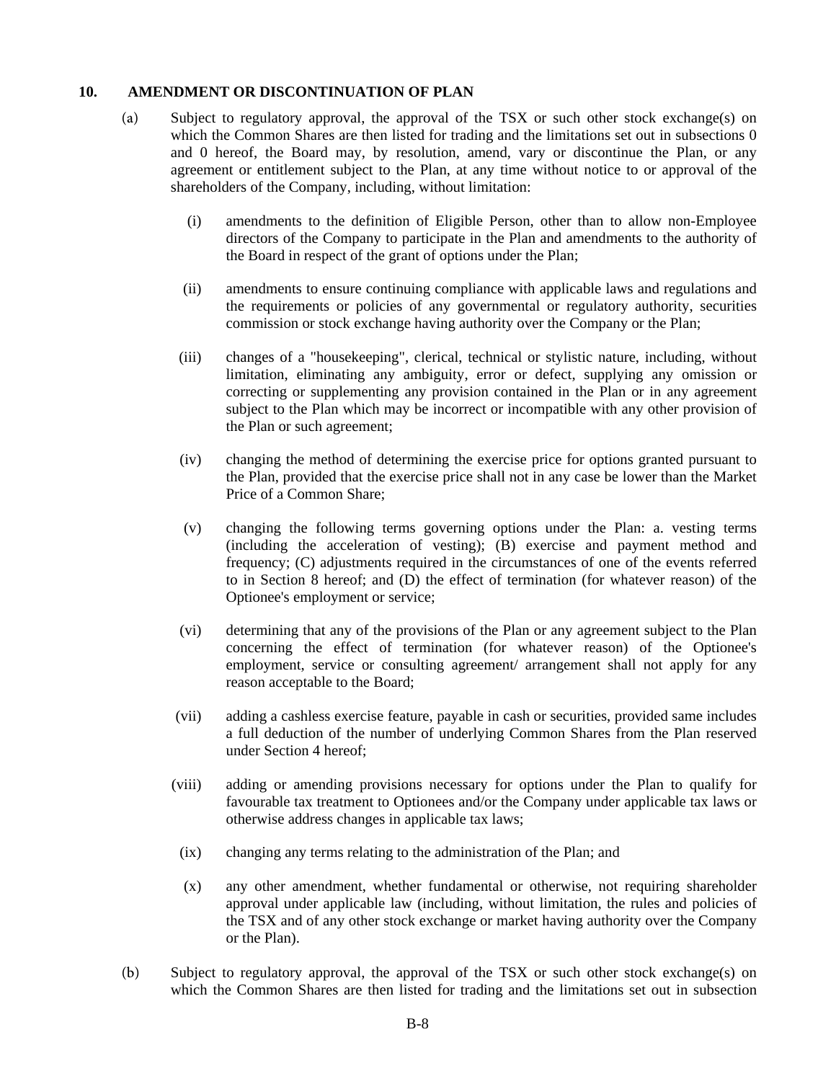## **10. AMENDMENT OR DISCONTINUATION OF PLAN**

- (a) Subject to regulatory approval, the approval of the TSX or such other stock exchange(s) on which the Common Shares are then listed for trading and the limitations set out in subsections 0 and 0 hereof, the Board may, by resolution, amend, vary or discontinue the Plan, or any agreement or entitlement subject to the Plan, at any time without notice to or approval of the shareholders of the Company, including, without limitation:
	- (i) amendments to the definition of Eligible Person, other than to allow non-Employee directors of the Company to participate in the Plan and amendments to the authority of the Board in respect of the grant of options under the Plan;
	- (ii) amendments to ensure continuing compliance with applicable laws and regulations and the requirements or policies of any governmental or regulatory authority, securities commission or stock exchange having authority over the Company or the Plan;
	- (iii) changes of a "housekeeping", clerical, technical or stylistic nature, including, without limitation, eliminating any ambiguity, error or defect, supplying any omission or correcting or supplementing any provision contained in the Plan or in any agreement subject to the Plan which may be incorrect or incompatible with any other provision of the Plan or such agreement;
	- (iv) changing the method of determining the exercise price for options granted pursuant to the Plan, provided that the exercise price shall not in any case be lower than the Market Price of a Common Share;
	- (v) changing the following terms governing options under the Plan: a. vesting terms (including the acceleration of vesting); (B) exercise and payment method and frequency; (C) adjustments required in the circumstances of one of the events referred to in Section 8 hereof; and (D) the effect of termination (for whatever reason) of the Optionee's employment or service;
	- (vi) determining that any of the provisions of the Plan or any agreement subject to the Plan concerning the effect of termination (for whatever reason) of the Optionee's employment, service or consulting agreement/ arrangement shall not apply for any reason acceptable to the Board;
	- (vii) adding a cashless exercise feature, payable in cash or securities, provided same includes a full deduction of the number of underlying Common Shares from the Plan reserved under Section 4 hereof;
	- (viii) adding or amending provisions necessary for options under the Plan to qualify for favourable tax treatment to Optionees and/or the Company under applicable tax laws or otherwise address changes in applicable tax laws;
	- (ix) changing any terms relating to the administration of the Plan; and
	- (x) any other amendment, whether fundamental or otherwise, not requiring shareholder approval under applicable law (including, without limitation, the rules and policies of the TSX and of any other stock exchange or market having authority over the Company or the Plan).
- (b) Subject to regulatory approval, the approval of the TSX or such other stock exchange(s) on which the Common Shares are then listed for trading and the limitations set out in subsection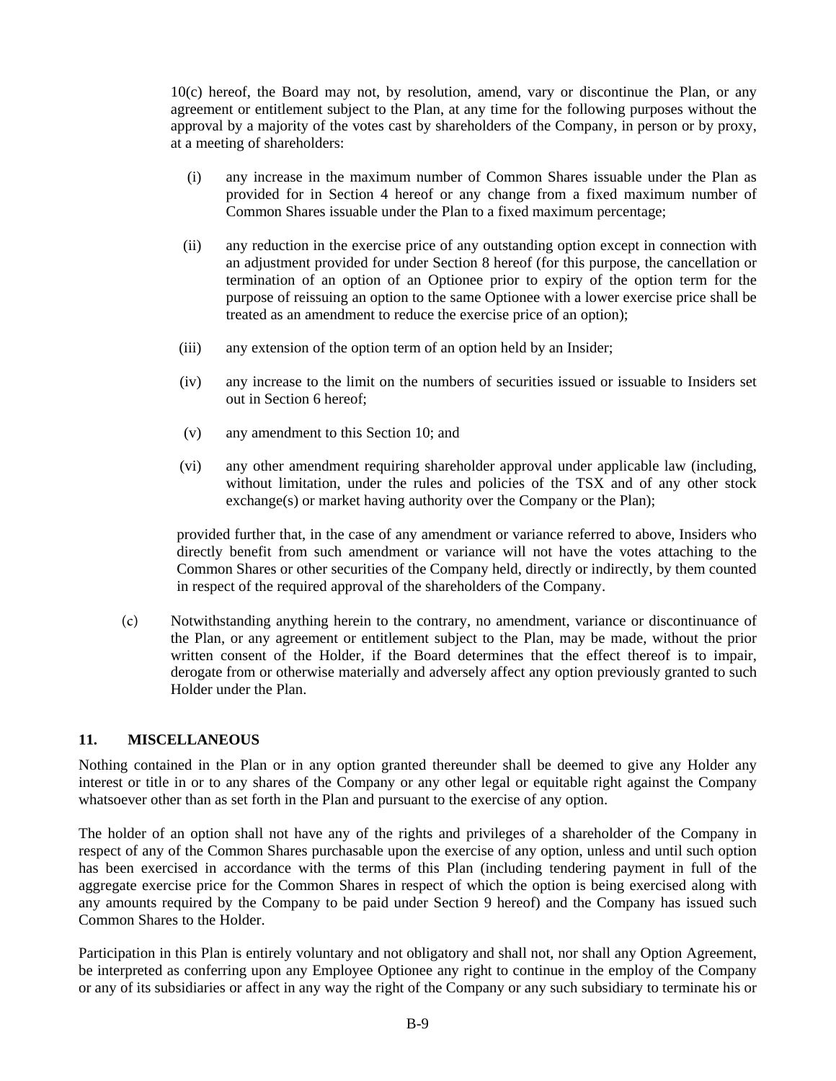10(c) hereof, the Board may not, by resolution, amend, vary or discontinue the Plan, or any agreement or entitlement subject to the Plan, at any time for the following purposes without the approval by a majority of the votes cast by shareholders of the Company, in person or by proxy, at a meeting of shareholders:

- (i) any increase in the maximum number of Common Shares issuable under the Plan as provided for in Section 4 hereof or any change from a fixed maximum number of Common Shares issuable under the Plan to a fixed maximum percentage;
- (ii) any reduction in the exercise price of any outstanding option except in connection with an adjustment provided for under Section 8 hereof (for this purpose, the cancellation or termination of an option of an Optionee prior to expiry of the option term for the purpose of reissuing an option to the same Optionee with a lower exercise price shall be treated as an amendment to reduce the exercise price of an option);
- (iii) any extension of the option term of an option held by an Insider;
- (iv) any increase to the limit on the numbers of securities issued or issuable to Insiders set out in Section 6 hereof;
- (v) any amendment to this Section 10; and
- (vi) any other amendment requiring shareholder approval under applicable law (including, without limitation, under the rules and policies of the TSX and of any other stock exchange(s) or market having authority over the Company or the Plan);

provided further that, in the case of any amendment or variance referred to above, Insiders who directly benefit from such amendment or variance will not have the votes attaching to the Common Shares or other securities of the Company held, directly or indirectly, by them counted in respect of the required approval of the shareholders of the Company.

(c) Notwithstanding anything herein to the contrary, no amendment, variance or discontinuance of the Plan, or any agreement or entitlement subject to the Plan, may be made, without the prior written consent of the Holder, if the Board determines that the effect thereof is to impair, derogate from or otherwise materially and adversely affect any option previously granted to such Holder under the Plan.

## **11. MISCELLANEOUS**

Nothing contained in the Plan or in any option granted thereunder shall be deemed to give any Holder any interest or title in or to any shares of the Company or any other legal or equitable right against the Company whatsoever other than as set forth in the Plan and pursuant to the exercise of any option.

The holder of an option shall not have any of the rights and privileges of a shareholder of the Company in respect of any of the Common Shares purchasable upon the exercise of any option, unless and until such option has been exercised in accordance with the terms of this Plan (including tendering payment in full of the aggregate exercise price for the Common Shares in respect of which the option is being exercised along with any amounts required by the Company to be paid under Section 9 hereof) and the Company has issued such Common Shares to the Holder.

Participation in this Plan is entirely voluntary and not obligatory and shall not, nor shall any Option Agreement, be interpreted as conferring upon any Employee Optionee any right to continue in the employ of the Company or any of its subsidiaries or affect in any way the right of the Company or any such subsidiary to terminate his or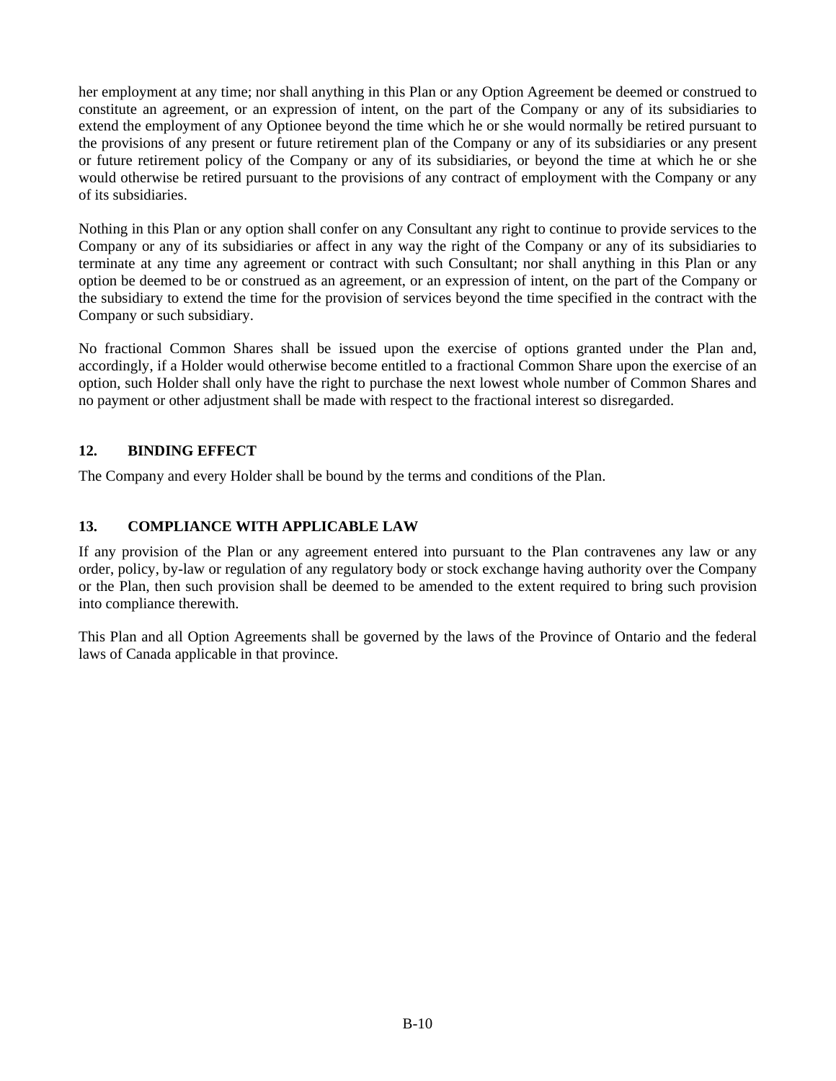her employment at any time; nor shall anything in this Plan or any Option Agreement be deemed or construed to constitute an agreement, or an expression of intent, on the part of the Company or any of its subsidiaries to extend the employment of any Optionee beyond the time which he or she would normally be retired pursuant to the provisions of any present or future retirement plan of the Company or any of its subsidiaries or any present or future retirement policy of the Company or any of its subsidiaries, or beyond the time at which he or she would otherwise be retired pursuant to the provisions of any contract of employment with the Company or any of its subsidiaries.

Nothing in this Plan or any option shall confer on any Consultant any right to continue to provide services to the Company or any of its subsidiaries or affect in any way the right of the Company or any of its subsidiaries to terminate at any time any agreement or contract with such Consultant; nor shall anything in this Plan or any option be deemed to be or construed as an agreement, or an expression of intent, on the part of the Company or the subsidiary to extend the time for the provision of services beyond the time specified in the contract with the Company or such subsidiary.

No fractional Common Shares shall be issued upon the exercise of options granted under the Plan and, accordingly, if a Holder would otherwise become entitled to a fractional Common Share upon the exercise of an option, such Holder shall only have the right to purchase the next lowest whole number of Common Shares and no payment or other adjustment shall be made with respect to the fractional interest so disregarded.

# **12. BINDING EFFECT**

The Company and every Holder shall be bound by the terms and conditions of the Plan.

# **13. COMPLIANCE WITH APPLICABLE LAW**

If any provision of the Plan or any agreement entered into pursuant to the Plan contravenes any law or any order, policy, by-law or regulation of any regulatory body or stock exchange having authority over the Company or the Plan, then such provision shall be deemed to be amended to the extent required to bring such provision into compliance therewith.

This Plan and all Option Agreements shall be governed by the laws of the Province of Ontario and the federal laws of Canada applicable in that province.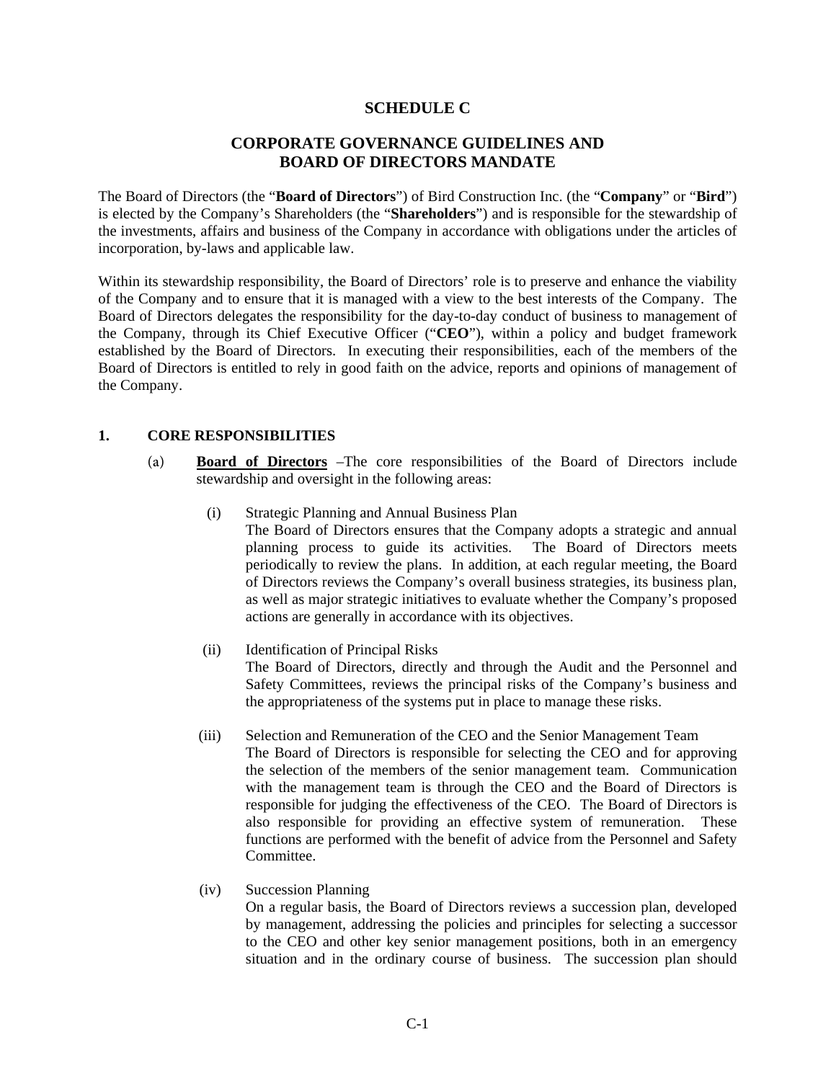# **SCHEDULE C**

# **CORPORATE GOVERNANCE GUIDELINES AND BOARD OF DIRECTORS MANDATE**

The Board of Directors (the "**Board of Directors**") of Bird Construction Inc. (the "**Company**" or "**Bird**") is elected by the Company's Shareholders (the "**Shareholders**") and is responsible for the stewardship of the investments, affairs and business of the Company in accordance with obligations under the articles of incorporation, by-laws and applicable law.

Within its stewardship responsibility, the Board of Directors' role is to preserve and enhance the viability of the Company and to ensure that it is managed with a view to the best interests of the Company. The Board of Directors delegates the responsibility for the day-to-day conduct of business to management of the Company, through its Chief Executive Officer ("**CEO**"), within a policy and budget framework established by the Board of Directors. In executing their responsibilities, each of the members of the Board of Directors is entitled to rely in good faith on the advice, reports and opinions of management of the Company.

## **1. CORE RESPONSIBILITIES**

- (a) **Board of Directors** –The core responsibilities of the Board of Directors include stewardship and oversight in the following areas:
	- (i) Strategic Planning and Annual Business Plan The Board of Directors ensures that the Company adopts a strategic and annual planning process to guide its activities. The Board of Directors meets periodically to review the plans. In addition, at each regular meeting, the Board of Directors reviews the Company's overall business strategies, its business plan, as well as major strategic initiatives to evaluate whether the Company's proposed actions are generally in accordance with its objectives.
	- (ii) Identification of Principal Risks The Board of Directors, directly and through the Audit and the Personnel and Safety Committees, reviews the principal risks of the Company's business and the appropriateness of the systems put in place to manage these risks.
	- (iii) Selection and Remuneration of the CEO and the Senior Management Team The Board of Directors is responsible for selecting the CEO and for approving the selection of the members of the senior management team. Communication with the management team is through the CEO and the Board of Directors is responsible for judging the effectiveness of the CEO. The Board of Directors is also responsible for providing an effective system of remuneration. These functions are performed with the benefit of advice from the Personnel and Safety Committee.

## (iv) Succession Planning

On a regular basis, the Board of Directors reviews a succession plan, developed by management, addressing the policies and principles for selecting a successor to the CEO and other key senior management positions, both in an emergency situation and in the ordinary course of business. The succession plan should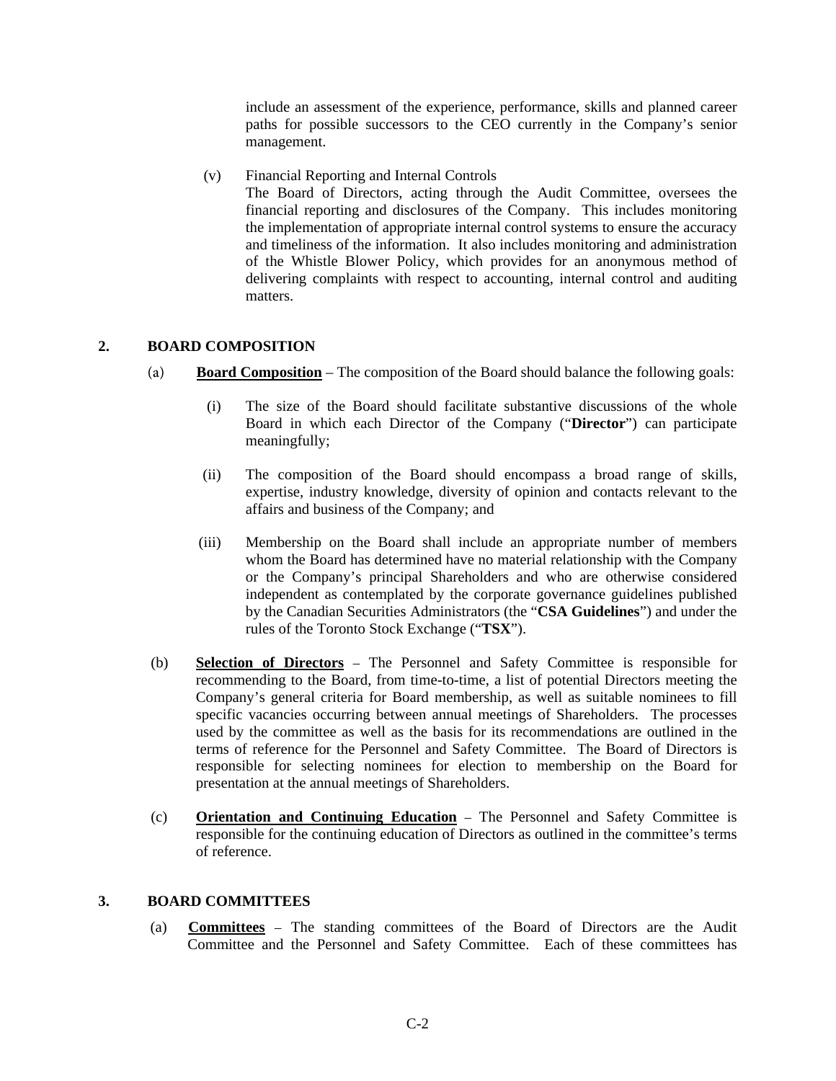include an assessment of the experience, performance, skills and planned career paths for possible successors to the CEO currently in the Company's senior management.

(v) Financial Reporting and Internal Controls The Board of Directors, acting through the Audit Committee, oversees the financial reporting and disclosures of the Company. This includes monitoring the implementation of appropriate internal control systems to ensure the accuracy and timeliness of the information. It also includes monitoring and administration of the Whistle Blower Policy, which provides for an anonymous method of delivering complaints with respect to accounting, internal control and auditing matters.

# **2. BOARD COMPOSITION**

- (a) **Board Composition** The composition of the Board should balance the following goals:
	- (i) The size of the Board should facilitate substantive discussions of the whole Board in which each Director of the Company ("**Director**") can participate meaningfully;
	- (ii) The composition of the Board should encompass a broad range of skills, expertise, industry knowledge, diversity of opinion and contacts relevant to the affairs and business of the Company; and
	- (iii) Membership on the Board shall include an appropriate number of members whom the Board has determined have no material relationship with the Company or the Company's principal Shareholders and who are otherwise considered independent as contemplated by the corporate governance guidelines published by the Canadian Securities Administrators (the "**CSA Guidelines**") and under the rules of the Toronto Stock Exchange ("**TSX**").
- (b) **Selection of Directors** The Personnel and Safety Committee is responsible for recommending to the Board, from time-to-time, a list of potential Directors meeting the Company's general criteria for Board membership, as well as suitable nominees to fill specific vacancies occurring between annual meetings of Shareholders. The processes used by the committee as well as the basis for its recommendations are outlined in the terms of reference for the Personnel and Safety Committee. The Board of Directors is responsible for selecting nominees for election to membership on the Board for presentation at the annual meetings of Shareholders.
- (c) **Orientation and Continuing Education** The Personnel and Safety Committee is responsible for the continuing education of Directors as outlined in the committee's terms of reference.

#### **3. BOARD COMMITTEES**

(a) **Committees** – The standing committees of the Board of Directors are the Audit Committee and the Personnel and Safety Committee. Each of these committees has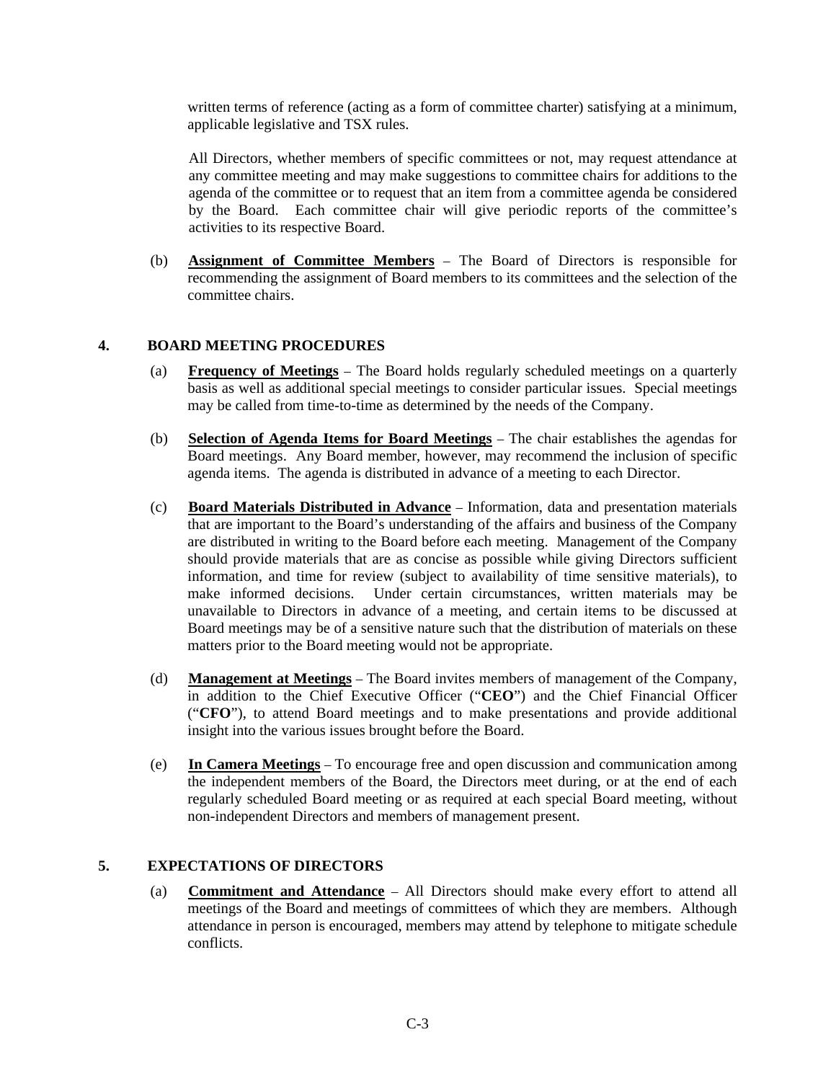written terms of reference (acting as a form of committee charter) satisfying at a minimum, applicable legislative and TSX rules.

All Directors, whether members of specific committees or not, may request attendance at any committee meeting and may make suggestions to committee chairs for additions to the agenda of the committee or to request that an item from a committee agenda be considered by the Board. Each committee chair will give periodic reports of the committee's activities to its respective Board.

(b) **Assignment of Committee Members** – The Board of Directors is responsible for recommending the assignment of Board members to its committees and the selection of the committee chairs.

# **4. BOARD MEETING PROCEDURES**

- (a) **Frequency of Meetings** The Board holds regularly scheduled meetings on a quarterly basis as well as additional special meetings to consider particular issues. Special meetings may be called from time-to-time as determined by the needs of the Company.
- (b) **Selection of Agenda Items for Board Meetings** The chair establishes the agendas for Board meetings. Any Board member, however, may recommend the inclusion of specific agenda items. The agenda is distributed in advance of a meeting to each Director.
- (c) **Board Materials Distributed in Advance** Information, data and presentation materials that are important to the Board's understanding of the affairs and business of the Company are distributed in writing to the Board before each meeting. Management of the Company should provide materials that are as concise as possible while giving Directors sufficient information, and time for review (subject to availability of time sensitive materials), to make informed decisions. Under certain circumstances, written materials may be unavailable to Directors in advance of a meeting, and certain items to be discussed at Board meetings may be of a sensitive nature such that the distribution of materials on these matters prior to the Board meeting would not be appropriate.
- (d) **Management at Meetings** The Board invites members of management of the Company, in addition to the Chief Executive Officer ("**CEO**") and the Chief Financial Officer ("**CFO**"), to attend Board meetings and to make presentations and provide additional insight into the various issues brought before the Board.
- (e) **In Camera Meetings** To encourage free and open discussion and communication among the independent members of the Board, the Directors meet during, or at the end of each regularly scheduled Board meeting or as required at each special Board meeting, without non-independent Directors and members of management present.

## **5. EXPECTATIONS OF DIRECTORS**

(a) **Commitment and Attendance** – All Directors should make every effort to attend all meetings of the Board and meetings of committees of which they are members. Although attendance in person is encouraged, members may attend by telephone to mitigate schedule conflicts.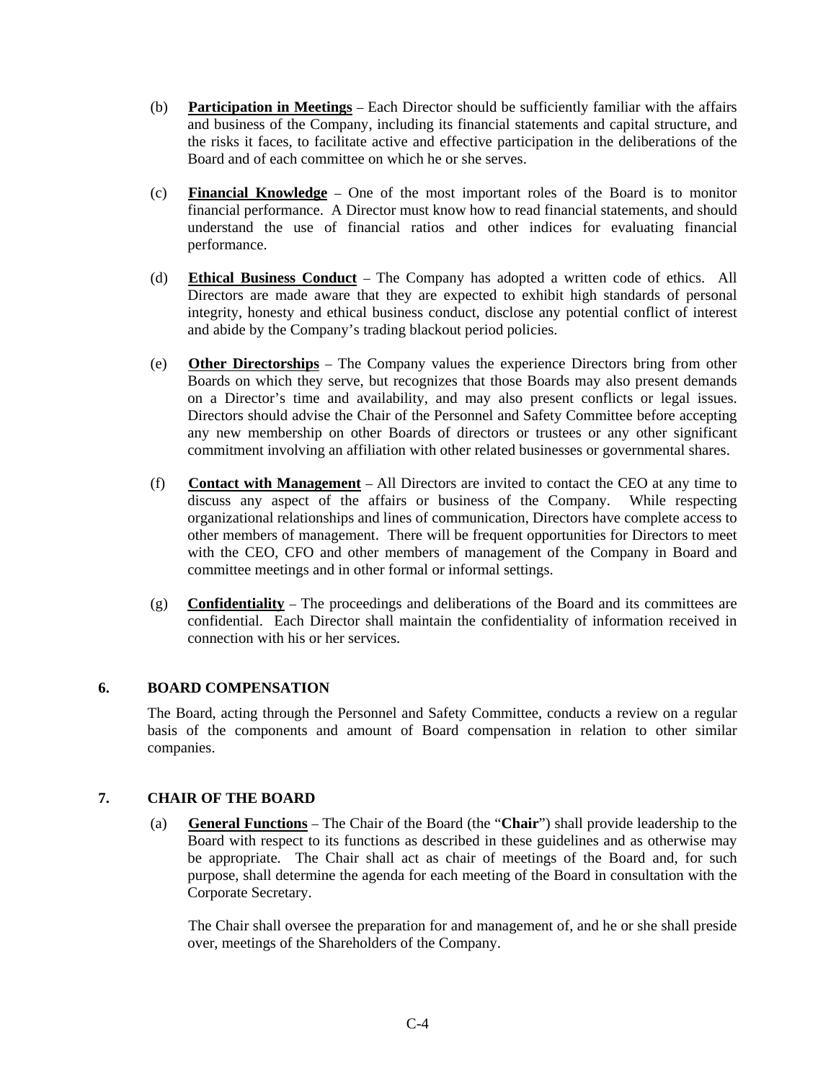- (b) **Participation in Meetings** Each Director should be sufficiently familiar with the affairs and business of the Company, including its financial statements and capital structure, and the risks it faces, to facilitate active and effective participation in the deliberations of the Board and of each committee on which he or she serves.
- (c) **Financial Knowledge** One of the most important roles of the Board is to monitor financial performance. A Director must know how to read financial statements, and should understand the use of financial ratios and other indices for evaluating financial performance.
- (d) **Ethical Business Conduct** The Company has adopted a written code of ethics. All Directors are made aware that they are expected to exhibit high standards of personal integrity, honesty and ethical business conduct, disclose any potential conflict of interest and abide by the Company's trading blackout period policies.
- (e) **Other Directorships** The Company values the experience Directors bring from other Boards on which they serve, but recognizes that those Boards may also present demands on a Director's time and availability, and may also present conflicts or legal issues. Directors should advise the Chair of the Personnel and Safety Committee before accepting any new membership on other Boards of directors or trustees or any other significant commitment involving an affiliation with other related businesses or governmental shares.
- (f) **Contact with Management** All Directors are invited to contact the CEO at any time to discuss any aspect of the affairs or business of the Company. While respecting organizational relationships and lines of communication, Directors have complete access to other members of management. There will be frequent opportunities for Directors to meet with the CEO, CFO and other members of management of the Company in Board and committee meetings and in other formal or informal settings.
- (g) **Confidentiality** The proceedings and deliberations of the Board and its committees are confidential. Each Director shall maintain the confidentiality of information received in connection with his or her services.

## **6. BOARD COMPENSATION**

The Board, acting through the Personnel and Safety Committee, conducts a review on a regular basis of the components and amount of Board compensation in relation to other similar companies.

## **7. CHAIR OF THE BOARD**

(a) **General Functions** – The Chair of the Board (the "**Chair**") shall provide leadership to the Board with respect to its functions as described in these guidelines and as otherwise may be appropriate. The Chair shall act as chair of meetings of the Board and, for such purpose, shall determine the agenda for each meeting of the Board in consultation with the Corporate Secretary.

The Chair shall oversee the preparation for and management of, and he or she shall preside over, meetings of the Shareholders of the Company.